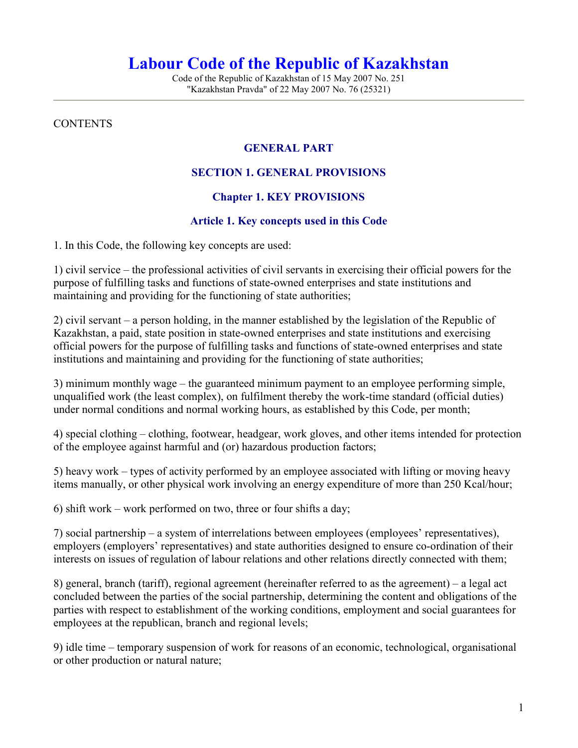# Labour Code of the Republic of Kazakhstan

Code of the Republic of Kazakhstan of 15 May 2007 No. 251 "Kazakhstan Pravda" of 22 May 2007 No. 76 (25321)

#### **CONTENTS**

#### GENERAL PART

#### SECTION 1. GENERAL PROVISIONS

#### Chapter 1. KEY PROVISIONS

#### Article 1. Key concepts used in this Code

1. In this Code, the following key concepts are used:

1) civil service – the professional activities of civil servants in exercising their official powers for the purpose of fulfilling tasks and functions of state-owned enterprises and state institutions and maintaining and providing for the functioning of state authorities;

2) civil servant – a person holding, in the manner established by the legislation of the Republic of Kazakhstan, a paid, state position in state-owned enterprises and state institutions and exercising official powers for the purpose of fulfilling tasks and functions of state-owned enterprises and state institutions and maintaining and providing for the functioning of state authorities;

3) minimum monthly wage – the guaranteed minimum payment to an employee performing simple, unqualified work (the least complex), on fulfilment thereby the work-time standard (official duties) under normal conditions and normal working hours, as established by this Code, per month;

4) special clothing – clothing, footwear, headgear, work gloves, and other items intended for protection of the employee against harmful and (or) hazardous production factors;

5) heavy work – types of activity performed by an employee associated with lifting or moving heavy items manually, or other physical work involving an energy expenditure of more than 250 Kcal/hour;

6) shift work – work performed on two, three or four shifts a day;

7) social partnership – a system of interrelations between employees (employees' representatives), employers (employers' representatives) and state authorities designed to ensure co-ordination of their interests on issues of regulation of labour relations and other relations directly connected with them;

8) general, branch (tariff), regional agreement (hereinafter referred to as the agreement) – a legal act concluded between the parties of the social partnership, determining the content and obligations of the parties with respect to establishment of the working conditions, employment and social guarantees for employees at the republican, branch and regional levels;

9) idle time – temporary suspension of work for reasons of an economic, technological, organisational or other production or natural nature;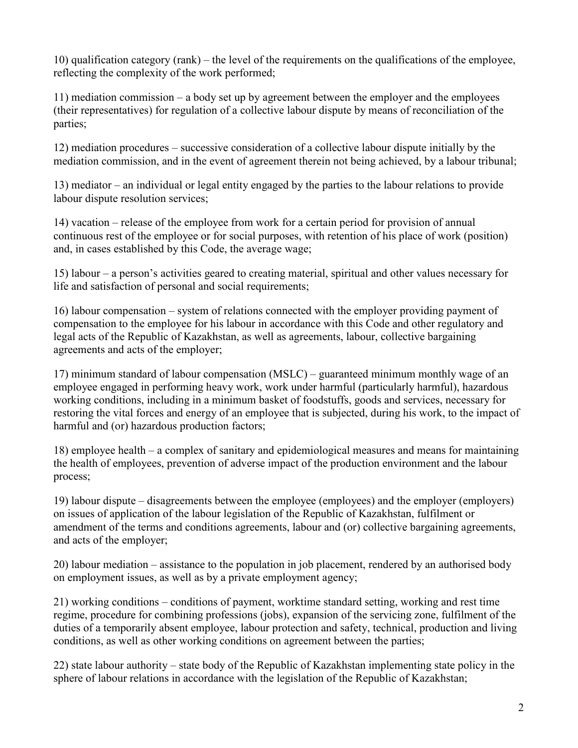10) qualification category (rank) – the level of the requirements on the qualifications of the employee, reflecting the complexity of the work performed;

11) mediation commission – a body set up by agreement between the employer and the employees (their representatives) for regulation of a collective labour dispute by means of reconciliation of the parties;

12) mediation procedures – successive consideration of a collective labour dispute initially by the mediation commission, and in the event of agreement therein not being achieved, by a labour tribunal;

13) mediator – an individual or legal entity engaged by the parties to the labour relations to provide labour dispute resolution services;

14) vacation – release of the employee from work for a certain period for provision of annual continuous rest of the employee or for social purposes, with retention of his place of work (position) and, in cases established by this Code, the average wage;

15) labour – a person's activities geared to creating material, spiritual and other values necessary for life and satisfaction of personal and social requirements;

16) labour compensation – system of relations connected with the employer providing payment of compensation to the employee for his labour in accordance with this Code and other regulatory and legal acts of the Republic of Kazakhstan, as well as agreements, labour, collective bargaining agreements and acts of the employer;

17) minimum standard of labour compensation (MSLC) – guaranteed minimum monthly wage of an employee engaged in performing heavy work, work under harmful (particularly harmful), hazardous working conditions, including in a minimum basket of foodstuffs, goods and services, necessary for restoring the vital forces and energy of an employee that is subjected, during his work, to the impact of harmful and (or) hazardous production factors;

18) employee health – a complex of sanitary and epidemiological measures and means for maintaining the health of employees, prevention of adverse impact of the production environment and the labour process;

19) labour dispute – disagreements between the employee (employees) and the employer (employers) on issues of application of the labour legislation of the Republic of Kazakhstan, fulfilment or amendment of the terms and conditions agreements, labour and (or) collective bargaining agreements, and acts of the employer;

20) labour mediation – assistance to the population in job placement, rendered by an authorised body on employment issues, as well as by a private employment agency;

21) working conditions – conditions of payment, worktime standard setting, working and rest time regime, procedure for combining professions (jobs), expansion of the servicing zone, fulfilment of the duties of a temporarily absent employee, labour protection and safety, technical, production and living conditions, as well as other working conditions on agreement between the parties;

22) state labour authority – state body of the Republic of Kazakhstan implementing state policy in the sphere of labour relations in accordance with the legislation of the Republic of Kazakhstan;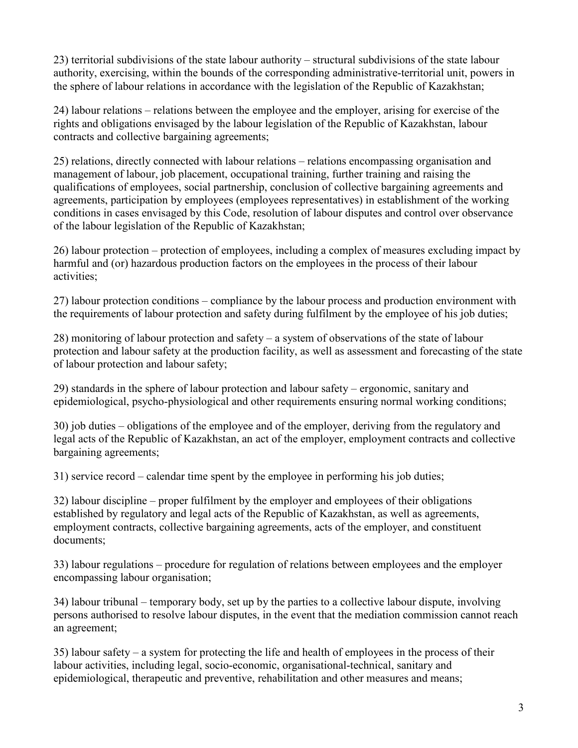23) territorial subdivisions of the state labour authority – structural subdivisions of the state labour authority, exercising, within the bounds of the corresponding administrative-territorial unit, powers in the sphere of labour relations in accordance with the legislation of the Republic of Kazakhstan;

24) labour relations – relations between the employee and the employer, arising for exercise of the rights and obligations envisaged by the labour legislation of the Republic of Kazakhstan, labour contracts and collective bargaining agreements;

25) relations, directly connected with labour relations – relations encompassing organisation and management of labour, job placement, occupational training, further training and raising the qualifications of employees, social partnership, conclusion of collective bargaining agreements and agreements, participation by employees (employees representatives) in establishment of the working conditions in cases envisaged by this Code, resolution of labour disputes and control over observance of the labour legislation of the Republic of Kazakhstan;

26) labour protection – protection of employees, including a complex of measures excluding impact by harmful and (or) hazardous production factors on the employees in the process of their labour activities;

27) labour protection conditions – compliance by the labour process and production environment with the requirements of labour protection and safety during fulfilment by the employee of his job duties;

28) monitoring of labour protection and safety – a system of observations of the state of labour protection and labour safety at the production facility, as well as assessment and forecasting of the state of labour protection and labour safety;

29) standards in the sphere of labour protection and labour safety – ergonomic, sanitary and epidemiological, psycho-physiological and other requirements ensuring normal working conditions;

30) job duties – obligations of the employee and of the employer, deriving from the regulatory and legal acts of the Republic of Kazakhstan, an act of the employer, employment contracts and collective bargaining agreements;

31) service record – calendar time spent by the employee in performing his job duties;

32) labour discipline – proper fulfilment by the employer and employees of their obligations established by regulatory and legal acts of the Republic of Kazakhstan, as well as agreements, employment contracts, collective bargaining agreements, acts of the employer, and constituent documents;

33) labour regulations – procedure for regulation of relations between employees and the employer encompassing labour organisation;

34) labour tribunal – temporary body, set up by the parties to a collective labour dispute, involving persons authorised to resolve labour disputes, in the event that the mediation commission cannot reach an agreement;

35) labour safety – a system for protecting the life and health of employees in the process of their labour activities, including legal, socio-economic, organisational-technical, sanitary and epidemiological, therapeutic and preventive, rehabilitation and other measures and means;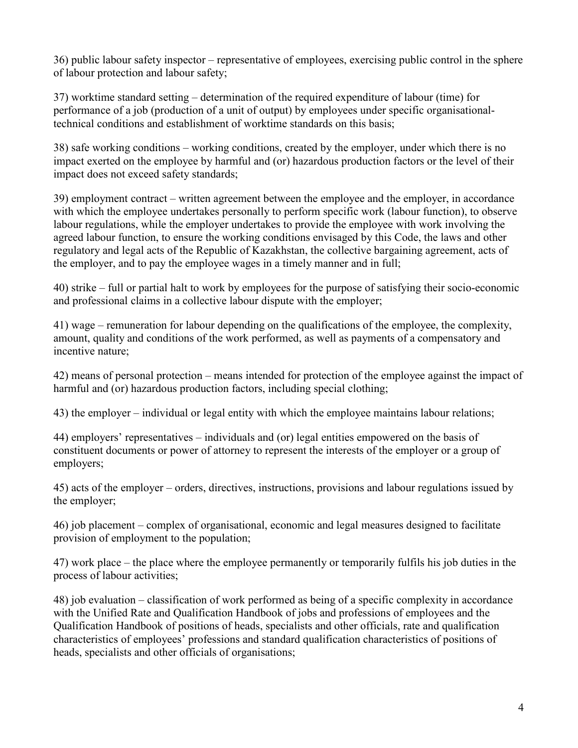36) public labour safety inspector – representative of employees, exercising public control in the sphere of labour protection and labour safety;

37) worktime standard setting – determination of the required expenditure of labour (time) for performance of a job (production of a unit of output) by employees under specific organisationaltechnical conditions and establishment of worktime standards on this basis;

38) safe working conditions – working conditions, created by the employer, under which there is no impact exerted on the employee by harmful and (or) hazardous production factors or the level of their impact does not exceed safety standards;

39) employment contract – written agreement between the employee and the employer, in accordance with which the employee undertakes personally to perform specific work (labour function), to observe labour regulations, while the employer undertakes to provide the employee with work involving the agreed labour function, to ensure the working conditions envisaged by this Code, the laws and other regulatory and legal acts of the Republic of Kazakhstan, the collective bargaining agreement, acts of the employer, and to pay the employee wages in a timely manner and in full;

40) strike – full or partial halt to work by employees for the purpose of satisfying their socio-economic and professional claims in a collective labour dispute with the employer;

41) wage – remuneration for labour depending on the qualifications of the employee, the complexity, amount, quality and conditions of the work performed, as well as payments of a compensatory and incentive nature;

42) means of personal protection – means intended for protection of the employee against the impact of harmful and (or) hazardous production factors, including special clothing;

43) the employer – individual or legal entity with which the employee maintains labour relations;

44) employers' representatives – individuals and (or) legal entities empowered on the basis of constituent documents or power of attorney to represent the interests of the employer or a group of employers;

45) acts of the employer – orders, directives, instructions, provisions and labour regulations issued by the employer;

46) job placement – complex of organisational, economic and legal measures designed to facilitate provision of employment to the population;

47) work place – the place where the employee permanently or temporarily fulfils his job duties in the process of labour activities;

48) job evaluation – classification of work performed as being of a specific complexity in accordance with the Unified Rate and Qualification Handbook of jobs and professions of employees and the Qualification Handbook of positions of heads, specialists and other officials, rate and qualification characteristics of employees' professions and standard qualification characteristics of positions of heads, specialists and other officials of organisations;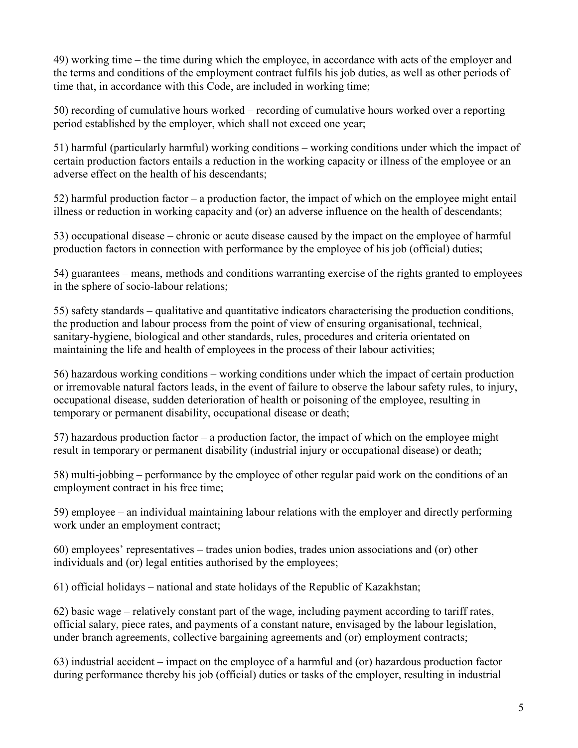49) working time – the time during which the employee, in accordance with acts of the employer and the terms and conditions of the employment contract fulfils his job duties, as well as other periods of time that, in accordance with this Code, are included in working time;

50) recording of cumulative hours worked – recording of cumulative hours worked over a reporting period established by the employer, which shall not exceed one year;

51) harmful (particularly harmful) working conditions – working conditions under which the impact of certain production factors entails a reduction in the working capacity or illness of the employee or an adverse effect on the health of his descendants;

52) harmful production factor – a production factor, the impact of which on the employee might entail illness or reduction in working capacity and (or) an adverse influence on the health of descendants;

53) occupational disease – chronic or acute disease caused by the impact on the employee of harmful production factors in connection with performance by the employee of his job (official) duties;

54) guarantees – means, methods and conditions warranting exercise of the rights granted to employees in the sphere of socio-labour relations;

55) safety standards – qualitative and quantitative indicators characterising the production conditions, the production and labour process from the point of view of ensuring organisational, technical, sanitary-hygiene, biological and other standards, rules, procedures and criteria orientated on maintaining the life and health of employees in the process of their labour activities;

56) hazardous working conditions – working conditions under which the impact of certain production or irremovable natural factors leads, in the event of failure to observe the labour safety rules, to injury, occupational disease, sudden deterioration of health or poisoning of the employee, resulting in temporary or permanent disability, occupational disease or death;

57) hazardous production factor – a production factor, the impact of which on the employee might result in temporary or permanent disability (industrial injury or occupational disease) or death;

58) multi-jobbing – performance by the employee of other regular paid work on the conditions of an employment contract in his free time;

59) employee – an individual maintaining labour relations with the employer and directly performing work under an employment contract;

60) employees' representatives – trades union bodies, trades union associations and (or) other individuals and (or) legal entities authorised by the employees;

61) official holidays – national and state holidays of the Republic of Kazakhstan;

62) basic wage – relatively constant part of the wage, including payment according to tariff rates, official salary, piece rates, and payments of a constant nature, envisaged by the labour legislation, under branch agreements, collective bargaining agreements and (or) employment contracts;

63) industrial accident – impact on the employee of a harmful and (or) hazardous production factor during performance thereby his job (official) duties or tasks of the employer, resulting in industrial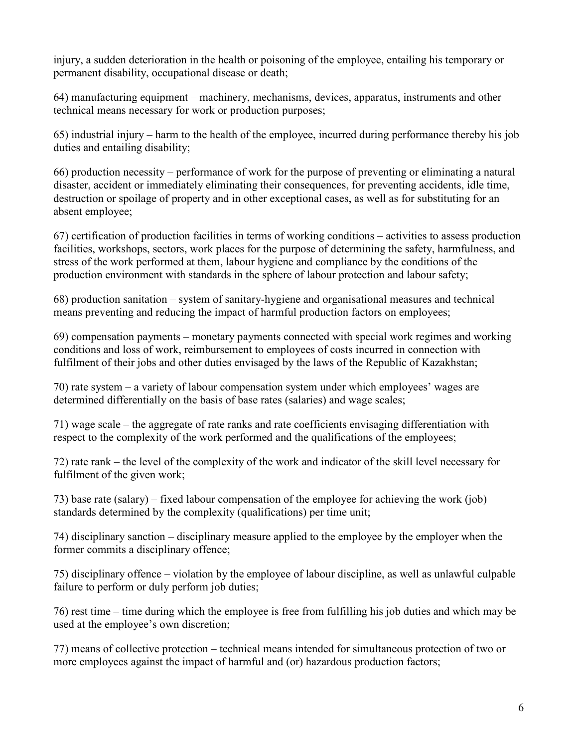injury, a sudden deterioration in the health or poisoning of the employee, entailing his temporary or permanent disability, occupational disease or death;

64) manufacturing equipment – machinery, mechanisms, devices, apparatus, instruments and other technical means necessary for work or production purposes;

65) industrial injury – harm to the health of the employee, incurred during performance thereby his job duties and entailing disability;

66) production necessity – performance of work for the purpose of preventing or eliminating a natural disaster, accident or immediately eliminating their consequences, for preventing accidents, idle time, destruction or spoilage of property and in other exceptional cases, as well as for substituting for an absent employee;

67) certification of production facilities in terms of working conditions – activities to assess production facilities, workshops, sectors, work places for the purpose of determining the safety, harmfulness, and stress of the work performed at them, labour hygiene and compliance by the conditions of the production environment with standards in the sphere of labour protection and labour safety;

68) production sanitation – system of sanitary-hygiene and organisational measures and technical means preventing and reducing the impact of harmful production factors on employees;

69) compensation payments – monetary payments connected with special work regimes and working conditions and loss of work, reimbursement to employees of costs incurred in connection with fulfilment of their jobs and other duties envisaged by the laws of the Republic of Kazakhstan;

70) rate system – a variety of labour compensation system under which employees' wages are determined differentially on the basis of base rates (salaries) and wage scales;

71) wage scale – the aggregate of rate ranks and rate coefficients envisaging differentiation with respect to the complexity of the work performed and the qualifications of the employees;

72) rate rank – the level of the complexity of the work and indicator of the skill level necessary for fulfilment of the given work;

73) base rate (salary) – fixed labour compensation of the employee for achieving the work (job) standards determined by the complexity (qualifications) per time unit;

74) disciplinary sanction – disciplinary measure applied to the employee by the employer when the former commits a disciplinary offence;

75) disciplinary offence – violation by the employee of labour discipline, as well as unlawful culpable failure to perform or duly perform job duties;

76) rest time – time during which the employee is free from fulfilling his job duties and which may be used at the employee's own discretion;

77) means of collective protection – technical means intended for simultaneous protection of two or more employees against the impact of harmful and (or) hazardous production factors;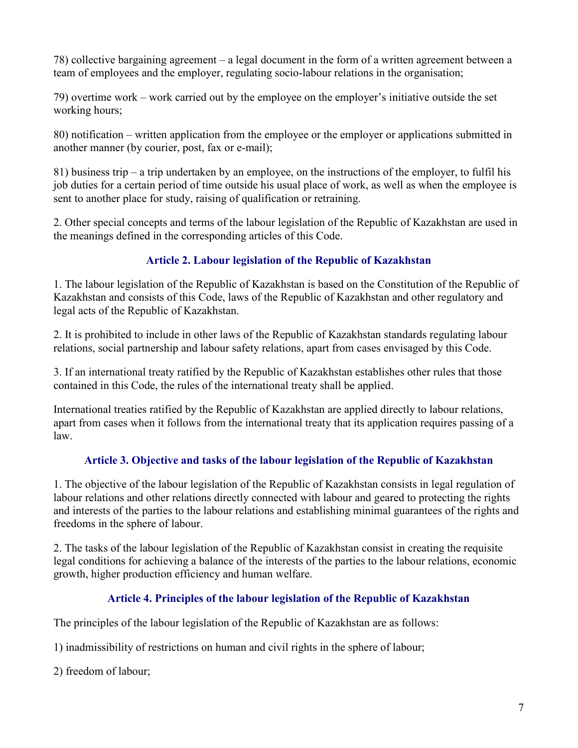78) collective bargaining agreement – a legal document in the form of a written agreement between a team of employees and the employer, regulating socio-labour relations in the organisation;

79) overtime work – work carried out by the employee on the employer's initiative outside the set working hours;

80) notification – written application from the employee or the employer or applications submitted in another manner (by courier, post, fax or e-mail);

81) business trip – a trip undertaken by an employee, on the instructions of the employer, to fulfil his job duties for a certain period of time outside his usual place of work, as well as when the employee is sent to another place for study, raising of qualification or retraining.

2. Other special concepts and terms of the labour legislation of the Republic of Kazakhstan are used in the meanings defined in the corresponding articles of this Code.

# Article 2. Labour legislation of the Republic of Kazakhstan

1. The labour legislation of the Republic of Kazakhstan is based on the Constitution of the Republic of Kazakhstan and consists of this Code, laws of the Republic of Kazakhstan and other regulatory and legal acts of the Republic of Kazakhstan.

2. It is prohibited to include in other laws of the Republic of Kazakhstan standards regulating labour relations, social partnership and labour safety relations, apart from cases envisaged by this Code.

3. If an international treaty ratified by the Republic of Kazakhstan establishes other rules that those contained in this Code, the rules of the international treaty shall be applied.

International treaties ratified by the Republic of Kazakhstan are applied directly to labour relations, apart from cases when it follows from the international treaty that its application requires passing of a law.

### Article 3. Objective and tasks of the labour legislation of the Republic of Kazakhstan

1. The objective of the labour legislation of the Republic of Kazakhstan consists in legal regulation of labour relations and other relations directly connected with labour and geared to protecting the rights and interests of the parties to the labour relations and establishing minimal guarantees of the rights and freedoms in the sphere of labour.

2. The tasks of the labour legislation of the Republic of Kazakhstan consist in creating the requisite legal conditions for achieving a balance of the interests of the parties to the labour relations, economic growth, higher production efficiency and human welfare.

### Article 4. Principles of the labour legislation of the Republic of Kazakhstan

The principles of the labour legislation of the Republic of Kazakhstan are as follows:

1) inadmissibility of restrictions on human and civil rights in the sphere of labour;

2) freedom of labour;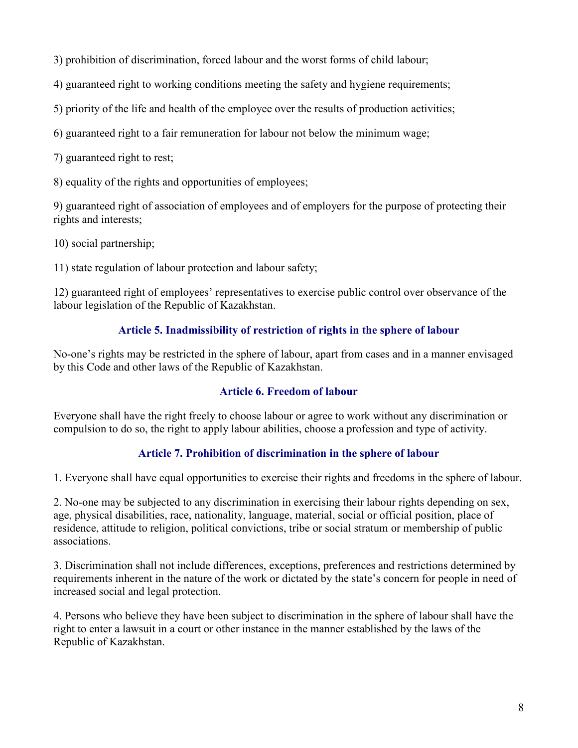3) prohibition of discrimination, forced labour and the worst forms of child labour;

4) guaranteed right to working conditions meeting the safety and hygiene requirements;

5) priority of the life and health of the employee over the results of production activities;

6) guaranteed right to a fair remuneration for labour not below the minimum wage;

7) guaranteed right to rest;

8) equality of the rights and opportunities of employees;

9) guaranteed right of association of employees and of employers for the purpose of protecting their rights and interests;

10) social partnership;

11) state regulation of labour protection and labour safety;

12) guaranteed right of employees' representatives to exercise public control over observance of the labour legislation of the Republic of Kazakhstan.

### Article 5. Inadmissibility of restriction of rights in the sphere of labour

No-one's rights may be restricted in the sphere of labour, apart from cases and in a manner envisaged by this Code and other laws of the Republic of Kazakhstan.

### Article 6. Freedom of labour

Everyone shall have the right freely to choose labour or agree to work without any discrimination or compulsion to do so, the right to apply labour abilities, choose a profession and type of activity.

### Article 7. Prohibition of discrimination in the sphere of labour

1. Everyone shall have equal opportunities to exercise their rights and freedoms in the sphere of labour.

2. No-one may be subjected to any discrimination in exercising their labour rights depending on sex, age, physical disabilities, race, nationality, language, material, social or official position, place of residence, attitude to religion, political convictions, tribe or social stratum or membership of public associations.

3. Discrimination shall not include differences, exceptions, preferences and restrictions determined by requirements inherent in the nature of the work or dictated by the state's concern for people in need of increased social and legal protection.

4. Persons who believe they have been subject to discrimination in the sphere of labour shall have the right to enter a lawsuit in a court or other instance in the manner established by the laws of the Republic of Kazakhstan.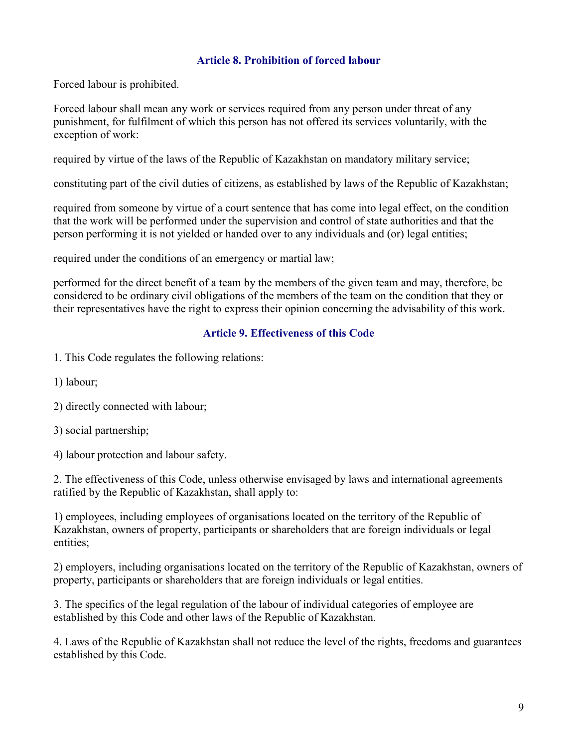#### Article 8. Prohibition of forced labour

Forced labour is prohibited.

Forced labour shall mean any work or services required from any person under threat of any punishment, for fulfilment of which this person has not offered its services voluntarily, with the exception of work:

required by virtue of the laws of the Republic of Kazakhstan on mandatory military service;

constituting part of the civil duties of citizens, as established by laws of the Republic of Kazakhstan;

required from someone by virtue of a court sentence that has come into legal effect, on the condition that the work will be performed under the supervision and control of state authorities and that the person performing it is not yielded or handed over to any individuals and (or) legal entities;

required under the conditions of an emergency or martial law;

performed for the direct benefit of a team by the members of the given team and may, therefore, be considered to be ordinary civil obligations of the members of the team on the condition that they or their representatives have the right to express their opinion concerning the advisability of this work.

#### Article 9. Effectiveness of this Code

- 1. This Code regulates the following relations:
- 1) labour;
- 2) directly connected with labour;
- 3) social partnership;

4) labour protection and labour safety.

2. The effectiveness of this Code, unless otherwise envisaged by laws and international agreements ratified by the Republic of Kazakhstan, shall apply to:

1) employees, including employees of organisations located on the territory of the Republic of Kazakhstan, owners of property, participants or shareholders that are foreign individuals or legal entities;

2) employers, including organisations located on the territory of the Republic of Kazakhstan, owners of property, participants or shareholders that are foreign individuals or legal entities.

3. The specifics of the legal regulation of the labour of individual categories of employee are established by this Code and other laws of the Republic of Kazakhstan.

4. Laws of the Republic of Kazakhstan shall not reduce the level of the rights, freedoms and guarantees established by this Code.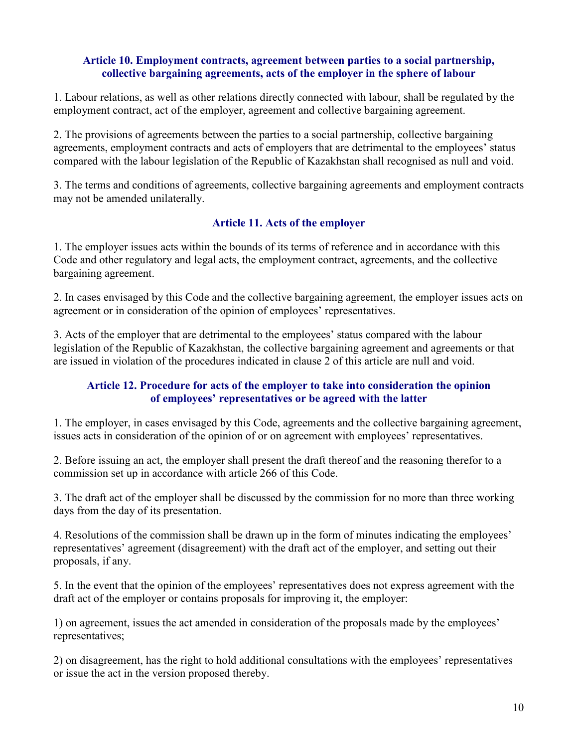#### Article 10. Employment contracts, agreement between parties to a social partnership, collective bargaining agreements, acts of the employer in the sphere of labour

1. Labour relations, as well as other relations directly connected with labour, shall be regulated by the employment contract, act of the employer, agreement and collective bargaining agreement.

2. The provisions of agreements between the parties to a social partnership, collective bargaining agreements, employment contracts and acts of employers that are detrimental to the employees' status compared with the labour legislation of the Republic of Kazakhstan shall recognised as null and void.

3. The terms and conditions of agreements, collective bargaining agreements and employment contracts may not be amended unilaterally.

### Article 11. Acts of the employer

1. The employer issues acts within the bounds of its terms of reference and in accordance with this Code and other regulatory and legal acts, the employment contract, agreements, and the collective bargaining agreement.

2. In cases envisaged by this Code and the collective bargaining agreement, the employer issues acts on agreement or in consideration of the opinion of employees' representatives.

3. Acts of the employer that are detrimental to the employees' status compared with the labour legislation of the Republic of Kazakhstan, the collective bargaining agreement and agreements or that are issued in violation of the procedures indicated in clause 2 of this article are null and void.

### Article 12. Procedure for acts of the employer to take into consideration the opinion of employees' representatives or be agreed with the latter

1. The employer, in cases envisaged by this Code, agreements and the collective bargaining agreement, issues acts in consideration of the opinion of or on agreement with employees' representatives.

2. Before issuing an act, the employer shall present the draft thereof and the reasoning therefor to a commission set up in accordance with article 266 of this Code.

3. The draft act of the employer shall be discussed by the commission for no more than three working days from the day of its presentation.

4. Resolutions of the commission shall be drawn up in the form of minutes indicating the employees' representatives' agreement (disagreement) with the draft act of the employer, and setting out their proposals, if any.

5. In the event that the opinion of the employees' representatives does not express agreement with the draft act of the employer or contains proposals for improving it, the employer:

1) on agreement, issues the act amended in consideration of the proposals made by the employees' representatives;

2) on disagreement, has the right to hold additional consultations with the employees' representatives or issue the act in the version proposed thereby.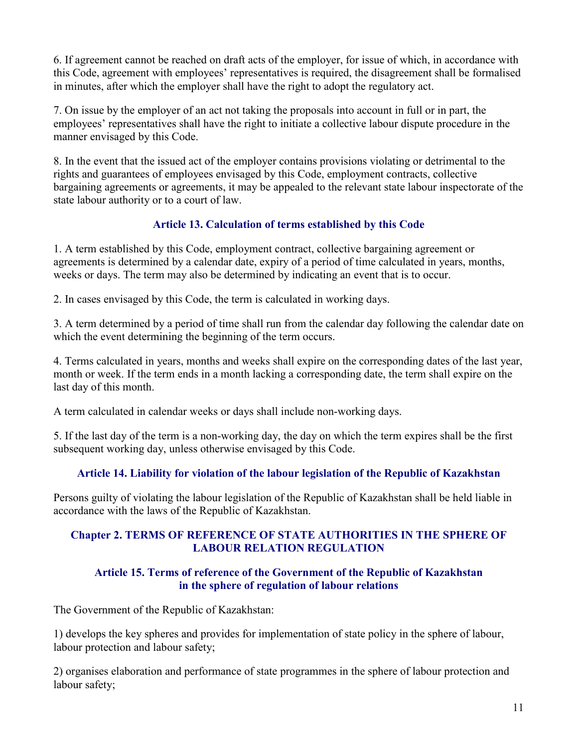6. If agreement cannot be reached on draft acts of the employer, for issue of which, in accordance with this Code, agreement with employees' representatives is required, the disagreement shall be formalised in minutes, after which the employer shall have the right to adopt the regulatory act.

7. On issue by the employer of an act not taking the proposals into account in full or in part, the employees' representatives shall have the right to initiate a collective labour dispute procedure in the manner envisaged by this Code.

8. In the event that the issued act of the employer contains provisions violating or detrimental to the rights and guarantees of employees envisaged by this Code, employment contracts, collective bargaining agreements or agreements, it may be appealed to the relevant state labour inspectorate of the state labour authority or to a court of law.

### Article 13. Calculation of terms established by this Code

1. A term established by this Code, employment contract, collective bargaining agreement or agreements is determined by a calendar date, expiry of a period of time calculated in years, months, weeks or days. The term may also be determined by indicating an event that is to occur.

2. In cases envisaged by this Code, the term is calculated in working days.

3. A term determined by a period of time shall run from the calendar day following the calendar date on which the event determining the beginning of the term occurs.

4. Terms calculated in years, months and weeks shall expire on the corresponding dates of the last year, month or week. If the term ends in a month lacking a corresponding date, the term shall expire on the last day of this month.

A term calculated in calendar weeks or days shall include non-working days.

5. If the last day of the term is a non-working day, the day on which the term expires shall be the first subsequent working day, unless otherwise envisaged by this Code.

### Article 14. Liability for violation of the labour legislation of the Republic of Kazakhstan

Persons guilty of violating the labour legislation of the Republic of Kazakhstan shall be held liable in accordance with the laws of the Republic of Kazakhstan.

### Chapter 2. TERMS OF REFERENCE OF STATE AUTHORITIES IN THE SPHERE OF LABOUR RELATION REGULATION

### Article 15. Terms of reference of the Government of the Republic of Kazakhstan in the sphere of regulation of labour relations

The Government of the Republic of Kazakhstan:

1) develops the key spheres and provides for implementation of state policy in the sphere of labour, labour protection and labour safety;

2) organises elaboration and performance of state programmes in the sphere of labour protection and labour safety;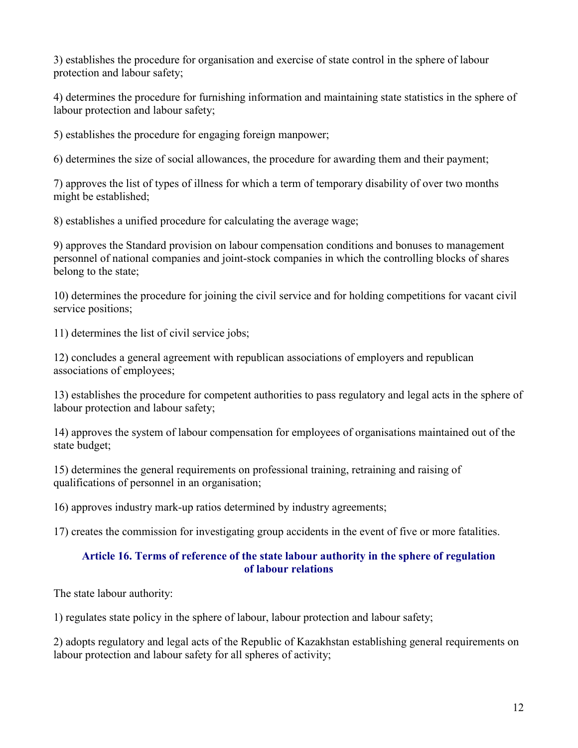3) establishes the procedure for organisation and exercise of state control in the sphere of labour protection and labour safety;

4) determines the procedure for furnishing information and maintaining state statistics in the sphere of labour protection and labour safety;

5) establishes the procedure for engaging foreign manpower;

6) determines the size of social allowances, the procedure for awarding them and their payment;

7) approves the list of types of illness for which a term of temporary disability of over two months might be established;

8) establishes a unified procedure for calculating the average wage;

9) approves the Standard provision on labour compensation conditions and bonuses to management personnel of national companies and joint-stock companies in which the controlling blocks of shares belong to the state;

10) determines the procedure for joining the civil service and for holding competitions for vacant civil service positions;

11) determines the list of civil service jobs;

12) concludes a general agreement with republican associations of employers and republican associations of employees;

13) establishes the procedure for competent authorities to pass regulatory and legal acts in the sphere of labour protection and labour safety;

14) approves the system of labour compensation for employees of organisations maintained out of the state budget;

15) determines the general requirements on professional training, retraining and raising of qualifications of personnel in an organisation;

16) approves industry mark-up ratios determined by industry agreements;

17) creates the commission for investigating group accidents in the event of five or more fatalities.

### Article 16. Terms of reference of the state labour authority in the sphere of regulation of labour relations

The state labour authority:

1) regulates state policy in the sphere of labour, labour protection and labour safety;

2) adopts regulatory and legal acts of the Republic of Kazakhstan establishing general requirements on labour protection and labour safety for all spheres of activity;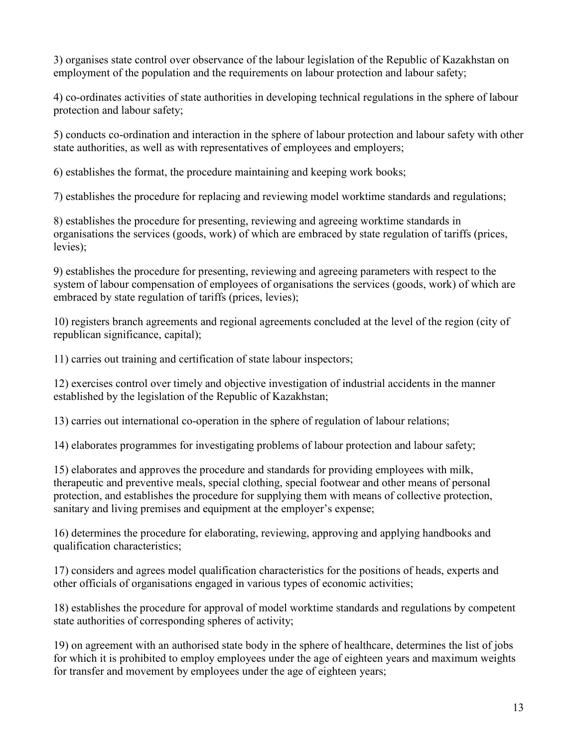3) organises state control over observance of the labour legislation of the Republic of Kazakhstan on employment of the population and the requirements on labour protection and labour safety;

4) co-ordinates activities of state authorities in developing technical regulations in the sphere of labour protection and labour safety;

5) conducts co-ordination and interaction in the sphere of labour protection and labour safety with other state authorities, as well as with representatives of employees and employers;

6) establishes the format, the procedure maintaining and keeping work books;

7) establishes the procedure for replacing and reviewing model worktime standards and regulations;

8) establishes the procedure for presenting, reviewing and agreeing worktime standards in organisations the services (goods, work) of which are embraced by state regulation of tariffs (prices, levies);

9) establishes the procedure for presenting, reviewing and agreeing parameters with respect to the system of labour compensation of employees of organisations the services (goods, work) of which are embraced by state regulation of tariffs (prices, levies);

10) registers branch agreements and regional agreements concluded at the level of the region (city of republican significance, capital);

11) carries out training and certification of state labour inspectors;

12) exercises control over timely and objective investigation of industrial accidents in the manner established by the legislation of the Republic of Kazakhstan;

13) carries out international co-operation in the sphere of regulation of labour relations;

14) elaborates programmes for investigating problems of labour protection and labour safety;

15) elaborates and approves the procedure and standards for providing employees with milk, therapeutic and preventive meals, special clothing, special footwear and other means of personal protection, and establishes the procedure for supplying them with means of collective protection, sanitary and living premises and equipment at the employer's expense;

16) determines the procedure for elaborating, reviewing, approving and applying handbooks and qualification characteristics;

17) considers and agrees model qualification characteristics for the positions of heads, experts and other officials of organisations engaged in various types of economic activities;

18) establishes the procedure for approval of model worktime standards and regulations by competent state authorities of corresponding spheres of activity;

19) on agreement with an authorised state body in the sphere of healthcare, determines the list of jobs for which it is prohibited to employ employees under the age of eighteen years and maximum weights for transfer and movement by employees under the age of eighteen years;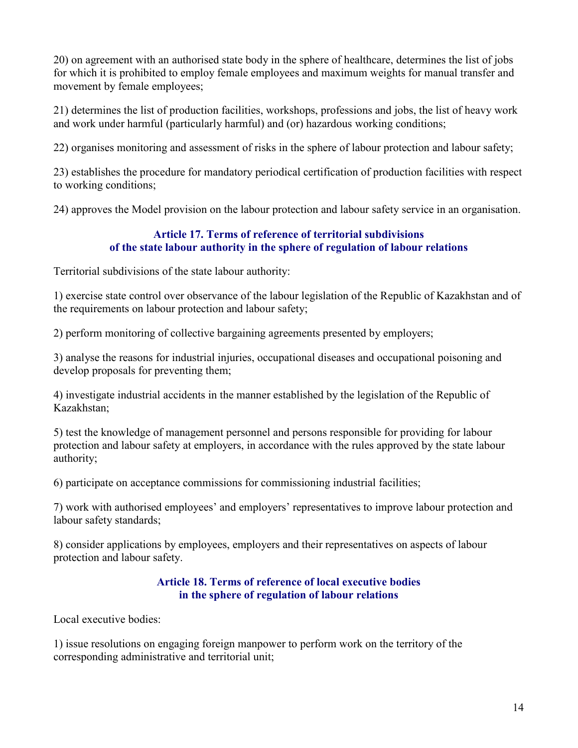20) on agreement with an authorised state body in the sphere of healthcare, determines the list of jobs for which it is prohibited to employ female employees and maximum weights for manual transfer and movement by female employees;

21) determines the list of production facilities, workshops, professions and jobs, the list of heavy work and work under harmful (particularly harmful) and (or) hazardous working conditions;

22) organises monitoring and assessment of risks in the sphere of labour protection and labour safety;

23) establishes the procedure for mandatory periodical certification of production facilities with respect to working conditions;

24) approves the Model provision on the labour protection and labour safety service in an organisation.

### Article 17. Terms of reference of territorial subdivisions of the state labour authority in the sphere of regulation of labour relations

Territorial subdivisions of the state labour authority:

1) exercise state control over observance of the labour legislation of the Republic of Kazakhstan and of the requirements on labour protection and labour safety;

2) perform monitoring of collective bargaining agreements presented by employers;

3) analyse the reasons for industrial injuries, occupational diseases and occupational poisoning and develop proposals for preventing them;

4) investigate industrial accidents in the manner established by the legislation of the Republic of Kazakhstan;

5) test the knowledge of management personnel and persons responsible for providing for labour protection and labour safety at employers, in accordance with the rules approved by the state labour authority;

6) participate on acceptance commissions for commissioning industrial facilities;

7) work with authorised employees' and employers' representatives to improve labour protection and labour safety standards;

8) consider applications by employees, employers and their representatives on aspects of labour protection and labour safety.

#### Article 18. Terms of reference of local executive bodies in the sphere of regulation of labour relations

Local executive bodies:

1) issue resolutions on engaging foreign manpower to perform work on the territory of the corresponding administrative and territorial unit;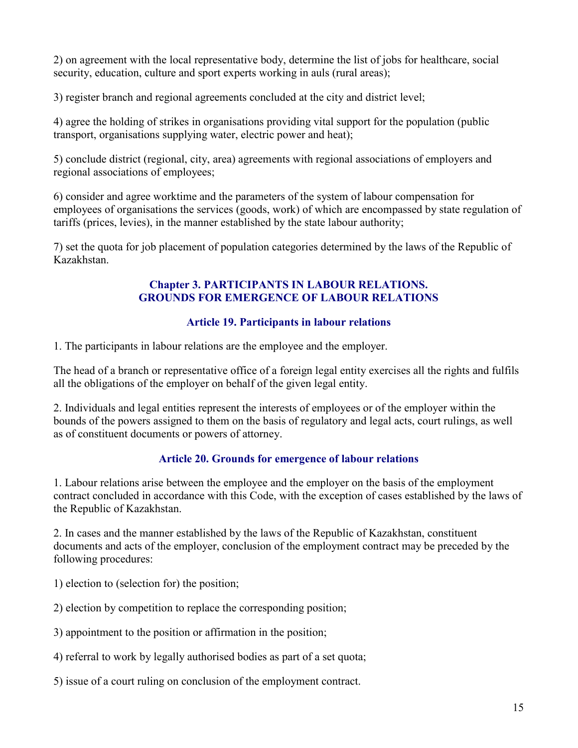2) on agreement with the local representative body, determine the list of jobs for healthcare, social security, education, culture and sport experts working in auls (rural areas);

3) register branch and regional agreements concluded at the city and district level;

4) agree the holding of strikes in organisations providing vital support for the population (public transport, organisations supplying water, electric power and heat);

5) conclude district (regional, city, area) agreements with regional associations of employers and regional associations of employees;

6) consider and agree worktime and the parameters of the system of labour compensation for employees of organisations the services (goods, work) of which are encompassed by state regulation of tariffs (prices, levies), in the manner established by the state labour authority;

7) set the quota for job placement of population categories determined by the laws of the Republic of Kazakhstan.

#### Chapter 3. PARTICIPANTS IN LABOUR RELATIONS. GROUNDS FOR EMERGENCE OF LABOUR RELATIONS

# Article 19. Participants in labour relations

1. The participants in labour relations are the employee and the employer.

The head of a branch or representative office of a foreign legal entity exercises all the rights and fulfils all the obligations of the employer on behalf of the given legal entity.

2. Individuals and legal entities represent the interests of employees or of the employer within the bounds of the powers assigned to them on the basis of regulatory and legal acts, court rulings, as well as of constituent documents or powers of attorney.

### Article 20. Grounds for emergence of labour relations

1. Labour relations arise between the employee and the employer on the basis of the employment contract concluded in accordance with this Code, with the exception of cases established by the laws of the Republic of Kazakhstan.

2. In cases and the manner established by the laws of the Republic of Kazakhstan, constituent documents and acts of the employer, conclusion of the employment contract may be preceded by the following procedures:

1) election to (selection for) the position;

2) election by competition to replace the corresponding position;

3) appointment to the position or affirmation in the position;

4) referral to work by legally authorised bodies as part of a set quota;

5) issue of a court ruling on conclusion of the employment contract.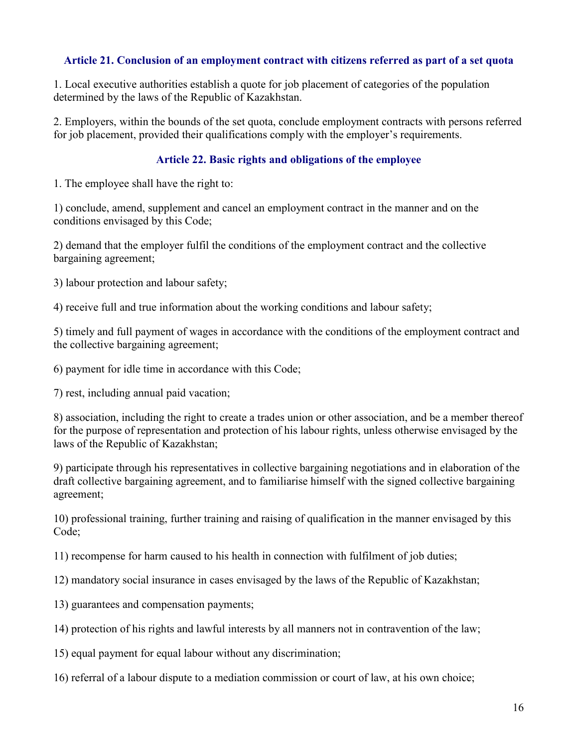#### Article 21. Conclusion of an employment contract with citizens referred as part of a set quota

1. Local executive authorities establish a quote for job placement of categories of the population determined by the laws of the Republic of Kazakhstan.

2. Employers, within the bounds of the set quota, conclude employment contracts with persons referred for job placement, provided their qualifications comply with the employer's requirements.

#### Article 22. Basic rights and obligations of the employee

1. The employee shall have the right to:

1) conclude, amend, supplement and cancel an employment contract in the manner and on the conditions envisaged by this Code;

2) demand that the employer fulfil the conditions of the employment contract and the collective bargaining agreement;

3) labour protection and labour safety;

4) receive full and true information about the working conditions and labour safety;

5) timely and full payment of wages in accordance with the conditions of the employment contract and the collective bargaining agreement;

6) payment for idle time in accordance with this Code;

7) rest, including annual paid vacation;

8) association, including the right to create a trades union or other association, and be a member thereof for the purpose of representation and protection of his labour rights, unless otherwise envisaged by the laws of the Republic of Kazakhstan;

9) participate through his representatives in collective bargaining negotiations and in elaboration of the draft collective bargaining agreement, and to familiarise himself with the signed collective bargaining agreement;

10) professional training, further training and raising of qualification in the manner envisaged by this Code;

11) recompense for harm caused to his health in connection with fulfilment of job duties;

12) mandatory social insurance in cases envisaged by the laws of the Republic of Kazakhstan;

- 13) guarantees and compensation payments;
- 14) protection of his rights and lawful interests by all manners not in contravention of the law;
- 15) equal payment for equal labour without any discrimination;

16) referral of a labour dispute to a mediation commission or court of law, at his own choice;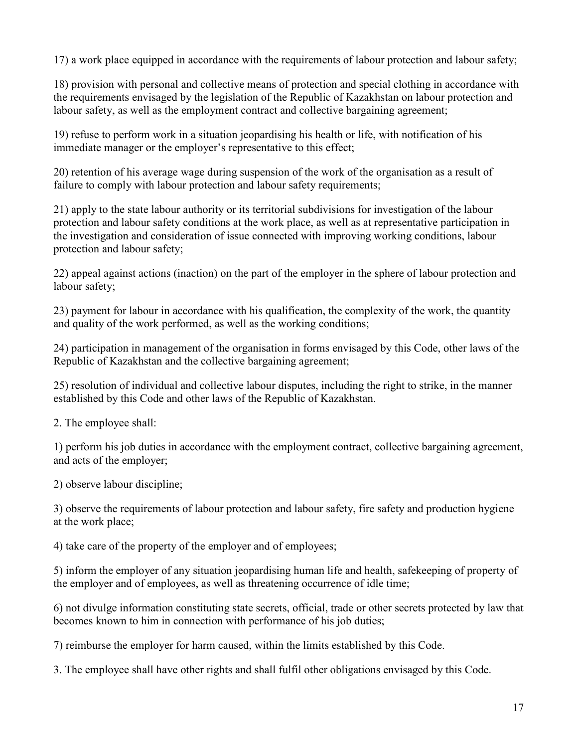17) a work place equipped in accordance with the requirements of labour protection and labour safety;

18) provision with personal and collective means of protection and special clothing in accordance with the requirements envisaged by the legislation of the Republic of Kazakhstan on labour protection and labour safety, as well as the employment contract and collective bargaining agreement;

19) refuse to perform work in a situation jeopardising his health or life, with notification of his immediate manager or the employer's representative to this effect;

20) retention of his average wage during suspension of the work of the organisation as a result of failure to comply with labour protection and labour safety requirements;

21) apply to the state labour authority or its territorial subdivisions for investigation of the labour protection and labour safety conditions at the work place, as well as at representative participation in the investigation and consideration of issue connected with improving working conditions, labour protection and labour safety;

22) appeal against actions (inaction) on the part of the employer in the sphere of labour protection and labour safety;

23) payment for labour in accordance with his qualification, the complexity of the work, the quantity and quality of the work performed, as well as the working conditions;

24) participation in management of the organisation in forms envisaged by this Code, other laws of the Republic of Kazakhstan and the collective bargaining agreement;

25) resolution of individual and collective labour disputes, including the right to strike, in the manner established by this Code and other laws of the Republic of Kazakhstan.

2. The employee shall:

1) perform his job duties in accordance with the employment contract, collective bargaining agreement, and acts of the employer;

2) observe labour discipline;

3) observe the requirements of labour protection and labour safety, fire safety and production hygiene at the work place;

4) take care of the property of the employer and of employees;

5) inform the employer of any situation jeopardising human life and health, safekeeping of property of the employer and of employees, as well as threatening occurrence of idle time;

6) not divulge information constituting state secrets, official, trade or other secrets protected by law that becomes known to him in connection with performance of his job duties;

7) reimburse the employer for harm caused, within the limits established by this Code.

3. The employee shall have other rights and shall fulfil other obligations envisaged by this Code.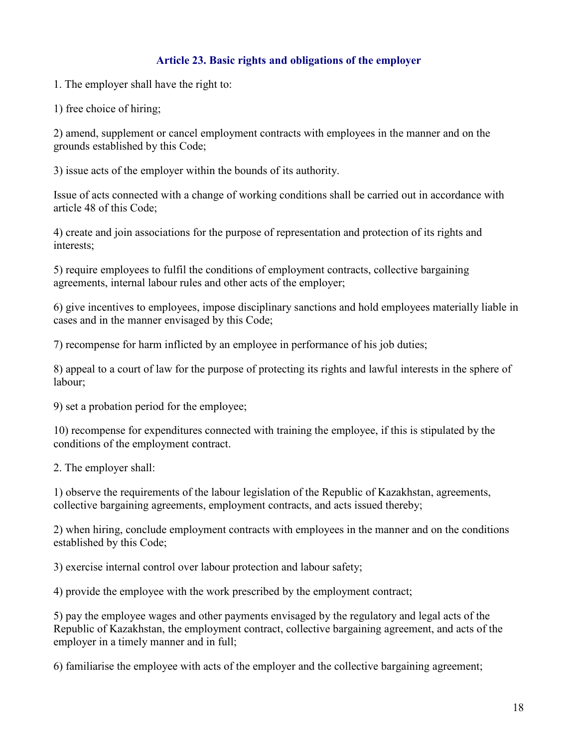### Article 23. Basic rights and obligations of the employer

1. The employer shall have the right to:

1) free choice of hiring;

2) amend, supplement or cancel employment contracts with employees in the manner and on the grounds established by this Code;

3) issue acts of the employer within the bounds of its authority.

Issue of acts connected with a change of working conditions shall be carried out in accordance with article 48 of this Code;

4) create and join associations for the purpose of representation and protection of its rights and interests;

5) require employees to fulfil the conditions of employment contracts, collective bargaining agreements, internal labour rules and other acts of the employer;

6) give incentives to employees, impose disciplinary sanctions and hold employees materially liable in cases and in the manner envisaged by this Code;

7) recompense for harm inflicted by an employee in performance of his job duties;

8) appeal to a court of law for the purpose of protecting its rights and lawful interests in the sphere of labour;

9) set a probation period for the employee;

10) recompense for expenditures connected with training the employee, if this is stipulated by the conditions of the employment contract.

2. The employer shall:

1) observe the requirements of the labour legislation of the Republic of Kazakhstan, agreements, collective bargaining agreements, employment contracts, and acts issued thereby;

2) when hiring, conclude employment contracts with employees in the manner and on the conditions established by this Code;

3) exercise internal control over labour protection and labour safety;

4) provide the employee with the work prescribed by the employment contract;

5) pay the employee wages and other payments envisaged by the regulatory and legal acts of the Republic of Kazakhstan, the employment contract, collective bargaining agreement, and acts of the employer in a timely manner and in full;

6) familiarise the employee with acts of the employer and the collective bargaining agreement;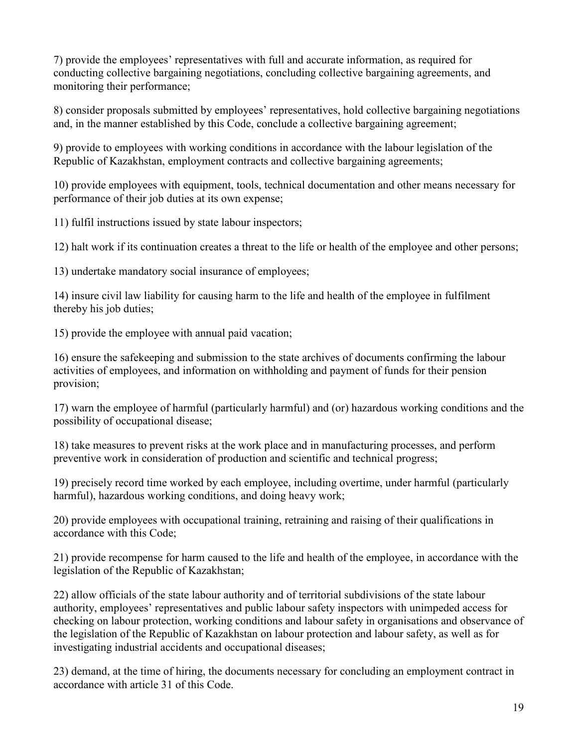7) provide the employees' representatives with full and accurate information, as required for conducting collective bargaining negotiations, concluding collective bargaining agreements, and monitoring their performance;

8) consider proposals submitted by employees' representatives, hold collective bargaining negotiations and, in the manner established by this Code, conclude a collective bargaining agreement;

9) provide to employees with working conditions in accordance with the labour legislation of the Republic of Kazakhstan, employment contracts and collective bargaining agreements;

10) provide employees with equipment, tools, technical documentation and other means necessary for performance of their job duties at its own expense;

11) fulfil instructions issued by state labour inspectors;

12) halt work if its continuation creates a threat to the life or health of the employee and other persons;

13) undertake mandatory social insurance of employees;

14) insure civil law liability for causing harm to the life and health of the employee in fulfilment thereby his job duties;

15) provide the employee with annual paid vacation;

16) ensure the safekeeping and submission to the state archives of documents confirming the labour activities of employees, and information on withholding and payment of funds for their pension provision;

17) warn the employee of harmful (particularly harmful) and (or) hazardous working conditions and the possibility of occupational disease;

18) take measures to prevent risks at the work place and in manufacturing processes, and perform preventive work in consideration of production and scientific and technical progress;

19) precisely record time worked by each employee, including overtime, under harmful (particularly harmful), hazardous working conditions, and doing heavy work;

20) provide employees with occupational training, retraining and raising of their qualifications in accordance with this Code;

21) provide recompense for harm caused to the life and health of the employee, in accordance with the legislation of the Republic of Kazakhstan;

22) allow officials of the state labour authority and of territorial subdivisions of the state labour authority, employees' representatives and public labour safety inspectors with unimpeded access for checking on labour protection, working conditions and labour safety in organisations and observance of the legislation of the Republic of Kazakhstan on labour protection and labour safety, as well as for investigating industrial accidents and occupational diseases;

23) demand, at the time of hiring, the documents necessary for concluding an employment contract in accordance with article 31 of this Code.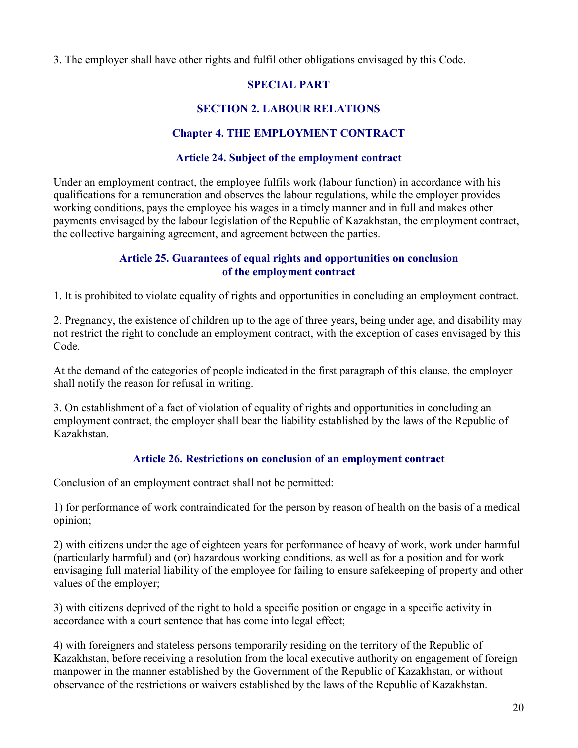3. The employer shall have other rights and fulfil other obligations envisaged by this Code.

### SPECIAL PART

# SECTION 2. LABOUR RELATIONS

# Chapter 4. THE EMPLOYMENT CONTRACT

### Article 24. Subject of the employment contract

Under an employment contract, the employee fulfils work (labour function) in accordance with his qualifications for a remuneration and observes the labour regulations, while the employer provides working conditions, pays the employee his wages in a timely manner and in full and makes other payments envisaged by the labour legislation of the Republic of Kazakhstan, the employment contract, the collective bargaining agreement, and agreement between the parties.

### Article 25. Guarantees of equal rights and opportunities on conclusion of the employment contract

1. It is prohibited to violate equality of rights and opportunities in concluding an employment contract.

2. Pregnancy, the existence of children up to the age of three years, being under age, and disability may not restrict the right to conclude an employment contract, with the exception of cases envisaged by this Code.

At the demand of the categories of people indicated in the first paragraph of this clause, the employer shall notify the reason for refusal in writing.

3. On establishment of a fact of violation of equality of rights and opportunities in concluding an employment contract, the employer shall bear the liability established by the laws of the Republic of Kazakhstan.

# Article 26. Restrictions on conclusion of an employment contract

Conclusion of an employment contract shall not be permitted:

1) for performance of work contraindicated for the person by reason of health on the basis of a medical opinion;

2) with citizens under the age of eighteen years for performance of heavy of work, work under harmful (particularly harmful) and (or) hazardous working conditions, as well as for a position and for work envisaging full material liability of the employee for failing to ensure safekeeping of property and other values of the employer;

3) with citizens deprived of the right to hold a specific position or engage in a specific activity in accordance with a court sentence that has come into legal effect;

4) with foreigners and stateless persons temporarily residing on the territory of the Republic of Kazakhstan, before receiving a resolution from the local executive authority on engagement of foreign manpower in the manner established by the Government of the Republic of Kazakhstan, or without observance of the restrictions or waivers established by the laws of the Republic of Kazakhstan.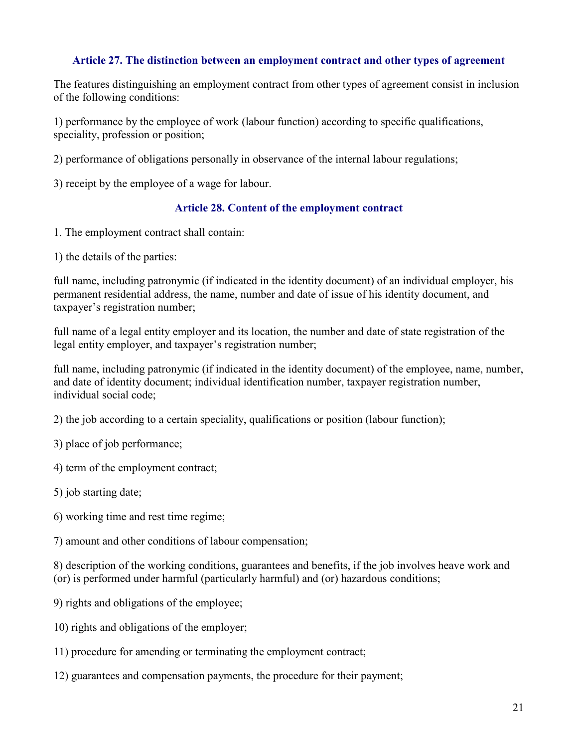#### Article 27. The distinction between an employment contract and other types of agreement

The features distinguishing an employment contract from other types of agreement consist in inclusion of the following conditions:

1) performance by the employee of work (labour function) according to specific qualifications, speciality, profession or position;

2) performance of obligations personally in observance of the internal labour regulations;

3) receipt by the employee of a wage for labour.

### Article 28. Content of the employment contract

1. The employment contract shall contain:

1) the details of the parties:

full name, including patronymic (if indicated in the identity document) of an individual employer, his permanent residential address, the name, number and date of issue of his identity document, and taxpayer's registration number;

full name of a legal entity employer and its location, the number and date of state registration of the legal entity employer, and taxpayer's registration number;

full name, including patronymic (if indicated in the identity document) of the employee, name, number, and date of identity document; individual identification number, taxpayer registration number, individual social code;

2) the job according to a certain speciality, qualifications or position (labour function);

3) place of job performance;

4) term of the employment contract;

5) job starting date;

6) working time and rest time regime;

7) amount and other conditions of labour compensation;

8) description of the working conditions, guarantees and benefits, if the job involves heave work and (or) is performed under harmful (particularly harmful) and (or) hazardous conditions;

- 9) rights and obligations of the employee;
- 10) rights and obligations of the employer;
- 11) procedure for amending or terminating the employment contract;
- 12) guarantees and compensation payments, the procedure for their payment;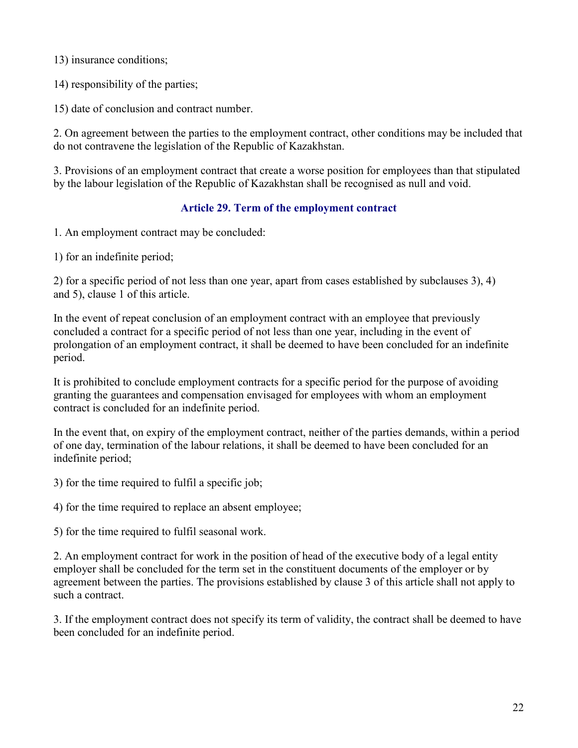13) insurance conditions;

14) responsibility of the parties;

15) date of conclusion and contract number.

2. On agreement between the parties to the employment contract, other conditions may be included that do not contravene the legislation of the Republic of Kazakhstan.

3. Provisions of an employment contract that create a worse position for employees than that stipulated by the labour legislation of the Republic of Kazakhstan shall be recognised as null and void.

### Article 29. Term of the employment contract

1. An employment contract may be concluded:

1) for an indefinite period;

2) for a specific period of not less than one year, apart from cases established by subclauses 3), 4) and 5), clause 1 of this article.

In the event of repeat conclusion of an employment contract with an employee that previously concluded a contract for a specific period of not less than one year, including in the event of prolongation of an employment contract, it shall be deemed to have been concluded for an indefinite period.

It is prohibited to conclude employment contracts for a specific period for the purpose of avoiding granting the guarantees and compensation envisaged for employees with whom an employment contract is concluded for an indefinite period.

In the event that, on expiry of the employment contract, neither of the parties demands, within a period of one day, termination of the labour relations, it shall be deemed to have been concluded for an indefinite period;

3) for the time required to fulfil a specific job;

4) for the time required to replace an absent employee;

5) for the time required to fulfil seasonal work.

2. An employment contract for work in the position of head of the executive body of a legal entity employer shall be concluded for the term set in the constituent documents of the employer or by agreement between the parties. The provisions established by clause 3 of this article shall not apply to such a contract.

3. If the employment contract does not specify its term of validity, the contract shall be deemed to have been concluded for an indefinite period.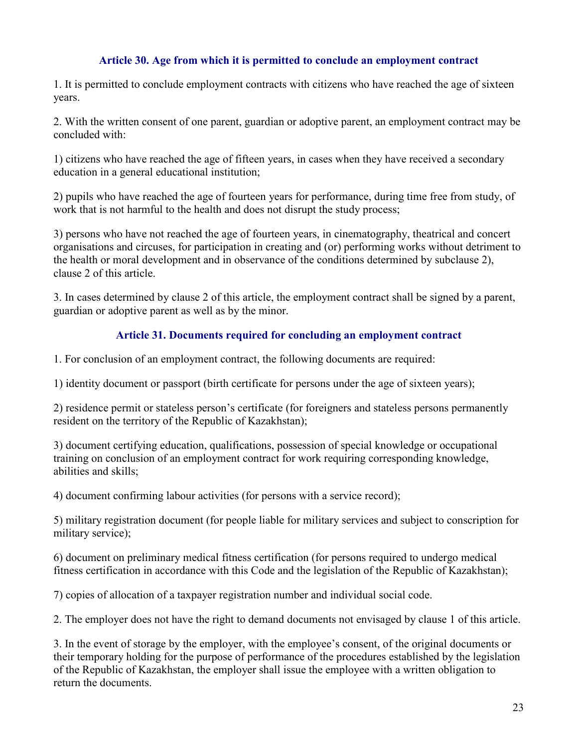#### Article 30. Age from which it is permitted to conclude an employment contract

1. It is permitted to conclude employment contracts with citizens who have reached the age of sixteen years.

2. With the written consent of one parent, guardian or adoptive parent, an employment contract may be concluded with:

1) citizens who have reached the age of fifteen years, in cases when they have received a secondary education in a general educational institution;

2) pupils who have reached the age of fourteen years for performance, during time free from study, of work that is not harmful to the health and does not disrupt the study process;

3) persons who have not reached the age of fourteen years, in cinematography, theatrical and concert organisations and circuses, for participation in creating and (or) performing works without detriment to the health or moral development and in observance of the conditions determined by subclause 2), clause 2 of this article.

3. In cases determined by clause 2 of this article, the employment contract shall be signed by a parent, guardian or adoptive parent as well as by the minor.

### Article 31. Documents required for concluding an employment contract

1. For conclusion of an employment contract, the following documents are required:

1) identity document or passport (birth certificate for persons under the age of sixteen years);

2) residence permit or stateless person's certificate (for foreigners and stateless persons permanently resident on the territory of the Republic of Kazakhstan);

3) document certifying education, qualifications, possession of special knowledge or occupational training on conclusion of an employment contract for work requiring corresponding knowledge, abilities and skills;

4) document confirming labour activities (for persons with a service record);

5) military registration document (for people liable for military services and subject to conscription for military service);

6) document on preliminary medical fitness certification (for persons required to undergo medical fitness certification in accordance with this Code and the legislation of the Republic of Kazakhstan);

7) copies of allocation of a taxpayer registration number and individual social code.

2. The employer does not have the right to demand documents not envisaged by clause 1 of this article.

3. In the event of storage by the employer, with the employee's consent, of the original documents or their temporary holding for the purpose of performance of the procedures established by the legislation of the Republic of Kazakhstan, the employer shall issue the employee with a written obligation to return the documents.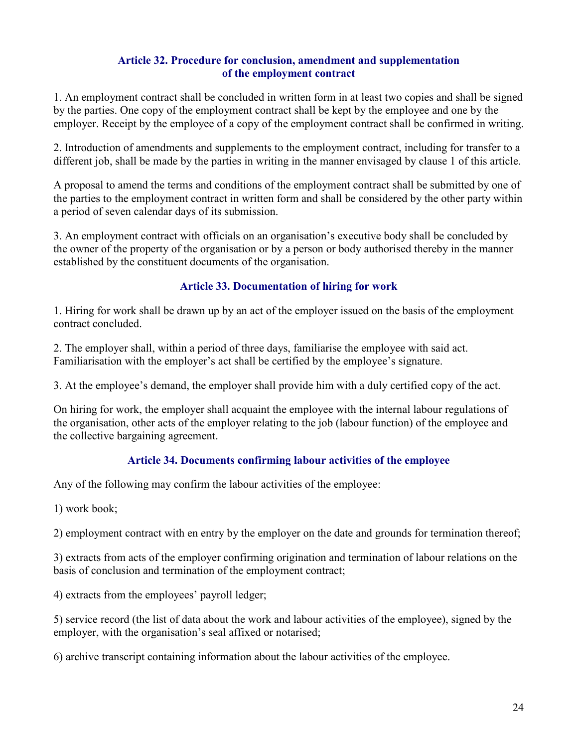#### Article 32. Procedure for conclusion, amendment and supplementation of the employment contract

1. An employment contract shall be concluded in written form in at least two copies and shall be signed by the parties. One copy of the employment contract shall be kept by the employee and one by the employer. Receipt by the employee of a copy of the employment contract shall be confirmed in writing.

2. Introduction of amendments and supplements to the employment contract, including for transfer to a different job, shall be made by the parties in writing in the manner envisaged by clause 1 of this article.

A proposal to amend the terms and conditions of the employment contract shall be submitted by one of the parties to the employment contract in written form and shall be considered by the other party within a period of seven calendar days of its submission.

3. An employment contract with officials on an organisation's executive body shall be concluded by the owner of the property of the organisation or by a person or body authorised thereby in the manner established by the constituent documents of the organisation.

# Article 33. Documentation of hiring for work

1. Hiring for work shall be drawn up by an act of the employer issued on the basis of the employment contract concluded.

2. The employer shall, within a period of three days, familiarise the employee with said act. Familiarisation with the employer's act shall be certified by the employee's signature.

3. At the employee's demand, the employer shall provide him with a duly certified copy of the act.

On hiring for work, the employer shall acquaint the employee with the internal labour regulations of the organisation, other acts of the employer relating to the job (labour function) of the employee and the collective bargaining agreement.

### Article 34. Documents confirming labour activities of the employee

Any of the following may confirm the labour activities of the employee:

1) work book;

2) employment contract with en entry by the employer on the date and grounds for termination thereof;

3) extracts from acts of the employer confirming origination and termination of labour relations on the basis of conclusion and termination of the employment contract;

4) extracts from the employees' payroll ledger;

5) service record (the list of data about the work and labour activities of the employee), signed by the employer, with the organisation's seal affixed or notarised;

6) archive transcript containing information about the labour activities of the employee.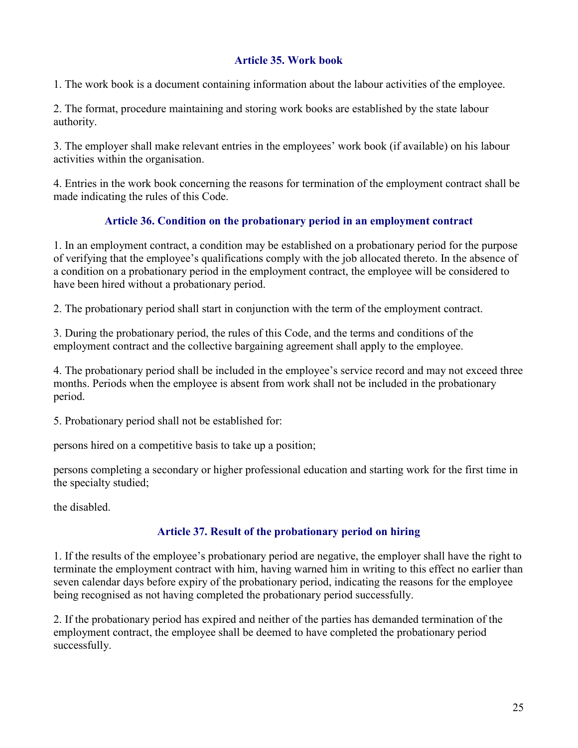### Article 35. Work book

1. The work book is a document containing information about the labour activities of the employee.

2. The format, procedure maintaining and storing work books are established by the state labour authority.

3. The employer shall make relevant entries in the employees' work book (if available) on his labour activities within the organisation.

4. Entries in the work book concerning the reasons for termination of the employment contract shall be made indicating the rules of this Code.

### Article 36. Condition on the probationary period in an employment contract

1. In an employment contract, a condition may be established on a probationary period for the purpose of verifying that the employee's qualifications comply with the job allocated thereto. In the absence of a condition on a probationary period in the employment contract, the employee will be considered to have been hired without a probationary period.

2. The probationary period shall start in conjunction with the term of the employment contract.

3. During the probationary period, the rules of this Code, and the terms and conditions of the employment contract and the collective bargaining agreement shall apply to the employee.

4. The probationary period shall be included in the employee's service record and may not exceed three months. Periods when the employee is absent from work shall not be included in the probationary period.

5. Probationary period shall not be established for:

persons hired on a competitive basis to take up a position;

persons completing a secondary or higher professional education and starting work for the first time in the specialty studied;

the disabled.

#### Article 37. Result of the probationary period on hiring

1. If the results of the employee's probationary period are negative, the employer shall have the right to terminate the employment contract with him, having warned him in writing to this effect no earlier than seven calendar days before expiry of the probationary period, indicating the reasons for the employee being recognised as not having completed the probationary period successfully.

2. If the probationary period has expired and neither of the parties has demanded termination of the employment contract, the employee shall be deemed to have completed the probationary period successfully.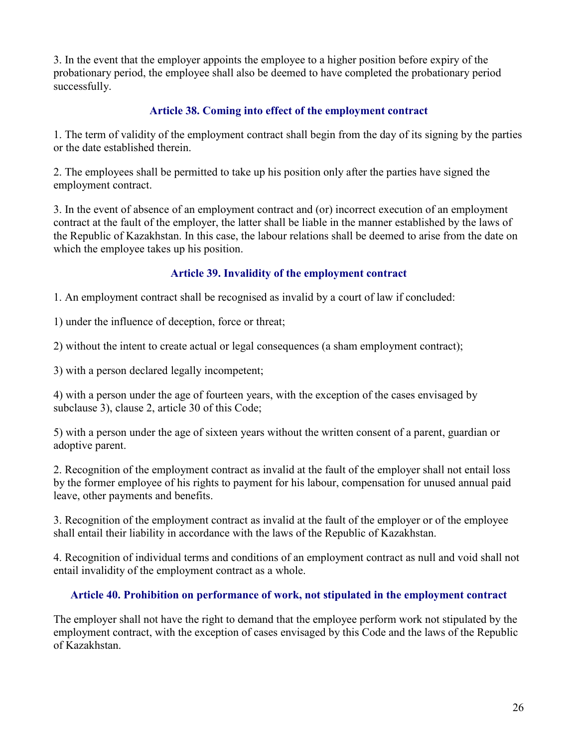3. In the event that the employer appoints the employee to a higher position before expiry of the probationary period, the employee shall also be deemed to have completed the probationary period successfully.

### Article 38. Coming into effect of the employment contract

1. The term of validity of the employment contract shall begin from the day of its signing by the parties or the date established therein.

2. The employees shall be permitted to take up his position only after the parties have signed the employment contract.

3. In the event of absence of an employment contract and (or) incorrect execution of an employment contract at the fault of the employer, the latter shall be liable in the manner established by the laws of the Republic of Kazakhstan. In this case, the labour relations shall be deemed to arise from the date on which the employee takes up his position.

# Article 39. Invalidity of the employment contract

1. An employment contract shall be recognised as invalid by a court of law if concluded:

1) under the influence of deception, force or threat;

2) without the intent to create actual or legal consequences (a sham employment contract);

3) with a person declared legally incompetent;

4) with a person under the age of fourteen years, with the exception of the cases envisaged by subclause 3), clause 2, article 30 of this Code;

5) with a person under the age of sixteen years without the written consent of a parent, guardian or adoptive parent.

2. Recognition of the employment contract as invalid at the fault of the employer shall not entail loss by the former employee of his rights to payment for his labour, compensation for unused annual paid leave, other payments and benefits.

3. Recognition of the employment contract as invalid at the fault of the employer or of the employee shall entail their liability in accordance with the laws of the Republic of Kazakhstan.

4. Recognition of individual terms and conditions of an employment contract as null and void shall not entail invalidity of the employment contract as a whole.

### Article 40. Prohibition on performance of work, not stipulated in the employment contract

The employer shall not have the right to demand that the employee perform work not stipulated by the employment contract, with the exception of cases envisaged by this Code and the laws of the Republic of Kazakhstan.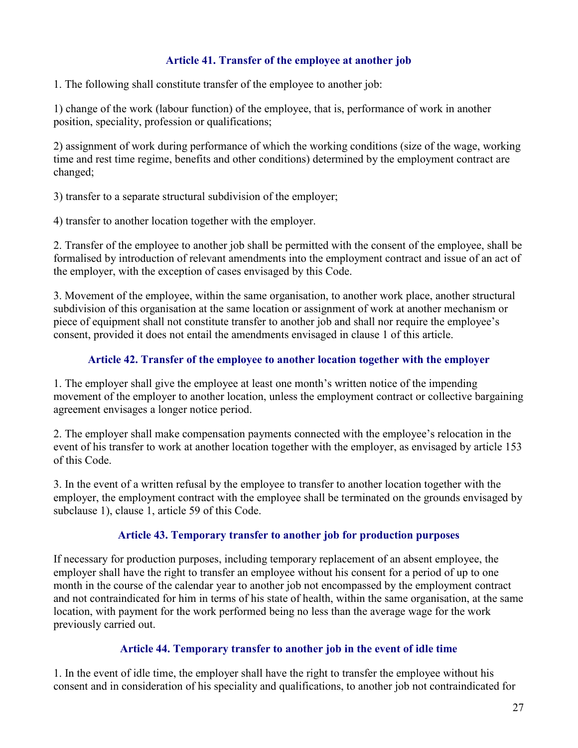### Article 41. Transfer of the employee at another job

1. The following shall constitute transfer of the employee to another job:

1) change of the work (labour function) of the employee, that is, performance of work in another position, speciality, profession or qualifications;

2) assignment of work during performance of which the working conditions (size of the wage, working time and rest time regime, benefits and other conditions) determined by the employment contract are changed;

3) transfer to a separate structural subdivision of the employer;

4) transfer to another location together with the employer.

2. Transfer of the employee to another job shall be permitted with the consent of the employee, shall be formalised by introduction of relevant amendments into the employment contract and issue of an act of the employer, with the exception of cases envisaged by this Code.

3. Movement of the employee, within the same organisation, to another work place, another structural subdivision of this organisation at the same location or assignment of work at another mechanism or piece of equipment shall not constitute transfer to another job and shall nor require the employee's consent, provided it does not entail the amendments envisaged in clause 1 of this article.

### Article 42. Transfer of the employee to another location together with the employer

1. The employer shall give the employee at least one month's written notice of the impending movement of the employer to another location, unless the employment contract or collective bargaining agreement envisages a longer notice period.

2. The employer shall make compensation payments connected with the employee's relocation in the event of his transfer to work at another location together with the employer, as envisaged by article 153 of this Code.

3. In the event of a written refusal by the employee to transfer to another location together with the employer, the employment contract with the employee shall be terminated on the grounds envisaged by subclause 1), clause 1, article 59 of this Code.

### Article 43. Temporary transfer to another job for production purposes

If necessary for production purposes, including temporary replacement of an absent employee, the employer shall have the right to transfer an employee without his consent for a period of up to one month in the course of the calendar year to another job not encompassed by the employment contract and not contraindicated for him in terms of his state of health, within the same organisation, at the same location, with payment for the work performed being no less than the average wage for the work previously carried out.

### Article 44. Temporary transfer to another job in the event of idle time

1. In the event of idle time, the employer shall have the right to transfer the employee without his consent and in consideration of his speciality and qualifications, to another job not contraindicated for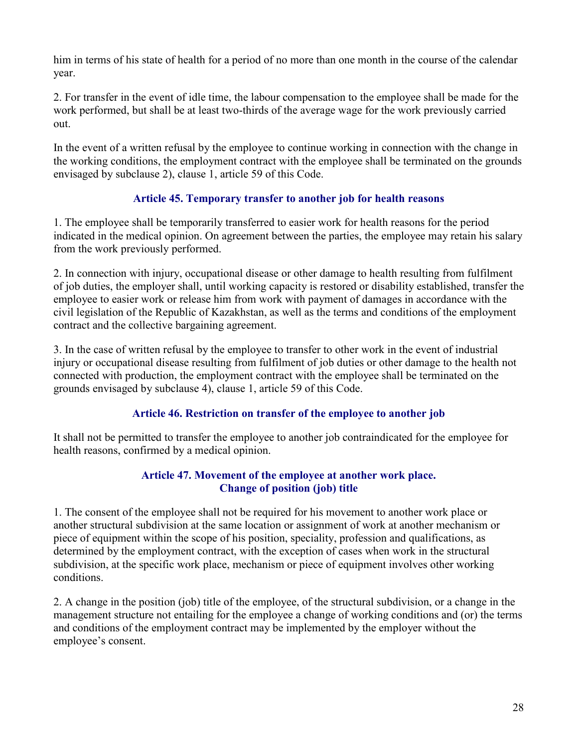him in terms of his state of health for a period of no more than one month in the course of the calendar year.

2. For transfer in the event of idle time, the labour compensation to the employee shall be made for the work performed, but shall be at least two-thirds of the average wage for the work previously carried out.

In the event of a written refusal by the employee to continue working in connection with the change in the working conditions, the employment contract with the employee shall be terminated on the grounds envisaged by subclause 2), clause 1, article 59 of this Code.

### Article 45. Temporary transfer to another job for health reasons

1. The employee shall be temporarily transferred to easier work for health reasons for the period indicated in the medical opinion. On agreement between the parties, the employee may retain his salary from the work previously performed.

2. In connection with injury, occupational disease or other damage to health resulting from fulfilment of job duties, the employer shall, until working capacity is restored or disability established, transfer the employee to easier work or release him from work with payment of damages in accordance with the civil legislation of the Republic of Kazakhstan, as well as the terms and conditions of the employment contract and the collective bargaining agreement.

3. In the case of written refusal by the employee to transfer to other work in the event of industrial injury or occupational disease resulting from fulfilment of job duties or other damage to the health not connected with production, the employment contract with the employee shall be terminated on the grounds envisaged by subclause 4), clause 1, article 59 of this Code.

### Article 46. Restriction on transfer of the employee to another job

It shall not be permitted to transfer the employee to another job contraindicated for the employee for health reasons, confirmed by a medical opinion.

#### Article 47. Movement of the employee at another work place. Change of position (job) title

1. The consent of the employee shall not be required for his movement to another work place or another structural subdivision at the same location or assignment of work at another mechanism or piece of equipment within the scope of his position, speciality, profession and qualifications, as determined by the employment contract, with the exception of cases when work in the structural subdivision, at the specific work place, mechanism or piece of equipment involves other working conditions.

2. A change in the position (job) title of the employee, of the structural subdivision, or a change in the management structure not entailing for the employee a change of working conditions and (or) the terms and conditions of the employment contract may be implemented by the employer without the employee's consent.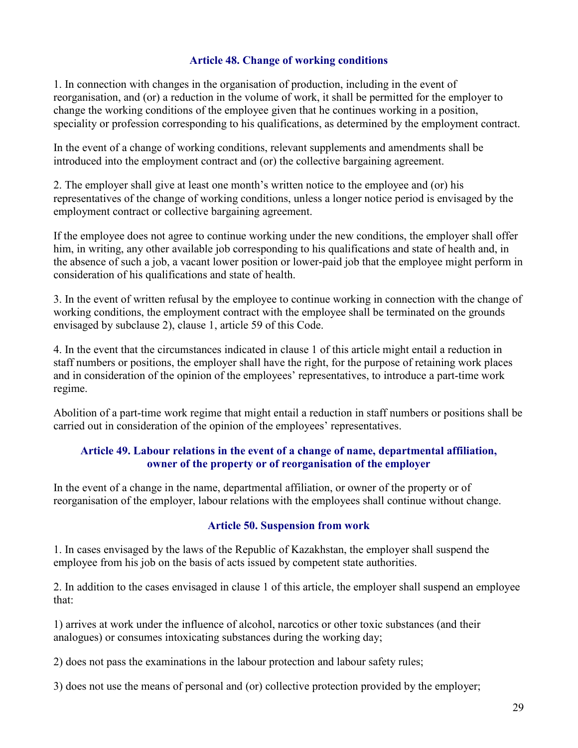#### Article 48. Change of working conditions

1. In connection with changes in the organisation of production, including in the event of reorganisation, and (or) a reduction in the volume of work, it shall be permitted for the employer to change the working conditions of the employee given that he continues working in a position, speciality or profession corresponding to his qualifications, as determined by the employment contract.

In the event of a change of working conditions, relevant supplements and amendments shall be introduced into the employment contract and (or) the collective bargaining agreement.

2. The employer shall give at least one month's written notice to the employee and (or) his representatives of the change of working conditions, unless a longer notice period is envisaged by the employment contract or collective bargaining agreement.

If the employee does not agree to continue working under the new conditions, the employer shall offer him, in writing, any other available job corresponding to his qualifications and state of health and, in the absence of such a job, a vacant lower position or lower-paid job that the employee might perform in consideration of his qualifications and state of health.

3. In the event of written refusal by the employee to continue working in connection with the change of working conditions, the employment contract with the employee shall be terminated on the grounds envisaged by subclause 2), clause 1, article 59 of this Code.

4. In the event that the circumstances indicated in clause 1 of this article might entail a reduction in staff numbers or positions, the employer shall have the right, for the purpose of retaining work places and in consideration of the opinion of the employees' representatives, to introduce a part-time work regime.

Abolition of a part-time work regime that might entail a reduction in staff numbers or positions shall be carried out in consideration of the opinion of the employees' representatives.

### Article 49. Labour relations in the event of a change of name, departmental affiliation, owner of the property or of reorganisation of the employer

In the event of a change in the name, departmental affiliation, or owner of the property or of reorganisation of the employer, labour relations with the employees shall continue without change.

#### Article 50. Suspension from work

1. In cases envisaged by the laws of the Republic of Kazakhstan, the employer shall suspend the employee from his job on the basis of acts issued by competent state authorities.

2. In addition to the cases envisaged in clause 1 of this article, the employer shall suspend an employee that:

1) arrives at work under the influence of alcohol, narcotics or other toxic substances (and their analogues) or consumes intoxicating substances during the working day;

2) does not pass the examinations in the labour protection and labour safety rules;

3) does not use the means of personal and (or) collective protection provided by the employer;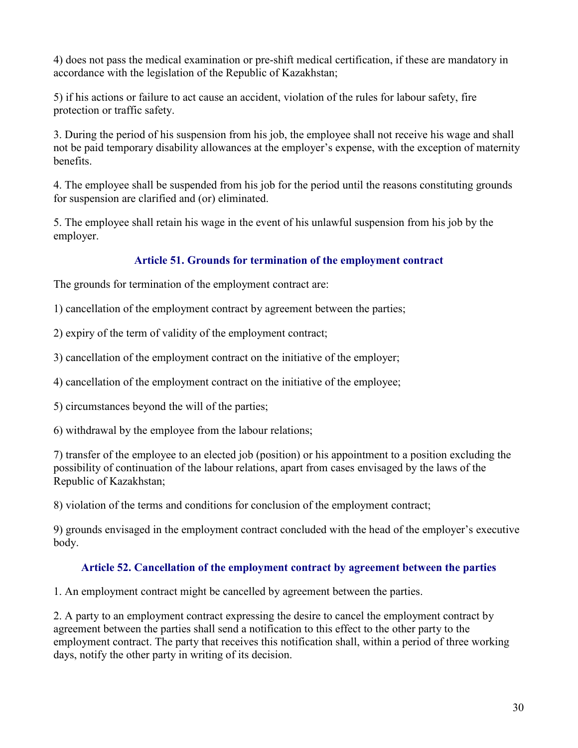4) does not pass the medical examination or pre-shift medical certification, if these are mandatory in accordance with the legislation of the Republic of Kazakhstan;

5) if his actions or failure to act cause an accident, violation of the rules for labour safety, fire protection or traffic safety.

3. During the period of his suspension from his job, the employee shall not receive his wage and shall not be paid temporary disability allowances at the employer's expense, with the exception of maternity benefits.

4. The employee shall be suspended from his job for the period until the reasons constituting grounds for suspension are clarified and (or) eliminated.

5. The employee shall retain his wage in the event of his unlawful suspension from his job by the employer.

### Article 51. Grounds for termination of the employment contract

The grounds for termination of the employment contract are:

1) cancellation of the employment contract by agreement between the parties;

2) expiry of the term of validity of the employment contract;

3) cancellation of the employment contract on the initiative of the employer;

4) cancellation of the employment contract on the initiative of the employee;

5) circumstances beyond the will of the parties;

6) withdrawal by the employee from the labour relations;

7) transfer of the employee to an elected job (position) or his appointment to a position excluding the possibility of continuation of the labour relations, apart from cases envisaged by the laws of the Republic of Kazakhstan;

8) violation of the terms and conditions for conclusion of the employment contract;

9) grounds envisaged in the employment contract concluded with the head of the employer's executive body.

### Article 52. Cancellation of the employment contract by agreement between the parties

1. An employment contract might be cancelled by agreement between the parties.

2. A party to an employment contract expressing the desire to cancel the employment contract by agreement between the parties shall send a notification to this effect to the other party to the employment contract. The party that receives this notification shall, within a period of three working days, notify the other party in writing of its decision.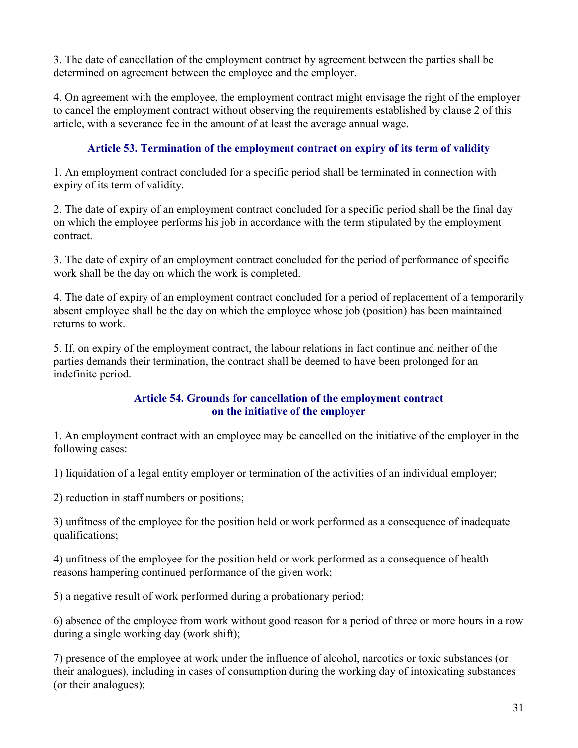3. The date of cancellation of the employment contract by agreement between the parties shall be determined on agreement between the employee and the employer.

4. On agreement with the employee, the employment contract might envisage the right of the employer to cancel the employment contract without observing the requirements established by clause 2 of this article, with a severance fee in the amount of at least the average annual wage.

# Article 53. Termination of the employment contract on expiry of its term of validity

1. An employment contract concluded for a specific period shall be terminated in connection with expiry of its term of validity.

2. The date of expiry of an employment contract concluded for a specific period shall be the final day on which the employee performs his job in accordance with the term stipulated by the employment contract.

3. The date of expiry of an employment contract concluded for the period of performance of specific work shall be the day on which the work is completed.

4. The date of expiry of an employment contract concluded for a period of replacement of a temporarily absent employee shall be the day on which the employee whose job (position) has been maintained returns to work.

5. If, on expiry of the employment contract, the labour relations in fact continue and neither of the parties demands their termination, the contract shall be deemed to have been prolonged for an indefinite period.

#### Article 54. Grounds for cancellation of the employment contract on the initiative of the employer

1. An employment contract with an employee may be cancelled on the initiative of the employer in the following cases:

1) liquidation of a legal entity employer or termination of the activities of an individual employer;

2) reduction in staff numbers or positions;

3) unfitness of the employee for the position held or work performed as a consequence of inadequate qualifications;

4) unfitness of the employee for the position held or work performed as a consequence of health reasons hampering continued performance of the given work;

5) a negative result of work performed during a probationary period;

6) absence of the employee from work without good reason for a period of three or more hours in a row during a single working day (work shift);

7) presence of the employee at work under the influence of alcohol, narcotics or toxic substances (or their analogues), including in cases of consumption during the working day of intoxicating substances (or their analogues);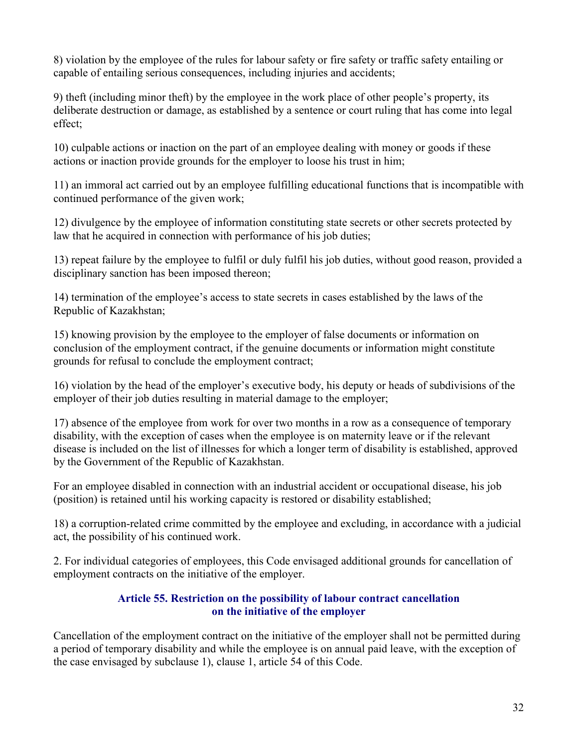8) violation by the employee of the rules for labour safety or fire safety or traffic safety entailing or capable of entailing serious consequences, including injuries and accidents;

9) theft (including minor theft) by the employee in the work place of other people's property, its deliberate destruction or damage, as established by a sentence or court ruling that has come into legal effect;

10) culpable actions or inaction on the part of an employee dealing with money or goods if these actions or inaction provide grounds for the employer to loose his trust in him;

11) an immoral act carried out by an employee fulfilling educational functions that is incompatible with continued performance of the given work;

12) divulgence by the employee of information constituting state secrets or other secrets protected by law that he acquired in connection with performance of his job duties;

13) repeat failure by the employee to fulfil or duly fulfil his job duties, without good reason, provided a disciplinary sanction has been imposed thereon;

14) termination of the employee's access to state secrets in cases established by the laws of the Republic of Kazakhstan;

15) knowing provision by the employee to the employer of false documents or information on conclusion of the employment contract, if the genuine documents or information might constitute grounds for refusal to conclude the employment contract;

16) violation by the head of the employer's executive body, his deputy or heads of subdivisions of the employer of their job duties resulting in material damage to the employer;

17) absence of the employee from work for over two months in a row as a consequence of temporary disability, with the exception of cases when the employee is on maternity leave or if the relevant disease is included on the list of illnesses for which a longer term of disability is established, approved by the Government of the Republic of Kazakhstan.

For an employee disabled in connection with an industrial accident or occupational disease, his job (position) is retained until his working capacity is restored or disability established;

18) a corruption-related crime committed by the employee and excluding, in accordance with a judicial act, the possibility of his continued work.

2. For individual categories of employees, this Code envisaged additional grounds for cancellation of employment contracts on the initiative of the employer.

### Article 55. Restriction on the possibility of labour contract cancellation on the initiative of the employer

Cancellation of the employment contract on the initiative of the employer shall not be permitted during a period of temporary disability and while the employee is on annual paid leave, with the exception of the case envisaged by subclause 1), clause 1, article 54 of this Code.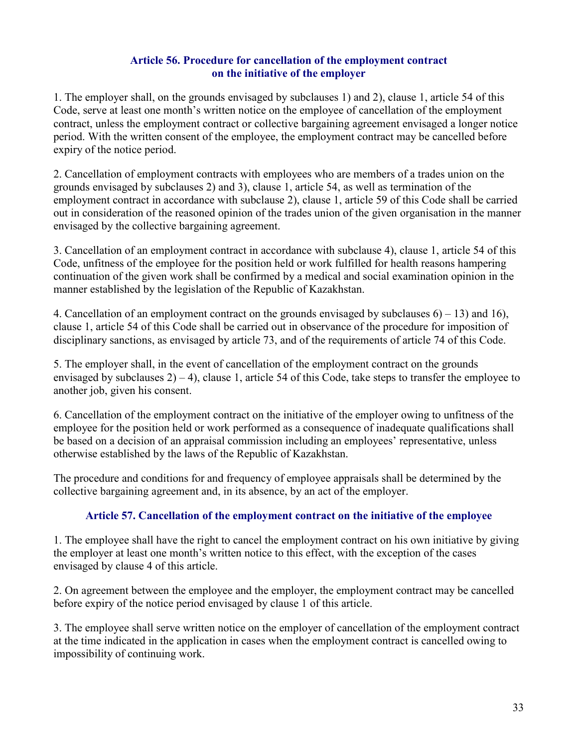#### Article 56. Procedure for cancellation of the employment contract on the initiative of the employer

1. The employer shall, on the grounds envisaged by subclauses 1) and 2), clause 1, article 54 of this Code, serve at least one month's written notice on the employee of cancellation of the employment contract, unless the employment contract or collective bargaining agreement envisaged a longer notice period. With the written consent of the employee, the employment contract may be cancelled before expiry of the notice period.

2. Cancellation of employment contracts with employees who are members of a trades union on the grounds envisaged by subclauses 2) and 3), clause 1, article 54, as well as termination of the employment contract in accordance with subclause 2), clause 1, article 59 of this Code shall be carried out in consideration of the reasoned opinion of the trades union of the given organisation in the manner envisaged by the collective bargaining agreement.

3. Cancellation of an employment contract in accordance with subclause 4), clause 1, article 54 of this Code, unfitness of the employee for the position held or work fulfilled for health reasons hampering continuation of the given work shall be confirmed by a medical and social examination opinion in the manner established by the legislation of the Republic of Kazakhstan.

4. Cancellation of an employment contract on the grounds envisaged by subclauses  $6$ ) – 13) and 16), clause 1, article 54 of this Code shall be carried out in observance of the procedure for imposition of disciplinary sanctions, as envisaged by article 73, and of the requirements of article 74 of this Code.

5. The employer shall, in the event of cancellation of the employment contract on the grounds envisaged by subclauses  $2(-4)$ , clause 1, article 54 of this Code, take steps to transfer the employee to another job, given his consent.

6. Cancellation of the employment contract on the initiative of the employer owing to unfitness of the employee for the position held or work performed as a consequence of inadequate qualifications shall be based on a decision of an appraisal commission including an employees' representative, unless otherwise established by the laws of the Republic of Kazakhstan.

The procedure and conditions for and frequency of employee appraisals shall be determined by the collective bargaining agreement and, in its absence, by an act of the employer.

### Article 57. Cancellation of the employment contract on the initiative of the employee

1. The employee shall have the right to cancel the employment contract on his own initiative by giving the employer at least one month's written notice to this effect, with the exception of the cases envisaged by clause 4 of this article.

2. On agreement between the employee and the employer, the employment contract may be cancelled before expiry of the notice period envisaged by clause 1 of this article.

3. The employee shall serve written notice on the employer of cancellation of the employment contract at the time indicated in the application in cases when the employment contract is cancelled owing to impossibility of continuing work.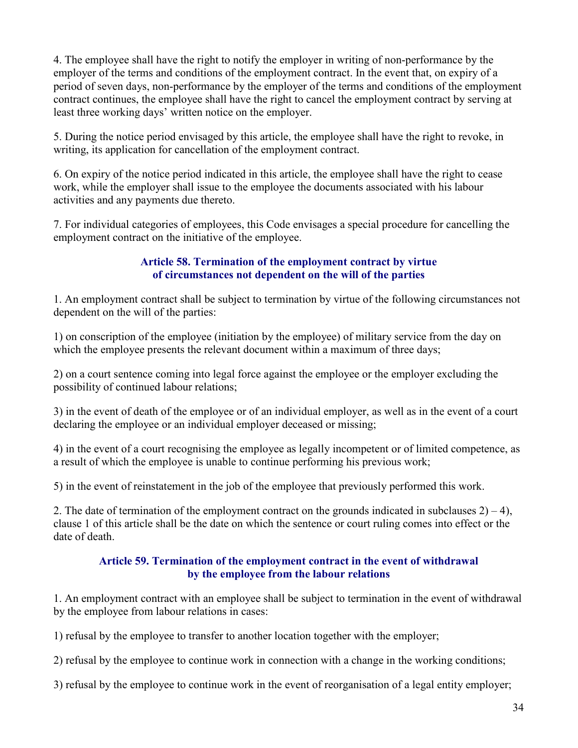4. The employee shall have the right to notify the employer in writing of non-performance by the employer of the terms and conditions of the employment contract. In the event that, on expiry of a period of seven days, non-performance by the employer of the terms and conditions of the employment contract continues, the employee shall have the right to cancel the employment contract by serving at least three working days' written notice on the employer.

5. During the notice period envisaged by this article, the employee shall have the right to revoke, in writing, its application for cancellation of the employment contract.

6. On expiry of the notice period indicated in this article, the employee shall have the right to cease work, while the employer shall issue to the employee the documents associated with his labour activities and any payments due thereto.

7. For individual categories of employees, this Code envisages a special procedure for cancelling the employment contract on the initiative of the employee.

#### Article 58. Termination of the employment contract by virtue of circumstances not dependent on the will of the parties

1. An employment contract shall be subject to termination by virtue of the following circumstances not dependent on the will of the parties:

1) on conscription of the employee (initiation by the employee) of military service from the day on which the employee presents the relevant document within a maximum of three days;

2) on a court sentence coming into legal force against the employee or the employer excluding the possibility of continued labour relations;

3) in the event of death of the employee or of an individual employer, as well as in the event of a court declaring the employee or an individual employer deceased or missing;

4) in the event of a court recognising the employee as legally incompetent or of limited competence, as a result of which the employee is unable to continue performing his previous work;

5) in the event of reinstatement in the job of the employee that previously performed this work.

2. The date of termination of the employment contract on the grounds indicated in subclauses  $2(-4)$ , clause 1 of this article shall be the date on which the sentence or court ruling comes into effect or the date of death.

### Article 59. Termination of the employment contract in the event of withdrawal by the employee from the labour relations

1. An employment contract with an employee shall be subject to termination in the event of withdrawal by the employee from labour relations in cases:

1) refusal by the employee to transfer to another location together with the employer;

2) refusal by the employee to continue work in connection with a change in the working conditions;

3) refusal by the employee to continue work in the event of reorganisation of a legal entity employer;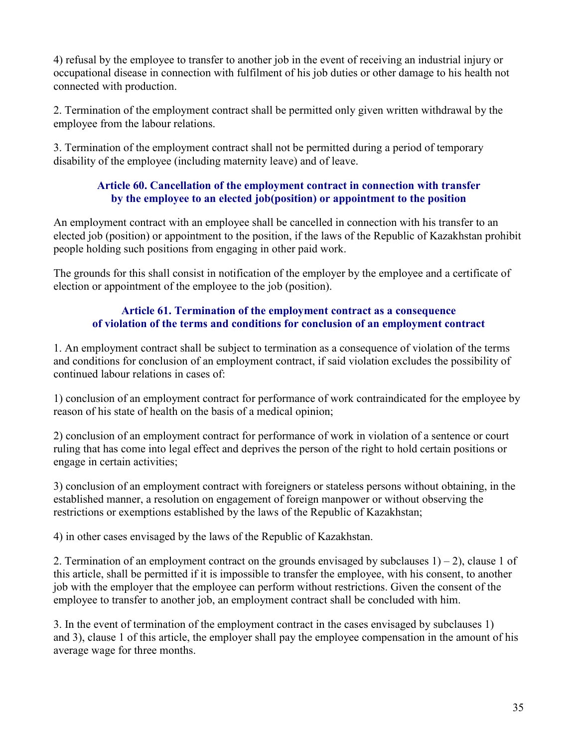4) refusal by the employee to transfer to another job in the event of receiving an industrial injury or occupational disease in connection with fulfilment of his job duties or other damage to his health not connected with production.

2. Termination of the employment contract shall be permitted only given written withdrawal by the employee from the labour relations.

3. Termination of the employment contract shall not be permitted during a period of temporary disability of the employee (including maternity leave) and of leave.

#### Article 60. Cancellation of the employment contract in connection with transfer by the employee to an elected job(position) or appointment to the position

An employment contract with an employee shall be cancelled in connection with his transfer to an elected job (position) or appointment to the position, if the laws of the Republic of Kazakhstan prohibit people holding such positions from engaging in other paid work.

The grounds for this shall consist in notification of the employer by the employee and a certificate of election or appointment of the employee to the job (position).

#### Article 61. Termination of the employment contract as a consequence of violation of the terms and conditions for conclusion of an employment contract

1. An employment contract shall be subject to termination as a consequence of violation of the terms and conditions for conclusion of an employment contract, if said violation excludes the possibility of continued labour relations in cases of:

1) conclusion of an employment contract for performance of work contraindicated for the employee by reason of his state of health on the basis of a medical opinion;

2) conclusion of an employment contract for performance of work in violation of a sentence or court ruling that has come into legal effect and deprives the person of the right to hold certain positions or engage in certain activities;

3) conclusion of an employment contract with foreigners or stateless persons without obtaining, in the established manner, a resolution on engagement of foreign manpower or without observing the restrictions or exemptions established by the laws of the Republic of Kazakhstan;

4) in other cases envisaged by the laws of the Republic of Kazakhstan.

2. Termination of an employment contract on the grounds envisaged by subclauses  $1) - 2$ ), clause 1 of this article, shall be permitted if it is impossible to transfer the employee, with his consent, to another job with the employer that the employee can perform without restrictions. Given the consent of the employee to transfer to another job, an employment contract shall be concluded with him.

3. In the event of termination of the employment contract in the cases envisaged by subclauses 1) and 3), clause 1 of this article, the employer shall pay the employee compensation in the amount of his average wage for three months.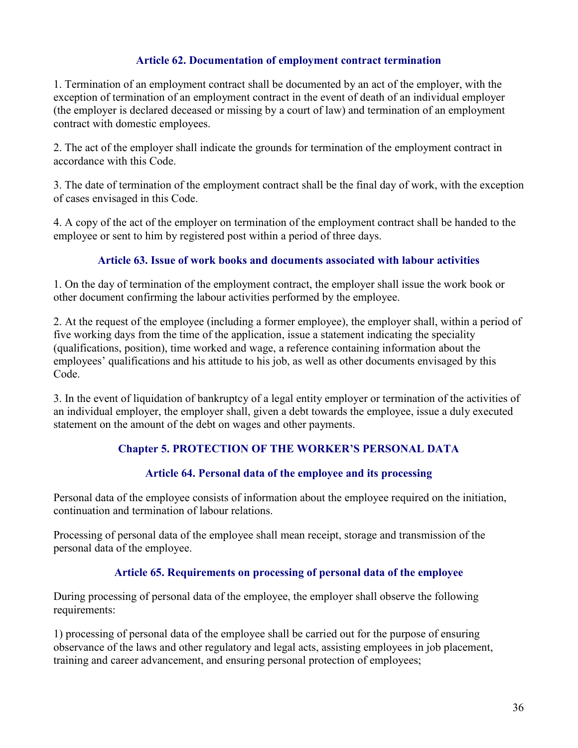### Article 62. Documentation of employment contract termination

1. Termination of an employment contract shall be documented by an act of the employer, with the exception of termination of an employment contract in the event of death of an individual employer (the employer is declared deceased or missing by a court of law) and termination of an employment contract with domestic employees.

2. The act of the employer shall indicate the grounds for termination of the employment contract in accordance with this Code.

3. The date of termination of the employment contract shall be the final day of work, with the exception of cases envisaged in this Code.

4. A copy of the act of the employer on termination of the employment contract shall be handed to the employee or sent to him by registered post within a period of three days.

#### Article 63. Issue of work books and documents associated with labour activities

1. On the day of termination of the employment contract, the employer shall issue the work book or other document confirming the labour activities performed by the employee.

2. At the request of the employee (including a former employee), the employer shall, within a period of five working days from the time of the application, issue a statement indicating the speciality (qualifications, position), time worked and wage, a reference containing information about the employees' qualifications and his attitude to his job, as well as other documents envisaged by this Code.

3. In the event of liquidation of bankruptcy of a legal entity employer or termination of the activities of an individual employer, the employer shall, given a debt towards the employee, issue a duly executed statement on the amount of the debt on wages and other payments.

### Chapter 5. PROTECTION OF THE WORKER'S PERSONAL DATA

### Article 64. Personal data of the employee and its processing

Personal data of the employee consists of information about the employee required on the initiation, continuation and termination of labour relations.

Processing of personal data of the employee shall mean receipt, storage and transmission of the personal data of the employee.

#### Article 65. Requirements on processing of personal data of the employee

During processing of personal data of the employee, the employer shall observe the following requirements:

1) processing of personal data of the employee shall be carried out for the purpose of ensuring observance of the laws and other regulatory and legal acts, assisting employees in job placement, training and career advancement, and ensuring personal protection of employees;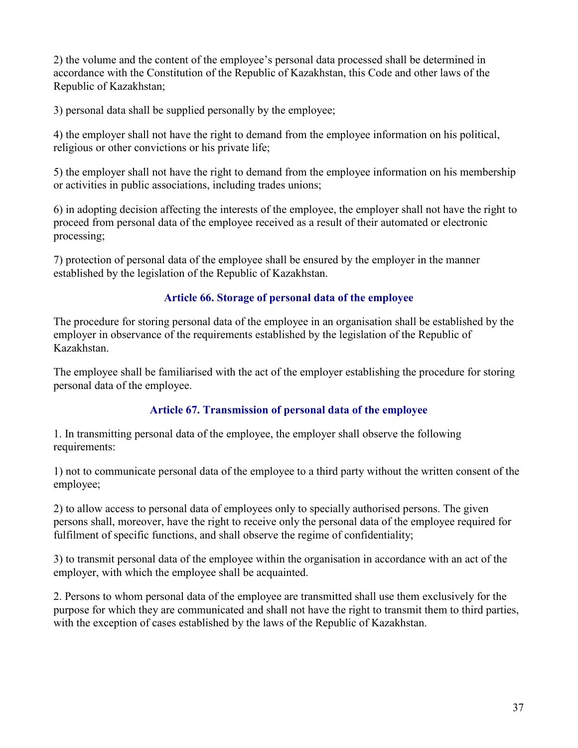2) the volume and the content of the employee's personal data processed shall be determined in accordance with the Constitution of the Republic of Kazakhstan, this Code and other laws of the Republic of Kazakhstan;

3) personal data shall be supplied personally by the employee;

4) the employer shall not have the right to demand from the employee information on his political, religious or other convictions or his private life;

5) the employer shall not have the right to demand from the employee information on his membership or activities in public associations, including trades unions;

6) in adopting decision affecting the interests of the employee, the employer shall not have the right to proceed from personal data of the employee received as a result of their automated or electronic processing;

7) protection of personal data of the employee shall be ensured by the employer in the manner established by the legislation of the Republic of Kazakhstan.

## Article 66. Storage of personal data of the employee

The procedure for storing personal data of the employee in an organisation shall be established by the employer in observance of the requirements established by the legislation of the Republic of Kazakhstan.

The employee shall be familiarised with the act of the employer establishing the procedure for storing personal data of the employee.

## Article 67. Transmission of personal data of the employee

1. In transmitting personal data of the employee, the employer shall observe the following requirements:

1) not to communicate personal data of the employee to a third party without the written consent of the employee;

2) to allow access to personal data of employees only to specially authorised persons. The given persons shall, moreover, have the right to receive only the personal data of the employee required for fulfilment of specific functions, and shall observe the regime of confidentiality;

3) to transmit personal data of the employee within the organisation in accordance with an act of the employer, with which the employee shall be acquainted.

2. Persons to whom personal data of the employee are transmitted shall use them exclusively for the purpose for which they are communicated and shall not have the right to transmit them to third parties, with the exception of cases established by the laws of the Republic of Kazakhstan.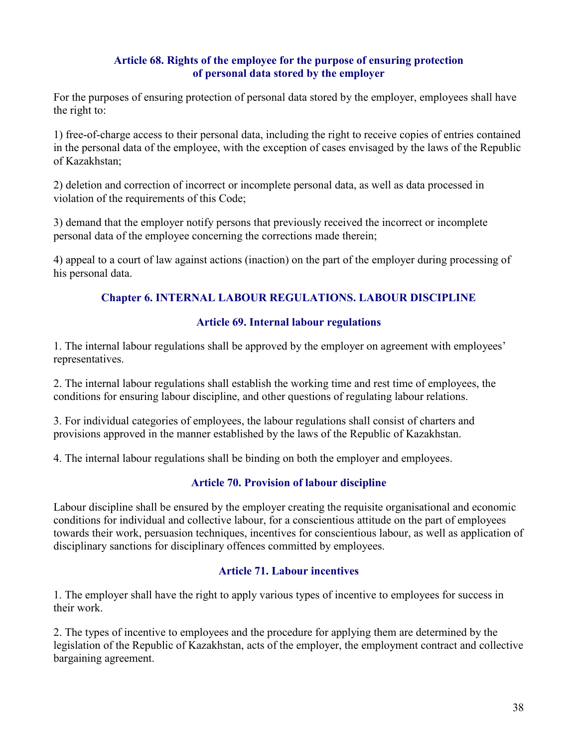### Article 68. Rights of the employee for the purpose of ensuring protection of personal data stored by the employer

For the purposes of ensuring protection of personal data stored by the employer, employees shall have the right to:

1) free-of-charge access to their personal data, including the right to receive copies of entries contained in the personal data of the employee, with the exception of cases envisaged by the laws of the Republic of Kazakhstan;

2) deletion and correction of incorrect or incomplete personal data, as well as data processed in violation of the requirements of this Code;

3) demand that the employer notify persons that previously received the incorrect or incomplete personal data of the employee concerning the corrections made therein;

4) appeal to a court of law against actions (inaction) on the part of the employer during processing of his personal data.

## Chapter 6. INTERNAL LABOUR REGULATIONS. LABOUR DISCIPLINE

### Article 69. Internal labour regulations

1. The internal labour regulations shall be approved by the employer on agreement with employees' representatives.

2. The internal labour regulations shall establish the working time and rest time of employees, the conditions for ensuring labour discipline, and other questions of regulating labour relations.

3. For individual categories of employees, the labour regulations shall consist of charters and provisions approved in the manner established by the laws of the Republic of Kazakhstan.

4. The internal labour regulations shall be binding on both the employer and employees.

### Article 70. Provision of labour discipline

Labour discipline shall be ensured by the employer creating the requisite organisational and economic conditions for individual and collective labour, for a conscientious attitude on the part of employees towards their work, persuasion techniques, incentives for conscientious labour, as well as application of disciplinary sanctions for disciplinary offences committed by employees.

### Article 71. Labour incentives

1. The employer shall have the right to apply various types of incentive to employees for success in their work.

2. The types of incentive to employees and the procedure for applying them are determined by the legislation of the Republic of Kazakhstan, acts of the employer, the employment contract and collective bargaining agreement.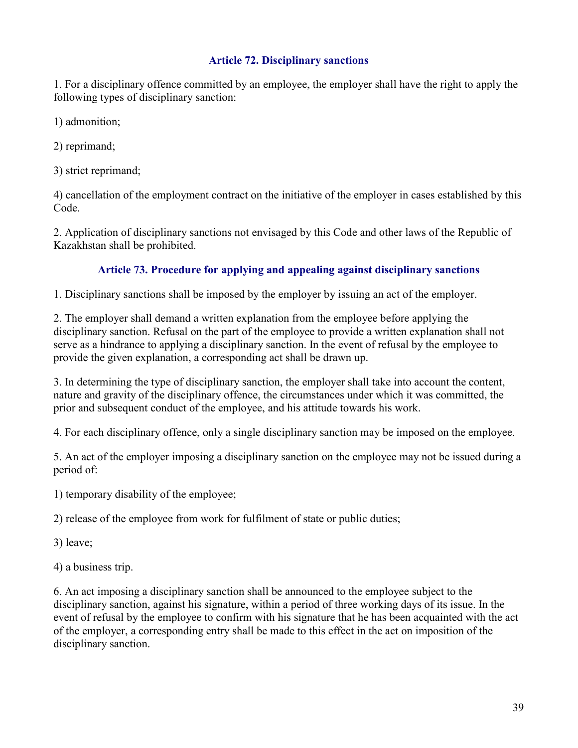## Article 72. Disciplinary sanctions

1. For a disciplinary offence committed by an employee, the employer shall have the right to apply the following types of disciplinary sanction:

1) admonition;

2) reprimand;

3) strict reprimand;

4) cancellation of the employment contract on the initiative of the employer in cases established by this Code.

2. Application of disciplinary sanctions not envisaged by this Code and other laws of the Republic of Kazakhstan shall be prohibited.

## Article 73. Procedure for applying and appealing against disciplinary sanctions

1. Disciplinary sanctions shall be imposed by the employer by issuing an act of the employer.

2. The employer shall demand a written explanation from the employee before applying the disciplinary sanction. Refusal on the part of the employee to provide a written explanation shall not serve as a hindrance to applying a disciplinary sanction. In the event of refusal by the employee to provide the given explanation, a corresponding act shall be drawn up.

3. In determining the type of disciplinary sanction, the employer shall take into account the content, nature and gravity of the disciplinary offence, the circumstances under which it was committed, the prior and subsequent conduct of the employee, and his attitude towards his work.

4. For each disciplinary offence, only a single disciplinary sanction may be imposed on the employee.

5. An act of the employer imposing a disciplinary sanction on the employee may not be issued during a period of:

1) temporary disability of the employee;

2) release of the employee from work for fulfilment of state or public duties;

3) leave;

4) a business trip.

6. An act imposing a disciplinary sanction shall be announced to the employee subject to the disciplinary sanction, against his signature, within a period of three working days of its issue. In the event of refusal by the employee to confirm with his signature that he has been acquainted with the act of the employer, a corresponding entry shall be made to this effect in the act on imposition of the disciplinary sanction.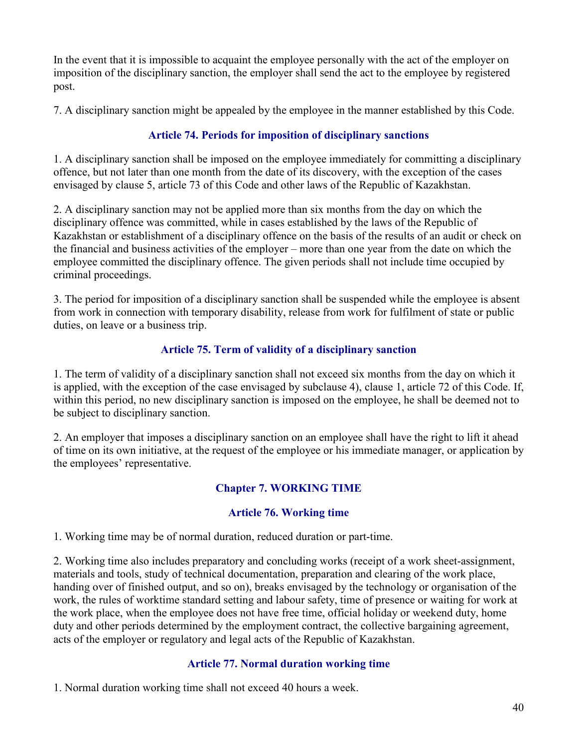In the event that it is impossible to acquaint the employee personally with the act of the employer on imposition of the disciplinary sanction, the employer shall send the act to the employee by registered post.

7. A disciplinary sanction might be appealed by the employee in the manner established by this Code.

## Article 74. Periods for imposition of disciplinary sanctions

1. A disciplinary sanction shall be imposed on the employee immediately for committing a disciplinary offence, but not later than one month from the date of its discovery, with the exception of the cases envisaged by clause 5, article 73 of this Code and other laws of the Republic of Kazakhstan.

2. A disciplinary sanction may not be applied more than six months from the day on which the disciplinary offence was committed, while in cases established by the laws of the Republic of Kazakhstan or establishment of a disciplinary offence on the basis of the results of an audit or check on the financial and business activities of the employer – more than one year from the date on which the employee committed the disciplinary offence. The given periods shall not include time occupied by criminal proceedings.

3. The period for imposition of a disciplinary sanction shall be suspended while the employee is absent from work in connection with temporary disability, release from work for fulfilment of state or public duties, on leave or a business trip.

## Article 75. Term of validity of a disciplinary sanction

1. The term of validity of a disciplinary sanction shall not exceed six months from the day on which it is applied, with the exception of the case envisaged by subclause 4), clause 1, article 72 of this Code. If, within this period, no new disciplinary sanction is imposed on the employee, he shall be deemed not to be subject to disciplinary sanction.

2. An employer that imposes a disciplinary sanction on an employee shall have the right to lift it ahead of time on its own initiative, at the request of the employee or his immediate manager, or application by the employees' representative.

# Chapter 7. WORKING TIME

## Article 76. Working time

1. Working time may be of normal duration, reduced duration or part-time.

2. Working time also includes preparatory and concluding works (receipt of a work sheet-assignment, materials and tools, study of technical documentation, preparation and clearing of the work place, handing over of finished output, and so on), breaks envisaged by the technology or organisation of the work, the rules of worktime standard setting and labour safety, time of presence or waiting for work at the work place, when the employee does not have free time, official holiday or weekend duty, home duty and other periods determined by the employment contract, the collective bargaining agreement, acts of the employer or regulatory and legal acts of the Republic of Kazakhstan.

## Article 77. Normal duration working time

1. Normal duration working time shall not exceed 40 hours a week.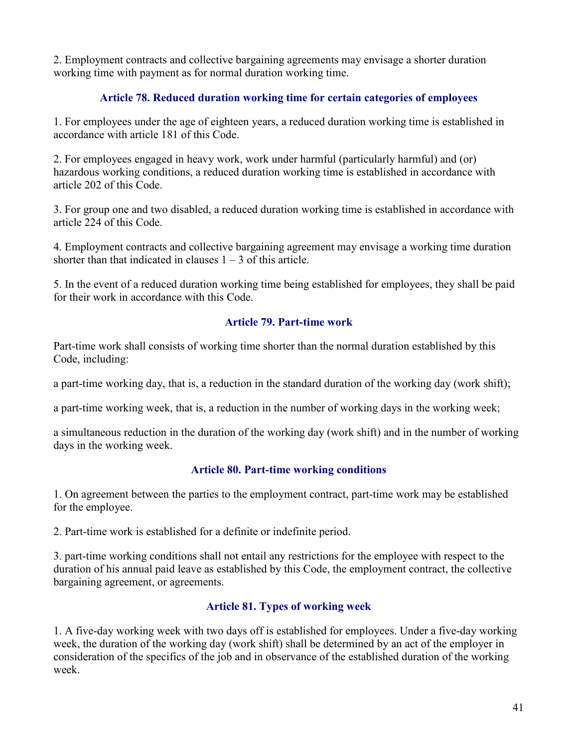2. Employment contracts and collective bargaining agreements may envisage a shorter duration working time with payment as for normal duration working time.

## Article 78. Reduced duration working time for certain categories of employees

1. For employees under the age of eighteen years, a reduced duration working time is established in accordance with article 181 of this Code.

2. For employees engaged in heavy work, work under harmful (particularly harmful) and (or) hazardous working conditions, a reduced duration working time is established in accordance with article 202 of this Code.

3. For group one and two disabled, a reduced duration working time is established in accordance with article 224 of this Code.

4. Employment contracts and collective bargaining agreement may envisage a working time duration shorter than that indicated in clauses  $1 - 3$  of this article.

5. In the event of a reduced duration working time being established for employees, they shall be paid for their work in accordance with this Code.

## Article 79. Part-time work

Part-time work shall consists of working time shorter than the normal duration established by this Code, including:

a part-time working day, that is, a reduction in the standard duration of the working day (work shift);

a part-time working week, that is, a reduction in the number of working days in the working week;

a simultaneous reduction in the duration of the working day (work shift) and in the number of working days in the working week.

### Article 80. Part-time working conditions

1. On agreement between the parties to the employment contract, part-time work may be established for the employee.

2. Part-time work is established for a definite or indefinite period.

3. part-time working conditions shall not entail any restrictions for the employee with respect to the duration of his annual paid leave as established by this Code, the employment contract, the collective bargaining agreement, or agreements.

### Article 81. Types of working week

1. A five-day working week with two days off is established for employees. Under a five-day working week, the duration of the working day (work shift) shall be determined by an act of the employer in consideration of the specifics of the job and in observance of the established duration of the working week.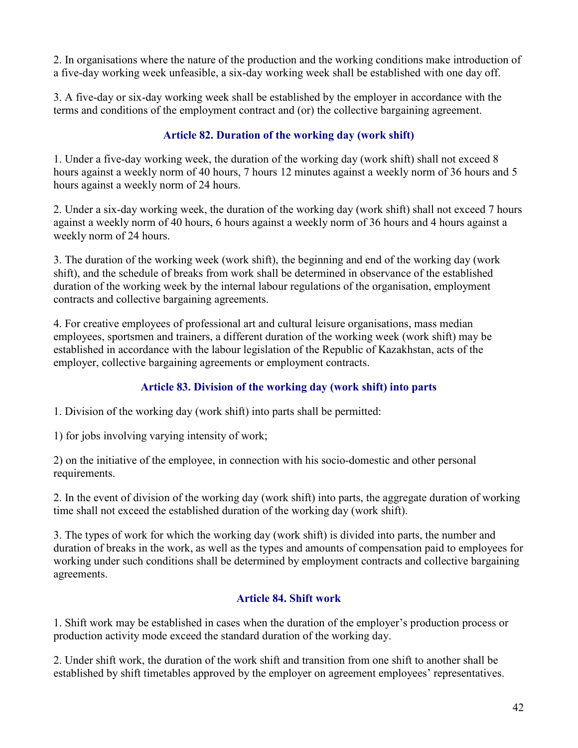2. In organisations where the nature of the production and the working conditions make introduction of a five-day working week unfeasible, a six-day working week shall be established with one day off.

3. A five-day or six-day working week shall be established by the employer in accordance with the terms and conditions of the employment contract and (or) the collective bargaining agreement.

# Article 82. Duration of the working day (work shift)

1. Under a five-day working week, the duration of the working day (work shift) shall not exceed 8 hours against a weekly norm of 40 hours, 7 hours 12 minutes against a weekly norm of 36 hours and 5 hours against a weekly norm of 24 hours.

2. Under a six-day working week, the duration of the working day (work shift) shall not exceed 7 hours against a weekly norm of 40 hours, 6 hours against a weekly norm of 36 hours and 4 hours against a weekly norm of 24 hours.

3. The duration of the working week (work shift), the beginning and end of the working day (work shift), and the schedule of breaks from work shall be determined in observance of the established duration of the working week by the internal labour regulations of the organisation, employment contracts and collective bargaining agreements.

4. For creative employees of professional art and cultural leisure organisations, mass median employees, sportsmen and trainers, a different duration of the working week (work shift) may be established in accordance with the labour legislation of the Republic of Kazakhstan, acts of the employer, collective bargaining agreements or employment contracts.

# Article 83. Division of the working day (work shift) into parts

1. Division of the working day (work shift) into parts shall be permitted:

1) for jobs involving varying intensity of work;

2) on the initiative of the employee, in connection with his socio-domestic and other personal requirements.

2. In the event of division of the working day (work shift) into parts, the aggregate duration of working time shall not exceed the established duration of the working day (work shift).

3. The types of work for which the working day (work shift) is divided into parts, the number and duration of breaks in the work, as well as the types and amounts of compensation paid to employees for working under such conditions shall be determined by employment contracts and collective bargaining agreements.

## Article 84. Shift work

1. Shift work may be established in cases when the duration of the employer's production process or production activity mode exceed the standard duration of the working day.

2. Under shift work, the duration of the work shift and transition from one shift to another shall be established by shift timetables approved by the employer on agreement employees' representatives.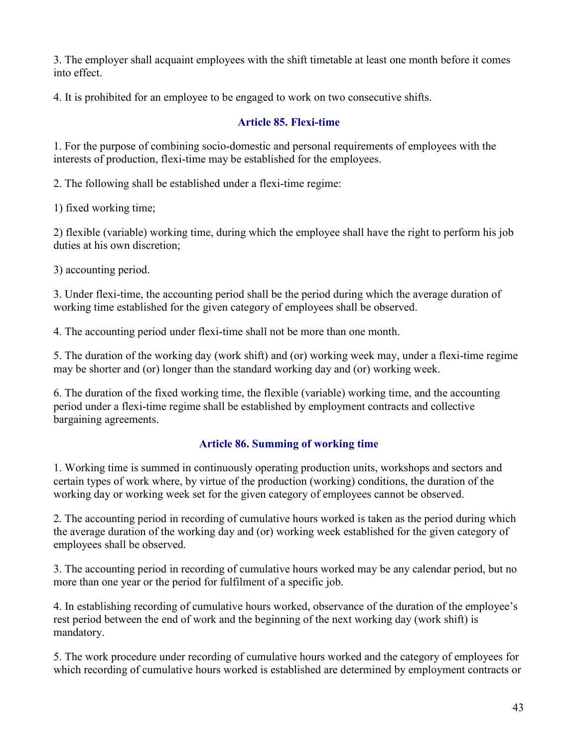3. The employer shall acquaint employees with the shift timetable at least one month before it comes into effect.

4. It is prohibited for an employee to be engaged to work on two consecutive shifts.

## Article 85. Flexi-time

1. For the purpose of combining socio-domestic and personal requirements of employees with the interests of production, flexi-time may be established for the employees.

2. The following shall be established under a flexi-time regime:

1) fixed working time;

2) flexible (variable) working time, during which the employee shall have the right to perform his job duties at his own discretion;

3) accounting period.

3. Under flexi-time, the accounting period shall be the period during which the average duration of working time established for the given category of employees shall be observed.

4. The accounting period under flexi-time shall not be more than one month.

5. The duration of the working day (work shift) and (or) working week may, under a flexi-time regime may be shorter and (or) longer than the standard working day and (or) working week.

6. The duration of the fixed working time, the flexible (variable) working time, and the accounting period under a flexi-time regime shall be established by employment contracts and collective bargaining agreements.

## Article 86. Summing of working time

1. Working time is summed in continuously operating production units, workshops and sectors and certain types of work where, by virtue of the production (working) conditions, the duration of the working day or working week set for the given category of employees cannot be observed.

2. The accounting period in recording of cumulative hours worked is taken as the period during which the average duration of the working day and (or) working week established for the given category of employees shall be observed.

3. The accounting period in recording of cumulative hours worked may be any calendar period, but no more than one year or the period for fulfilment of a specific job.

4. In establishing recording of cumulative hours worked, observance of the duration of the employee's rest period between the end of work and the beginning of the next working day (work shift) is mandatory.

5. The work procedure under recording of cumulative hours worked and the category of employees for which recording of cumulative hours worked is established are determined by employment contracts or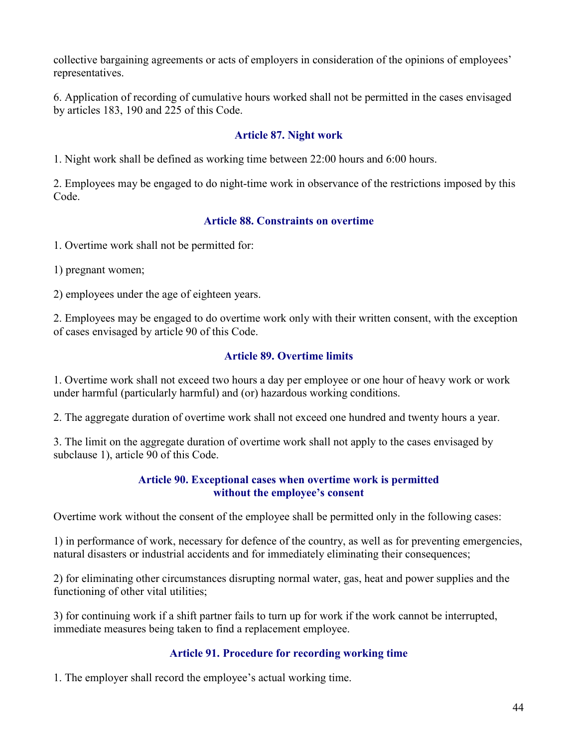collective bargaining agreements or acts of employers in consideration of the opinions of employees' representatives.

6. Application of recording of cumulative hours worked shall not be permitted in the cases envisaged by articles 183, 190 and 225 of this Code.

## Article 87. Night work

1. Night work shall be defined as working time between 22:00 hours and 6:00 hours.

2. Employees may be engaged to do night-time work in observance of the restrictions imposed by this Code.

### Article 88. Constraints on overtime

1. Overtime work shall not be permitted for:

1) pregnant women;

2) employees under the age of eighteen years.

2. Employees may be engaged to do overtime work only with their written consent, with the exception of cases envisaged by article 90 of this Code.

### Article 89. Overtime limits

1. Overtime work shall not exceed two hours a day per employee or one hour of heavy work or work under harmful (particularly harmful) and (or) hazardous working conditions.

2. The aggregate duration of overtime work shall not exceed one hundred and twenty hours a year.

3. The limit on the aggregate duration of overtime work shall not apply to the cases envisaged by subclause 1), article 90 of this Code.

### Article 90. Exceptional cases when overtime work is permitted without the employee's consent

Overtime work without the consent of the employee shall be permitted only in the following cases:

1) in performance of work, necessary for defence of the country, as well as for preventing emergencies, natural disasters or industrial accidents and for immediately eliminating their consequences;

2) for eliminating other circumstances disrupting normal water, gas, heat and power supplies and the functioning of other vital utilities;

3) for continuing work if a shift partner fails to turn up for work if the work cannot be interrupted, immediate measures being taken to find a replacement employee.

### Article 91. Procedure for recording working time

1. The employer shall record the employee's actual working time.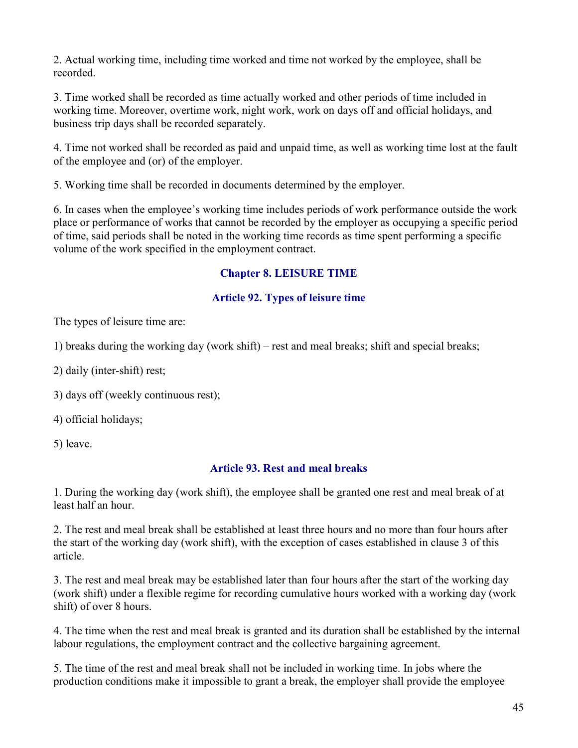2. Actual working time, including time worked and time not worked by the employee, shall be recorded.

3. Time worked shall be recorded as time actually worked and other periods of time included in working time. Moreover, overtime work, night work, work on days off and official holidays, and business trip days shall be recorded separately.

4. Time not worked shall be recorded as paid and unpaid time, as well as working time lost at the fault of the employee and (or) of the employer.

5. Working time shall be recorded in documents determined by the employer.

6. In cases when the employee's working time includes periods of work performance outside the work place or performance of works that cannot be recorded by the employer as occupying a specific period of time, said periods shall be noted in the working time records as time spent performing a specific volume of the work specified in the employment contract.

## Chapter 8. LEISURE TIME

## Article 92. Types of leisure time

The types of leisure time are:

1) breaks during the working day (work shift) – rest and meal breaks; shift and special breaks;

2) daily (inter-shift) rest;

3) days off (weekly continuous rest);

4) official holidays;

5) leave.

## Article 93. Rest and meal breaks

1. During the working day (work shift), the employee shall be granted one rest and meal break of at least half an hour.

2. The rest and meal break shall be established at least three hours and no more than four hours after the start of the working day (work shift), with the exception of cases established in clause 3 of this article.

3. The rest and meal break may be established later than four hours after the start of the working day (work shift) under a flexible regime for recording cumulative hours worked with a working day (work shift) of over 8 hours.

4. The time when the rest and meal break is granted and its duration shall be established by the internal labour regulations, the employment contract and the collective bargaining agreement.

5. The time of the rest and meal break shall not be included in working time. In jobs where the production conditions make it impossible to grant a break, the employer shall provide the employee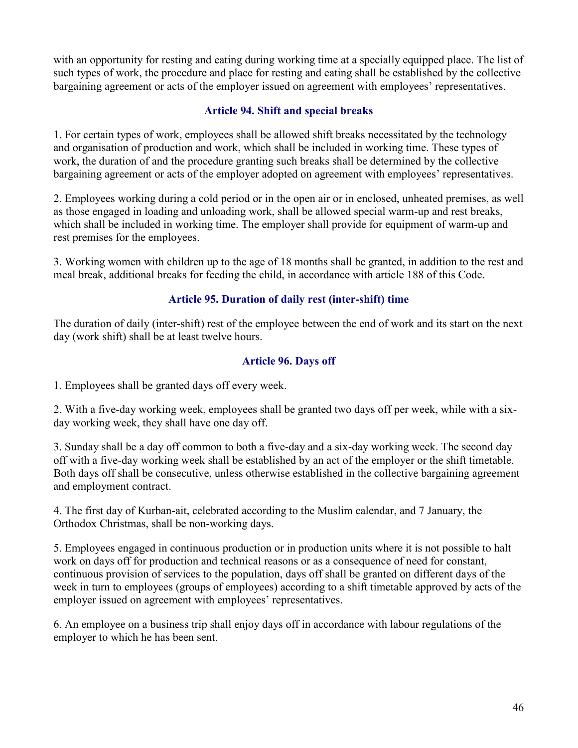with an opportunity for resting and eating during working time at a specially equipped place. The list of such types of work, the procedure and place for resting and eating shall be established by the collective bargaining agreement or acts of the employer issued on agreement with employees' representatives.

### Article 94. Shift and special breaks

1. For certain types of work, employees shall be allowed shift breaks necessitated by the technology and organisation of production and work, which shall be included in working time. These types of work, the duration of and the procedure granting such breaks shall be determined by the collective bargaining agreement or acts of the employer adopted on agreement with employees' representatives.

2. Employees working during a cold period or in the open air or in enclosed, unheated premises, as well as those engaged in loading and unloading work, shall be allowed special warm-up and rest breaks, which shall be included in working time. The employer shall provide for equipment of warm-up and rest premises for the employees.

3. Working women with children up to the age of 18 months shall be granted, in addition to the rest and meal break, additional breaks for feeding the child, in accordance with article 188 of this Code.

## Article 95. Duration of daily rest (inter-shift) time

The duration of daily (inter-shift) rest of the employee between the end of work and its start on the next day (work shift) shall be at least twelve hours.

## Article 96. Days off

1. Employees shall be granted days off every week.

2. With a five-day working week, employees shall be granted two days off per week, while with a sixday working week, they shall have one day off.

3. Sunday shall be a day off common to both a five-day and a six-day working week. The second day off with a five-day working week shall be established by an act of the employer or the shift timetable. Both days off shall be consecutive, unless otherwise established in the collective bargaining agreement and employment contract.

4. The first day of Kurban-ait, celebrated according to the Muslim calendar, and 7 January, the Orthodox Christmas, shall be non-working days.

5. Employees engaged in continuous production or in production units where it is not possible to halt work on days off for production and technical reasons or as a consequence of need for constant, continuous provision of services to the population, days off shall be granted on different days of the week in turn to employees (groups of employees) according to a shift timetable approved by acts of the employer issued on agreement with employees' representatives.

6. An employee on a business trip shall enjoy days off in accordance with labour regulations of the employer to which he has been sent.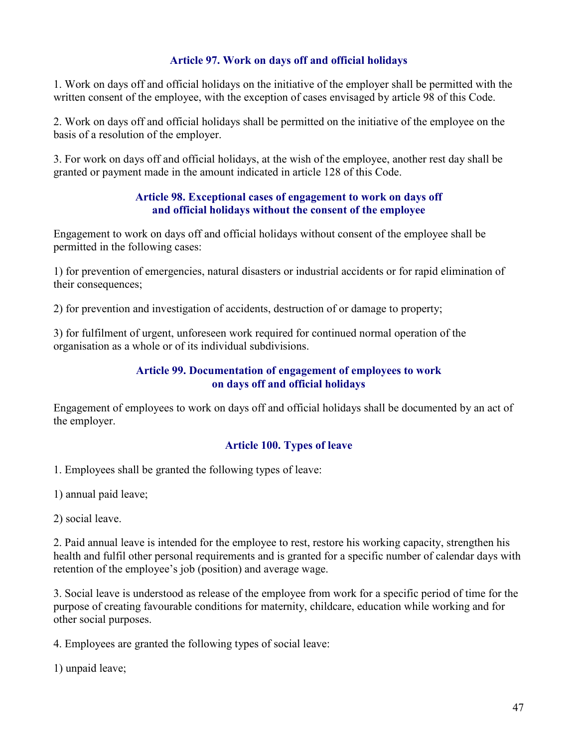### Article 97. Work on days off and official holidays

1. Work on days off and official holidays on the initiative of the employer shall be permitted with the written consent of the employee, with the exception of cases envisaged by article 98 of this Code.

2. Work on days off and official holidays shall be permitted on the initiative of the employee on the basis of a resolution of the employer.

3. For work on days off and official holidays, at the wish of the employee, another rest day shall be granted or payment made in the amount indicated in article 128 of this Code.

### Article 98. Exceptional cases of engagement to work on days off and official holidays without the consent of the employee

Engagement to work on days off and official holidays without consent of the employee shall be permitted in the following cases:

1) for prevention of emergencies, natural disasters or industrial accidents or for rapid elimination of their consequences;

2) for prevention and investigation of accidents, destruction of or damage to property;

3) for fulfilment of urgent, unforeseen work required for continued normal operation of the organisation as a whole or of its individual subdivisions.

### Article 99. Documentation of engagement of employees to work on days off and official holidays

Engagement of employees to work on days off and official holidays shall be documented by an act of the employer.

## Article 100. Types of leave

1. Employees shall be granted the following types of leave:

1) annual paid leave;

2) social leave.

2. Paid annual leave is intended for the employee to rest, restore his working capacity, strengthen his health and fulfil other personal requirements and is granted for a specific number of calendar days with retention of the employee's job (position) and average wage.

3. Social leave is understood as release of the employee from work for a specific period of time for the purpose of creating favourable conditions for maternity, childcare, education while working and for other social purposes.

4. Employees are granted the following types of social leave:

1) unpaid leave;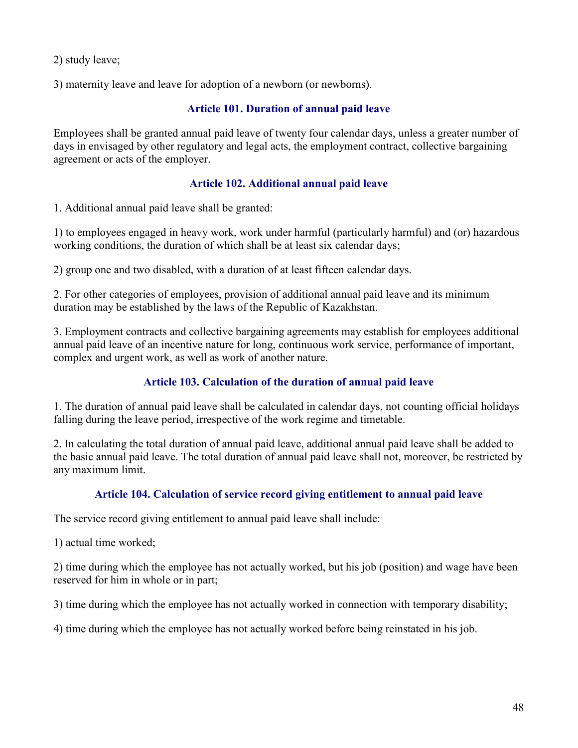2) study leave;

3) maternity leave and leave for adoption of a newborn (or newborns).

## Article 101. Duration of annual paid leave

Employees shall be granted annual paid leave of twenty four calendar days, unless a greater number of days in envisaged by other regulatory and legal acts, the employment contract, collective bargaining agreement or acts of the employer.

## Article 102. Additional annual paid leave

1. Additional annual paid leave shall be granted:

1) to employees engaged in heavy work, work under harmful (particularly harmful) and (or) hazardous working conditions, the duration of which shall be at least six calendar days;

2) group one and two disabled, with a duration of at least fifteen calendar days.

2. For other categories of employees, provision of additional annual paid leave and its minimum duration may be established by the laws of the Republic of Kazakhstan.

3. Employment contracts and collective bargaining agreements may establish for employees additional annual paid leave of an incentive nature for long, continuous work service, performance of important, complex and urgent work, as well as work of another nature.

# Article 103. Calculation of the duration of annual paid leave

1. The duration of annual paid leave shall be calculated in calendar days, not counting official holidays falling during the leave period, irrespective of the work regime and timetable.

2. In calculating the total duration of annual paid leave, additional annual paid leave shall be added to the basic annual paid leave. The total duration of annual paid leave shall not, moreover, be restricted by any maximum limit.

## Article 104. Calculation of service record giving entitlement to annual paid leave

The service record giving entitlement to annual paid leave shall include:

1) actual time worked;

2) time during which the employee has not actually worked, but his job (position) and wage have been reserved for him in whole or in part;

3) time during which the employee has not actually worked in connection with temporary disability;

4) time during which the employee has not actually worked before being reinstated in his job.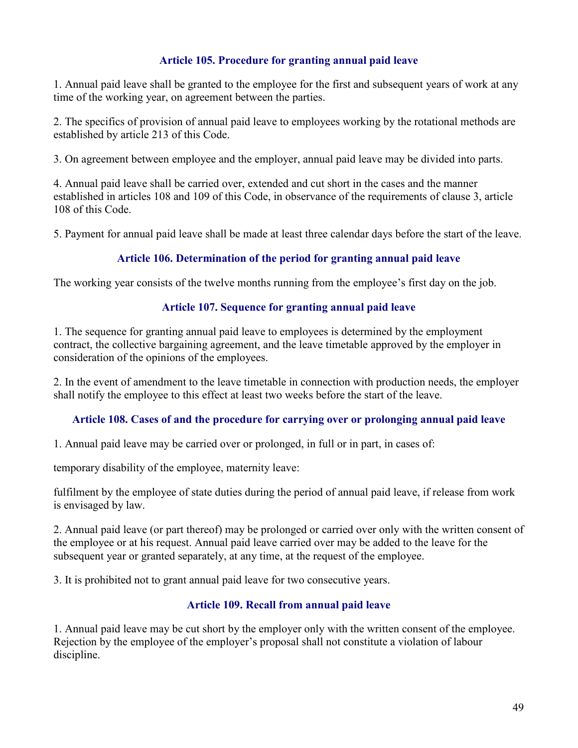## Article 105. Procedure for granting annual paid leave

1. Annual paid leave shall be granted to the employee for the first and subsequent years of work at any time of the working year, on agreement between the parties.

2. The specifics of provision of annual paid leave to employees working by the rotational methods are established by article 213 of this Code.

3. On agreement between employee and the employer, annual paid leave may be divided into parts.

4. Annual paid leave shall be carried over, extended and cut short in the cases and the manner established in articles 108 and 109 of this Code, in observance of the requirements of clause 3, article 108 of this Code.

5. Payment for annual paid leave shall be made at least three calendar days before the start of the leave.

## Article 106. Determination of the period for granting annual paid leave

The working year consists of the twelve months running from the employee's first day on the job.

### Article 107. Sequence for granting annual paid leave

1. The sequence for granting annual paid leave to employees is determined by the employment contract, the collective bargaining agreement, and the leave timetable approved by the employer in consideration of the opinions of the employees.

2. In the event of amendment to the leave timetable in connection with production needs, the employer shall notify the employee to this effect at least two weeks before the start of the leave.

### Article 108. Cases of and the procedure for carrying over or prolonging annual paid leave

1. Annual paid leave may be carried over or prolonged, in full or in part, in cases of:

temporary disability of the employee, maternity leave:

fulfilment by the employee of state duties during the period of annual paid leave, if release from work is envisaged by law.

2. Annual paid leave (or part thereof) may be prolonged or carried over only with the written consent of the employee or at his request. Annual paid leave carried over may be added to the leave for the subsequent year or granted separately, at any time, at the request of the employee.

3. It is prohibited not to grant annual paid leave for two consecutive years.

## Article 109. Recall from annual paid leave

1. Annual paid leave may be cut short by the employer only with the written consent of the employee. Rejection by the employee of the employer's proposal shall not constitute a violation of labour discipline.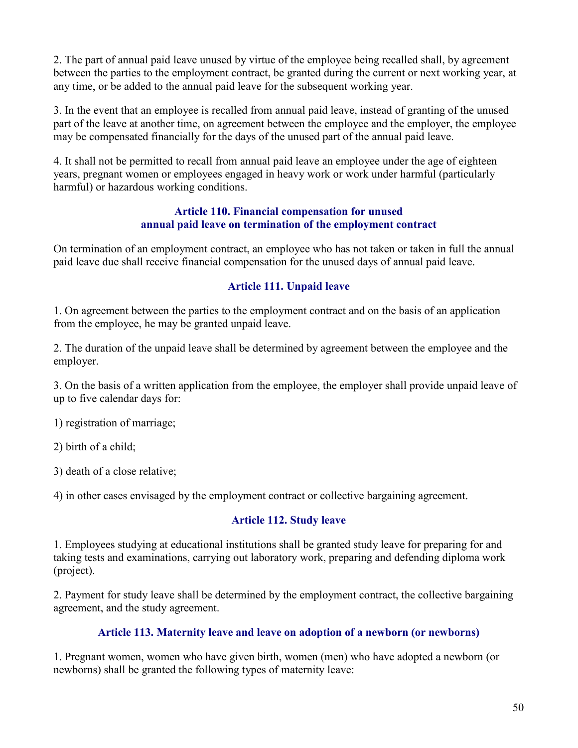2. The part of annual paid leave unused by virtue of the employee being recalled shall, by agreement between the parties to the employment contract, be granted during the current or next working year, at any time, or be added to the annual paid leave for the subsequent working year.

3. In the event that an employee is recalled from annual paid leave, instead of granting of the unused part of the leave at another time, on agreement between the employee and the employer, the employee may be compensated financially for the days of the unused part of the annual paid leave.

4. It shall not be permitted to recall from annual paid leave an employee under the age of eighteen years, pregnant women or employees engaged in heavy work or work under harmful (particularly harmful) or hazardous working conditions.

#### Article 110. Financial compensation for unused annual paid leave on termination of the employment contract

On termination of an employment contract, an employee who has not taken or taken in full the annual paid leave due shall receive financial compensation for the unused days of annual paid leave.

## Article 111. Unpaid leave

1. On agreement between the parties to the employment contract and on the basis of an application from the employee, he may be granted unpaid leave.

2. The duration of the unpaid leave shall be determined by agreement between the employee and the employer.

3. On the basis of a written application from the employee, the employer shall provide unpaid leave of up to five calendar days for:

1) registration of marriage;

2) birth of a child;

3) death of a close relative;

4) in other cases envisaged by the employment contract or collective bargaining agreement.

## Article 112. Study leave

1. Employees studying at educational institutions shall be granted study leave for preparing for and taking tests and examinations, carrying out laboratory work, preparing and defending diploma work (project).

2. Payment for study leave shall be determined by the employment contract, the collective bargaining agreement, and the study agreement.

## Article 113. Maternity leave and leave on adoption of a newborn (or newborns)

1. Pregnant women, women who have given birth, women (men) who have adopted a newborn (or newborns) shall be granted the following types of maternity leave: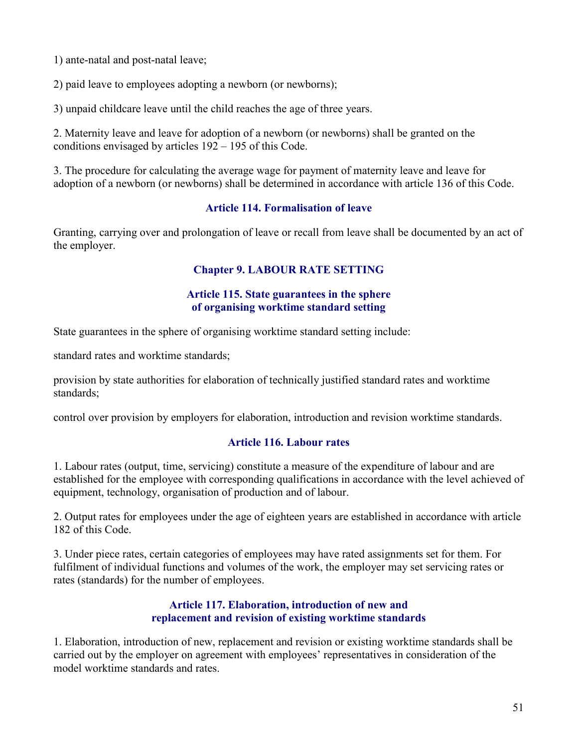1) ante-natal and post-natal leave;

2) paid leave to employees adopting a newborn (or newborns);

3) unpaid childcare leave until the child reaches the age of three years.

2. Maternity leave and leave for adoption of a newborn (or newborns) shall be granted on the conditions envisaged by articles 192 – 195 of this Code.

3. The procedure for calculating the average wage for payment of maternity leave and leave for adoption of a newborn (or newborns) shall be determined in accordance with article 136 of this Code.

## Article 114. Formalisation of leave

Granting, carrying over and prolongation of leave or recall from leave shall be documented by an act of the employer.

# Chapter 9. LABOUR RATE SETTING

### Article 115. State guarantees in the sphere of organising worktime standard setting

State guarantees in the sphere of organising worktime standard setting include:

standard rates and worktime standards;

provision by state authorities for elaboration of technically justified standard rates and worktime standards;

control over provision by employers for elaboration, introduction and revision worktime standards.

## Article 116. Labour rates

1. Labour rates (output, time, servicing) constitute a measure of the expenditure of labour and are established for the employee with corresponding qualifications in accordance with the level achieved of equipment, technology, organisation of production and of labour.

2. Output rates for employees under the age of eighteen years are established in accordance with article 182 of this Code.

3. Under piece rates, certain categories of employees may have rated assignments set for them. For fulfilment of individual functions and volumes of the work, the employer may set servicing rates or rates (standards) for the number of employees.

### Article 117. Elaboration, introduction of new and replacement and revision of existing worktime standards

1. Elaboration, introduction of new, replacement and revision or existing worktime standards shall be carried out by the employer on agreement with employees' representatives in consideration of the model worktime standards and rates.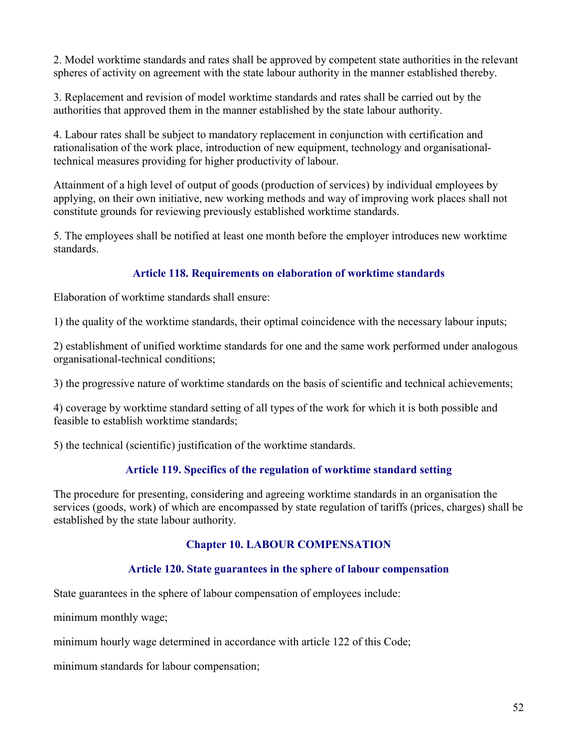2. Model worktime standards and rates shall be approved by competent state authorities in the relevant spheres of activity on agreement with the state labour authority in the manner established thereby.

3. Replacement and revision of model worktime standards and rates shall be carried out by the authorities that approved them in the manner established by the state labour authority.

4. Labour rates shall be subject to mandatory replacement in conjunction with certification and rationalisation of the work place, introduction of new equipment, technology and organisationaltechnical measures providing for higher productivity of labour.

Attainment of a high level of output of goods (production of services) by individual employees by applying, on their own initiative, new working methods and way of improving work places shall not constitute grounds for reviewing previously established worktime standards.

5. The employees shall be notified at least one month before the employer introduces new worktime standards.

## Article 118. Requirements on elaboration of worktime standards

Elaboration of worktime standards shall ensure:

1) the quality of the worktime standards, their optimal coincidence with the necessary labour inputs;

2) establishment of unified worktime standards for one and the same work performed under analogous organisational-technical conditions;

3) the progressive nature of worktime standards on the basis of scientific and technical achievements;

4) coverage by worktime standard setting of all types of the work for which it is both possible and feasible to establish worktime standards;

5) the technical (scientific) justification of the worktime standards.

## Article 119. Specifics of the regulation of worktime standard setting

The procedure for presenting, considering and agreeing worktime standards in an organisation the services (goods, work) of which are encompassed by state regulation of tariffs (prices, charges) shall be established by the state labour authority.

## Chapter 10. LABOUR COMPENSATION

## Article 120. State guarantees in the sphere of labour compensation

State guarantees in the sphere of labour compensation of employees include:

minimum monthly wage;

minimum hourly wage determined in accordance with article 122 of this Code;

minimum standards for labour compensation;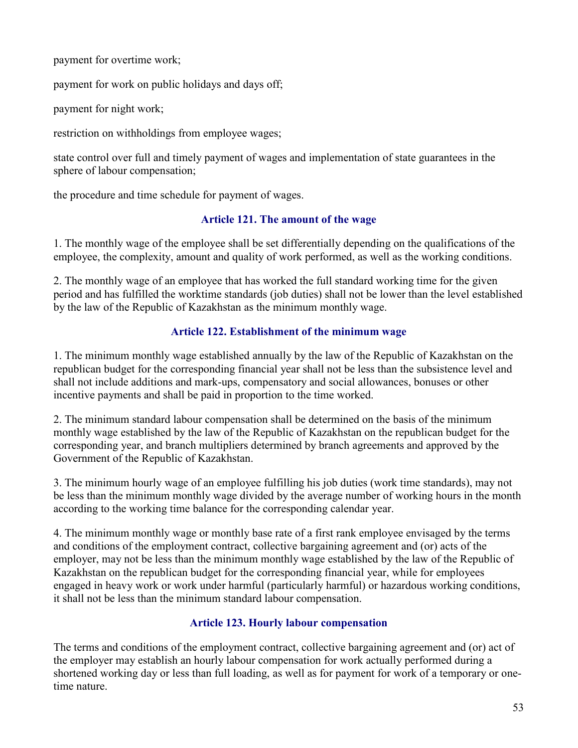payment for overtime work;

payment for work on public holidays and days off;

payment for night work;

restriction on withholdings from employee wages;

state control over full and timely payment of wages and implementation of state guarantees in the sphere of labour compensation;

the procedure and time schedule for payment of wages.

## Article 121. The amount of the wage

1. The monthly wage of the employee shall be set differentially depending on the qualifications of the employee, the complexity, amount and quality of work performed, as well as the working conditions.

2. The monthly wage of an employee that has worked the full standard working time for the given period and has fulfilled the worktime standards (job duties) shall not be lower than the level established by the law of the Republic of Kazakhstan as the minimum monthly wage.

## Article 122. Establishment of the minimum wage

1. The minimum monthly wage established annually by the law of the Republic of Kazakhstan on the republican budget for the corresponding financial year shall not be less than the subsistence level and shall not include additions and mark-ups, compensatory and social allowances, bonuses or other incentive payments and shall be paid in proportion to the time worked.

2. The minimum standard labour compensation shall be determined on the basis of the minimum monthly wage established by the law of the Republic of Kazakhstan on the republican budget for the corresponding year, and branch multipliers determined by branch agreements and approved by the Government of the Republic of Kazakhstan.

3. The minimum hourly wage of an employee fulfilling his job duties (work time standards), may not be less than the minimum monthly wage divided by the average number of working hours in the month according to the working time balance for the corresponding calendar year.

4. The minimum monthly wage or monthly base rate of a first rank employee envisaged by the terms and conditions of the employment contract, collective bargaining agreement and (or) acts of the employer, may not be less than the minimum monthly wage established by the law of the Republic of Kazakhstan on the republican budget for the corresponding financial year, while for employees engaged in heavy work or work under harmful (particularly harmful) or hazardous working conditions, it shall not be less than the minimum standard labour compensation.

## Article 123. Hourly labour compensation

The terms and conditions of the employment contract, collective bargaining agreement and (or) act of the employer may establish an hourly labour compensation for work actually performed during a shortened working day or less than full loading, as well as for payment for work of a temporary or onetime nature.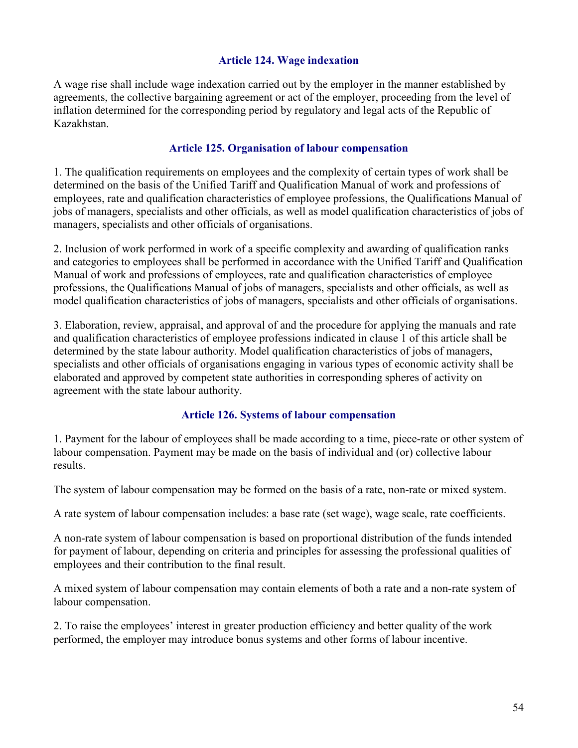### Article 124. Wage indexation

A wage rise shall include wage indexation carried out by the employer in the manner established by agreements, the collective bargaining agreement or act of the employer, proceeding from the level of inflation determined for the corresponding period by regulatory and legal acts of the Republic of Kazakhstan.

### Article 125. Organisation of labour compensation

1. The qualification requirements on employees and the complexity of certain types of work shall be determined on the basis of the Unified Tariff and Qualification Manual of work and professions of employees, rate and qualification characteristics of employee professions, the Qualifications Manual of jobs of managers, specialists and other officials, as well as model qualification characteristics of jobs of managers, specialists and other officials of organisations.

2. Inclusion of work performed in work of a specific complexity and awarding of qualification ranks and categories to employees shall be performed in accordance with the Unified Tariff and Qualification Manual of work and professions of employees, rate and qualification characteristics of employee professions, the Qualifications Manual of jobs of managers, specialists and other officials, as well as model qualification characteristics of jobs of managers, specialists and other officials of organisations.

3. Elaboration, review, appraisal, and approval of and the procedure for applying the manuals and rate and qualification characteristics of employee professions indicated in clause 1 of this article shall be determined by the state labour authority. Model qualification characteristics of jobs of managers, specialists and other officials of organisations engaging in various types of economic activity shall be elaborated and approved by competent state authorities in corresponding spheres of activity on agreement with the state labour authority.

#### Article 126. Systems of labour compensation

1. Payment for the labour of employees shall be made according to a time, piece-rate or other system of labour compensation. Payment may be made on the basis of individual and (or) collective labour results.

The system of labour compensation may be formed on the basis of a rate, non-rate or mixed system.

A rate system of labour compensation includes: a base rate (set wage), wage scale, rate coefficients.

A non-rate system of labour compensation is based on proportional distribution of the funds intended for payment of labour, depending on criteria and principles for assessing the professional qualities of employees and their contribution to the final result.

A mixed system of labour compensation may contain elements of both a rate and a non-rate system of labour compensation.

2. To raise the employees' interest in greater production efficiency and better quality of the work performed, the employer may introduce bonus systems and other forms of labour incentive.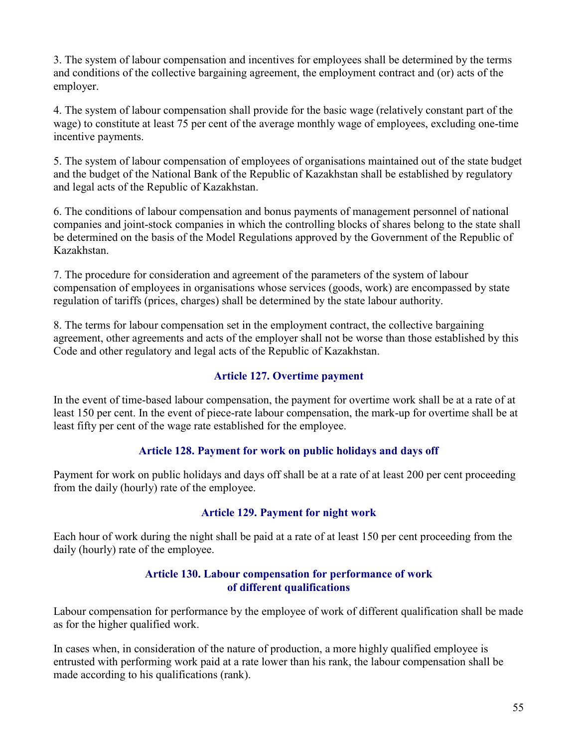3. The system of labour compensation and incentives for employees shall be determined by the terms and conditions of the collective bargaining agreement, the employment contract and (or) acts of the employer.

4. The system of labour compensation shall provide for the basic wage (relatively constant part of the wage) to constitute at least 75 per cent of the average monthly wage of employees, excluding one-time incentive payments.

5. The system of labour compensation of employees of organisations maintained out of the state budget and the budget of the National Bank of the Republic of Kazakhstan shall be established by regulatory and legal acts of the Republic of Kazakhstan.

6. The conditions of labour compensation and bonus payments of management personnel of national companies and joint-stock companies in which the controlling blocks of shares belong to the state shall be determined on the basis of the Model Regulations approved by the Government of the Republic of Kazakhstan.

7. The procedure for consideration and agreement of the parameters of the system of labour compensation of employees in organisations whose services (goods, work) are encompassed by state regulation of tariffs (prices, charges) shall be determined by the state labour authority.

8. The terms for labour compensation set in the employment contract, the collective bargaining agreement, other agreements and acts of the employer shall not be worse than those established by this Code and other regulatory and legal acts of the Republic of Kazakhstan.

### Article 127. Overtime payment

In the event of time-based labour compensation, the payment for overtime work shall be at a rate of at least 150 per cent. In the event of piece-rate labour compensation, the mark-up for overtime shall be at least fifty per cent of the wage rate established for the employee.

### Article 128. Payment for work on public holidays and days off

Payment for work on public holidays and days off shall be at a rate of at least 200 per cent proceeding from the daily (hourly) rate of the employee.

### Article 129. Payment for night work

Each hour of work during the night shall be paid at a rate of at least 150 per cent proceeding from the daily (hourly) rate of the employee.

### Article 130. Labour compensation for performance of work of different qualifications

Labour compensation for performance by the employee of work of different qualification shall be made as for the higher qualified work.

In cases when, in consideration of the nature of production, a more highly qualified employee is entrusted with performing work paid at a rate lower than his rank, the labour compensation shall be made according to his qualifications (rank).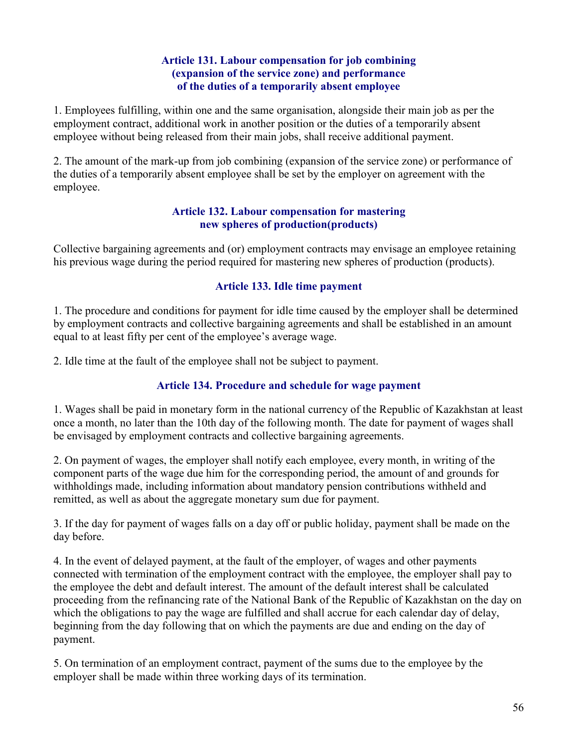### Article 131. Labour compensation for job combining (expansion of the service zone) and performance of the duties of a temporarily absent employee

1. Employees fulfilling, within one and the same organisation, alongside their main job as per the employment contract, additional work in another position or the duties of a temporarily absent employee without being released from their main jobs, shall receive additional payment.

2. The amount of the mark-up from job combining (expansion of the service zone) or performance of the duties of a temporarily absent employee shall be set by the employer on agreement with the employee.

### Article 132. Labour compensation for mastering new spheres of production(products)

Collective bargaining agreements and (or) employment contracts may envisage an employee retaining his previous wage during the period required for mastering new spheres of production (products).

## Article 133. Idle time payment

1. The procedure and conditions for payment for idle time caused by the employer shall be determined by employment contracts and collective bargaining agreements and shall be established in an amount equal to at least fifty per cent of the employee's average wage.

2. Idle time at the fault of the employee shall not be subject to payment.

# Article 134. Procedure and schedule for wage payment

1. Wages shall be paid in monetary form in the national currency of the Republic of Kazakhstan at least once a month, no later than the 10th day of the following month. The date for payment of wages shall be envisaged by employment contracts and collective bargaining agreements.

2. On payment of wages, the employer shall notify each employee, every month, in writing of the component parts of the wage due him for the corresponding period, the amount of and grounds for withholdings made, including information about mandatory pension contributions withheld and remitted, as well as about the aggregate monetary sum due for payment.

3. If the day for payment of wages falls on a day off or public holiday, payment shall be made on the day before.

4. In the event of delayed payment, at the fault of the employer, of wages and other payments connected with termination of the employment contract with the employee, the employer shall pay to the employee the debt and default interest. The amount of the default interest shall be calculated proceeding from the refinancing rate of the National Bank of the Republic of Kazakhstan on the day on which the obligations to pay the wage are fulfilled and shall accrue for each calendar day of delay, beginning from the day following that on which the payments are due and ending on the day of payment.

5. On termination of an employment contract, payment of the sums due to the employee by the employer shall be made within three working days of its termination.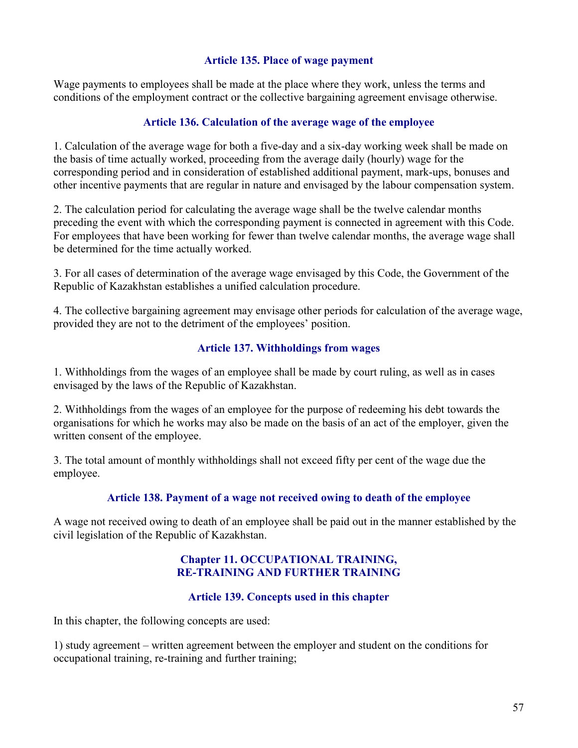#### Article 135. Place of wage payment

Wage payments to employees shall be made at the place where they work, unless the terms and conditions of the employment contract or the collective bargaining agreement envisage otherwise.

### Article 136. Calculation of the average wage of the employee

1. Calculation of the average wage for both a five-day and a six-day working week shall be made on the basis of time actually worked, proceeding from the average daily (hourly) wage for the corresponding period and in consideration of established additional payment, mark-ups, bonuses and other incentive payments that are regular in nature and envisaged by the labour compensation system.

2. The calculation period for calculating the average wage shall be the twelve calendar months preceding the event with which the corresponding payment is connected in agreement with this Code. For employees that have been working for fewer than twelve calendar months, the average wage shall be determined for the time actually worked.

3. For all cases of determination of the average wage envisaged by this Code, the Government of the Republic of Kazakhstan establishes a unified calculation procedure.

4. The collective bargaining agreement may envisage other periods for calculation of the average wage, provided they are not to the detriment of the employees' position.

## Article 137. Withholdings from wages

1. Withholdings from the wages of an employee shall be made by court ruling, as well as in cases envisaged by the laws of the Republic of Kazakhstan.

2. Withholdings from the wages of an employee for the purpose of redeeming his debt towards the organisations for which he works may also be made on the basis of an act of the employer, given the written consent of the employee.

3. The total amount of monthly withholdings shall not exceed fifty per cent of the wage due the employee.

### Article 138. Payment of a wage not received owing to death of the employee

A wage not received owing to death of an employee shall be paid out in the manner established by the civil legislation of the Republic of Kazakhstan.

### Chapter 11. OCCUPATIONAL TRAINING, RE-TRAINING AND FURTHER TRAINING

### Article 139. Concepts used in this chapter

In this chapter, the following concepts are used:

1) study agreement – written agreement between the employer and student on the conditions for occupational training, re-training and further training;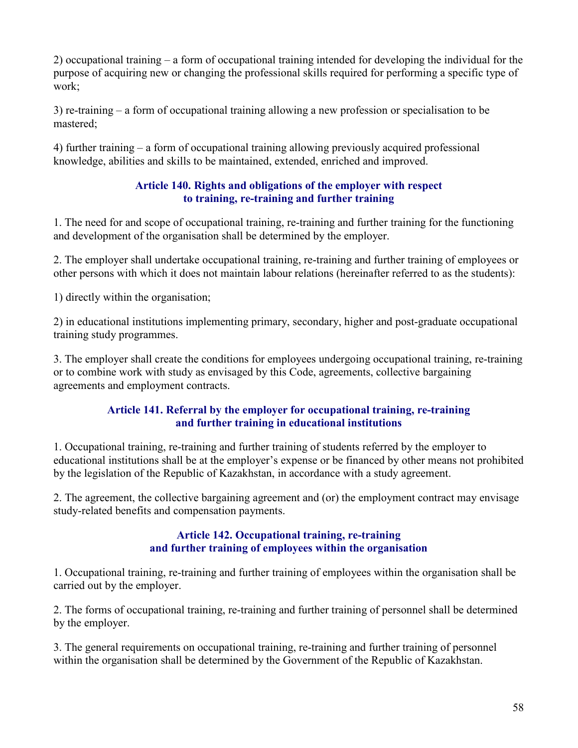2) occupational training – a form of occupational training intended for developing the individual for the purpose of acquiring new or changing the professional skills required for performing a specific type of work;

3) re-training – a form of occupational training allowing a new profession or specialisation to be mastered;

4) further training – a form of occupational training allowing previously acquired professional knowledge, abilities and skills to be maintained, extended, enriched and improved.

## Article 140. Rights and obligations of the employer with respect to training, re-training and further training

1. The need for and scope of occupational training, re-training and further training for the functioning and development of the organisation shall be determined by the employer.

2. The employer shall undertake occupational training, re-training and further training of employees or other persons with which it does not maintain labour relations (hereinafter referred to as the students):

1) directly within the organisation;

2) in educational institutions implementing primary, secondary, higher and post-graduate occupational training study programmes.

3. The employer shall create the conditions for employees undergoing occupational training, re-training or to combine work with study as envisaged by this Code, agreements, collective bargaining agreements and employment contracts.

## Article 141. Referral by the employer for occupational training, re-training and further training in educational institutions

1. Occupational training, re-training and further training of students referred by the employer to educational institutions shall be at the employer's expense or be financed by other means not prohibited by the legislation of the Republic of Kazakhstan, in accordance with a study agreement.

2. The agreement, the collective bargaining agreement and (or) the employment contract may envisage study-related benefits and compensation payments.

### Article 142. Occupational training, re-training and further training of employees within the organisation

1. Occupational training, re-training and further training of employees within the organisation shall be carried out by the employer.

2. The forms of occupational training, re-training and further training of personnel shall be determined by the employer.

3. The general requirements on occupational training, re-training and further training of personnel within the organisation shall be determined by the Government of the Republic of Kazakhstan.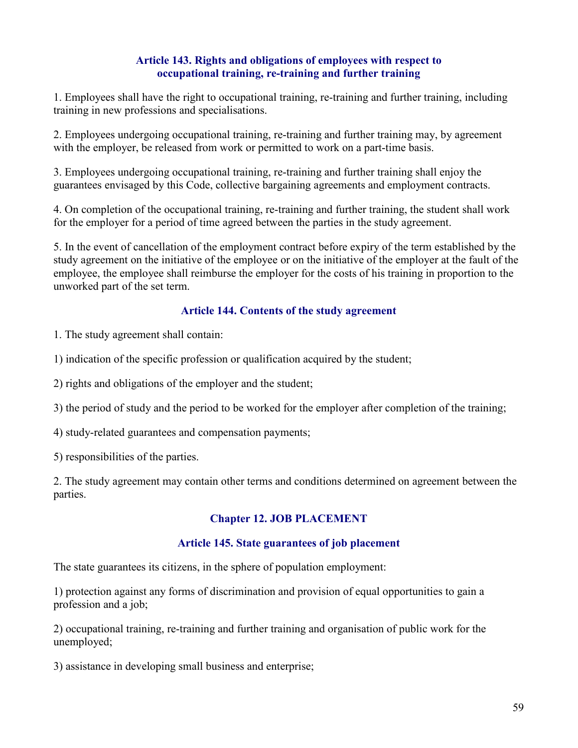### Article 143. Rights and obligations of employees with respect to occupational training, re-training and further training

1. Employees shall have the right to occupational training, re-training and further training, including training in new professions and specialisations.

2. Employees undergoing occupational training, re-training and further training may, by agreement with the employer, be released from work or permitted to work on a part-time basis.

3. Employees undergoing occupational training, re-training and further training shall enjoy the guarantees envisaged by this Code, collective bargaining agreements and employment contracts.

4. On completion of the occupational training, re-training and further training, the student shall work for the employer for a period of time agreed between the parties in the study agreement.

5. In the event of cancellation of the employment contract before expiry of the term established by the study agreement on the initiative of the employee or on the initiative of the employer at the fault of the employee, the employee shall reimburse the employer for the costs of his training in proportion to the unworked part of the set term.

## Article 144. Contents of the study agreement

1. The study agreement shall contain:

1) indication of the specific profession or qualification acquired by the student;

2) rights and obligations of the employer and the student;

3) the period of study and the period to be worked for the employer after completion of the training;

4) study-related guarantees and compensation payments;

5) responsibilities of the parties.

2. The study agreement may contain other terms and conditions determined on agreement between the parties.

# Chapter 12. JOB PLACEMENT

## Article 145. State guarantees of job placement

The state guarantees its citizens, in the sphere of population employment:

1) protection against any forms of discrimination and provision of equal opportunities to gain a profession and a job;

2) occupational training, re-training and further training and organisation of public work for the unemployed;

3) assistance in developing small business and enterprise;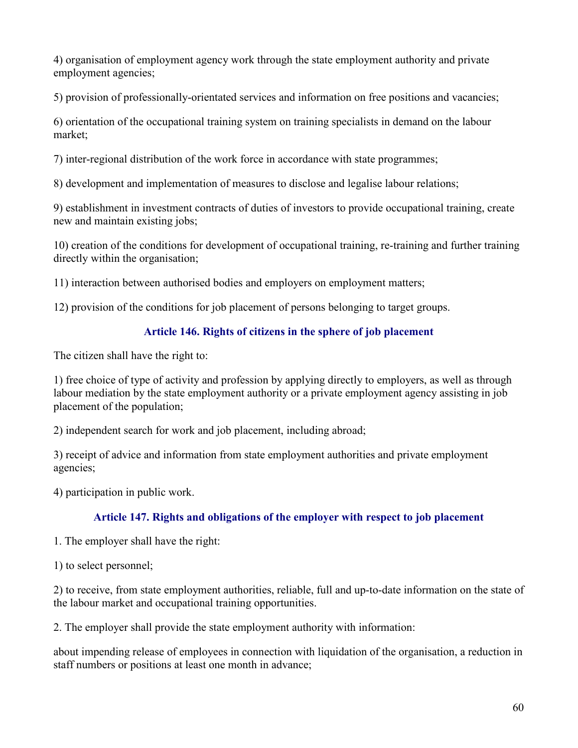4) organisation of employment agency work through the state employment authority and private employment agencies;

5) provision of professionally-orientated services and information on free positions and vacancies;

6) orientation of the occupational training system on training specialists in demand on the labour market;

7) inter-regional distribution of the work force in accordance with state programmes;

8) development and implementation of measures to disclose and legalise labour relations;

9) establishment in investment contracts of duties of investors to provide occupational training, create new and maintain existing jobs;

10) creation of the conditions for development of occupational training, re-training and further training directly within the organisation;

11) interaction between authorised bodies and employers on employment matters;

12) provision of the conditions for job placement of persons belonging to target groups.

## Article 146. Rights of citizens in the sphere of job placement

The citizen shall have the right to:

1) free choice of type of activity and profession by applying directly to employers, as well as through labour mediation by the state employment authority or a private employment agency assisting in job placement of the population;

2) independent search for work and job placement, including abroad;

3) receipt of advice and information from state employment authorities and private employment agencies;

4) participation in public work.

## Article 147. Rights and obligations of the employer with respect to job placement

1. The employer shall have the right:

1) to select personnel;

2) to receive, from state employment authorities, reliable, full and up-to-date information on the state of the labour market and occupational training opportunities.

2. The employer shall provide the state employment authority with information:

about impending release of employees in connection with liquidation of the organisation, a reduction in staff numbers or positions at least one month in advance;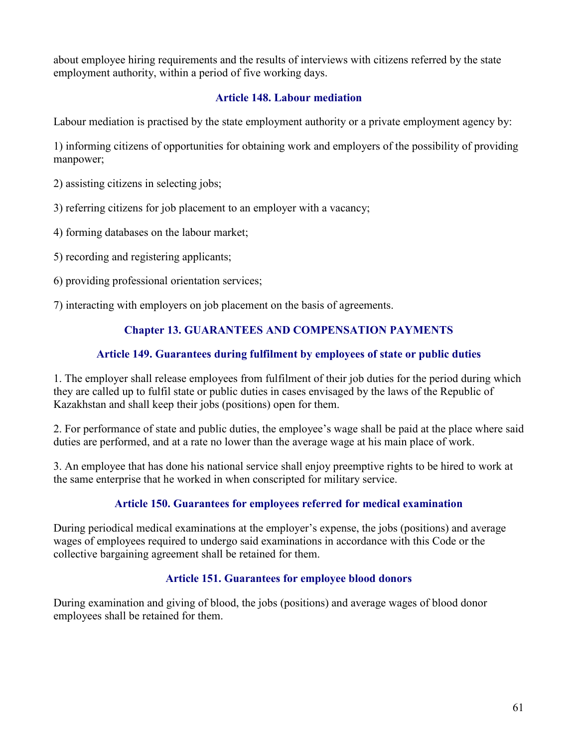about employee hiring requirements and the results of interviews with citizens referred by the state employment authority, within a period of five working days.

### Article 148. Labour mediation

Labour mediation is practised by the state employment authority or a private employment agency by:

1) informing citizens of opportunities for obtaining work and employers of the possibility of providing manpower;

- 2) assisting citizens in selecting jobs;
- 3) referring citizens for job placement to an employer with a vacancy;
- 4) forming databases on the labour market;
- 5) recording and registering applicants;
- 6) providing professional orientation services;
- 7) interacting with employers on job placement on the basis of agreements.

## Chapter 13. GUARANTEES AND COMPENSATION PAYMENTS

## Article 149. Guarantees during fulfilment by employees of state or public duties

1. The employer shall release employees from fulfilment of their job duties for the period during which they are called up to fulfil state or public duties in cases envisaged by the laws of the Republic of Kazakhstan and shall keep their jobs (positions) open for them.

2. For performance of state and public duties, the employee's wage shall be paid at the place where said duties are performed, and at a rate no lower than the average wage at his main place of work.

3. An employee that has done his national service shall enjoy preemptive rights to be hired to work at the same enterprise that he worked in when conscripted for military service.

## Article 150. Guarantees for employees referred for medical examination

During periodical medical examinations at the employer's expense, the jobs (positions) and average wages of employees required to undergo said examinations in accordance with this Code or the collective bargaining agreement shall be retained for them.

### Article 151. Guarantees for employee blood donors

During examination and giving of blood, the jobs (positions) and average wages of blood donor employees shall be retained for them.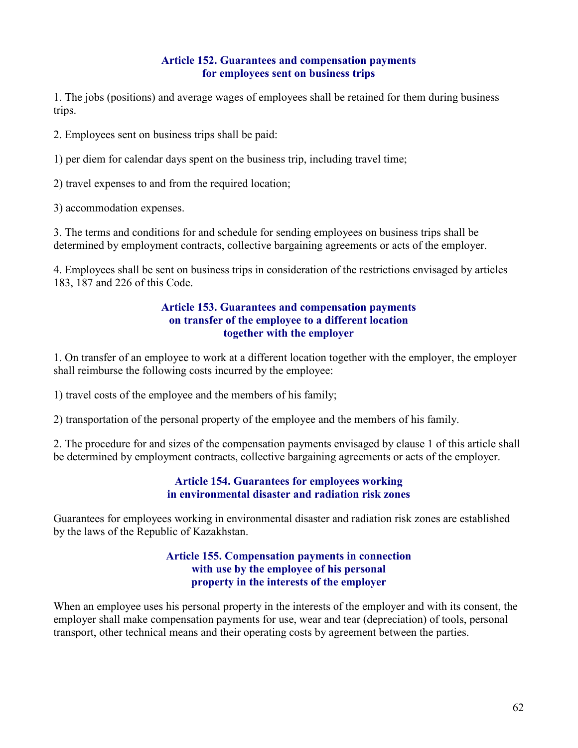## Article 152. Guarantees and compensation payments for employees sent on business trips

1. The jobs (positions) and average wages of employees shall be retained for them during business trips.

2. Employees sent on business trips shall be paid:

1) per diem for calendar days spent on the business trip, including travel time;

2) travel expenses to and from the required location;

3) accommodation expenses.

3. The terms and conditions for and schedule for sending employees on business trips shall be determined by employment contracts, collective bargaining agreements or acts of the employer.

4. Employees shall be sent on business trips in consideration of the restrictions envisaged by articles 183, 187 and 226 of this Code.

#### Article 153. Guarantees and compensation payments on transfer of the employee to a different location together with the employer

1. On transfer of an employee to work at a different location together with the employer, the employer shall reimburse the following costs incurred by the employee:

1) travel costs of the employee and the members of his family;

2) transportation of the personal property of the employee and the members of his family.

2. The procedure for and sizes of the compensation payments envisaged by clause 1 of this article shall be determined by employment contracts, collective bargaining agreements or acts of the employer.

#### Article 154. Guarantees for employees working in environmental disaster and radiation risk zones

Guarantees for employees working in environmental disaster and radiation risk zones are established by the laws of the Republic of Kazakhstan.

### Article 155. Compensation payments in connection with use by the employee of his personal property in the interests of the employer

When an employee uses his personal property in the interests of the employer and with its consent, the employer shall make compensation payments for use, wear and tear (depreciation) of tools, personal transport, other technical means and their operating costs by agreement between the parties.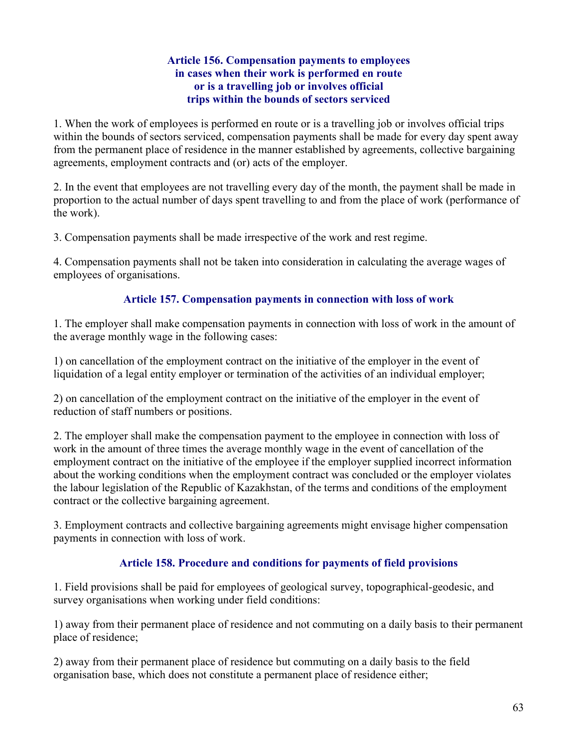### Article 156. Compensation payments to employees in cases when their work is performed en route or is a travelling job or involves official trips within the bounds of sectors serviced

1. When the work of employees is performed en route or is a travelling job or involves official trips within the bounds of sectors serviced, compensation payments shall be made for every day spent away from the permanent place of residence in the manner established by agreements, collective bargaining agreements, employment contracts and (or) acts of the employer.

2. In the event that employees are not travelling every day of the month, the payment shall be made in proportion to the actual number of days spent travelling to and from the place of work (performance of the work).

3. Compensation payments shall be made irrespective of the work and rest regime.

4. Compensation payments shall not be taken into consideration in calculating the average wages of employees of organisations.

## Article 157. Compensation payments in connection with loss of work

1. The employer shall make compensation payments in connection with loss of work in the amount of the average monthly wage in the following cases:

1) on cancellation of the employment contract on the initiative of the employer in the event of liquidation of a legal entity employer or termination of the activities of an individual employer;

2) on cancellation of the employment contract on the initiative of the employer in the event of reduction of staff numbers or positions.

2. The employer shall make the compensation payment to the employee in connection with loss of work in the amount of three times the average monthly wage in the event of cancellation of the employment contract on the initiative of the employee if the employer supplied incorrect information about the working conditions when the employment contract was concluded or the employer violates the labour legislation of the Republic of Kazakhstan, of the terms and conditions of the employment contract or the collective bargaining agreement.

3. Employment contracts and collective bargaining agreements might envisage higher compensation payments in connection with loss of work.

## Article 158. Procedure and conditions for payments of field provisions

1. Field provisions shall be paid for employees of geological survey, topographical-geodesic, and survey organisations when working under field conditions:

1) away from their permanent place of residence and not commuting on a daily basis to their permanent place of residence;

2) away from their permanent place of residence but commuting on a daily basis to the field organisation base, which does not constitute a permanent place of residence either;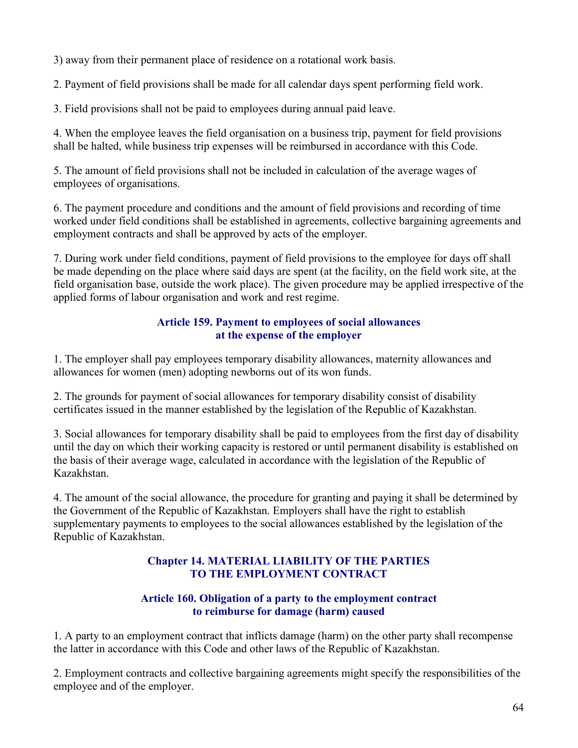3) away from their permanent place of residence on a rotational work basis.

2. Payment of field provisions shall be made for all calendar days spent performing field work.

3. Field provisions shall not be paid to employees during annual paid leave.

4. When the employee leaves the field organisation on a business trip, payment for field provisions shall be halted, while business trip expenses will be reimbursed in accordance with this Code.

5. The amount of field provisions shall not be included in calculation of the average wages of employees of organisations.

6. The payment procedure and conditions and the amount of field provisions and recording of time worked under field conditions shall be established in agreements, collective bargaining agreements and employment contracts and shall be approved by acts of the employer.

7. During work under field conditions, payment of field provisions to the employee for days off shall be made depending on the place where said days are spent (at the facility, on the field work site, at the field organisation base, outside the work place). The given procedure may be applied irrespective of the applied forms of labour organisation and work and rest regime.

## Article 159. Payment to employees of social allowances at the expense of the employer

1. The employer shall pay employees temporary disability allowances, maternity allowances and allowances for women (men) adopting newborns out of its won funds.

2. The grounds for payment of social allowances for temporary disability consist of disability certificates issued in the manner established by the legislation of the Republic of Kazakhstan.

3. Social allowances for temporary disability shall be paid to employees from the first day of disability until the day on which their working capacity is restored or until permanent disability is established on the basis of their average wage, calculated in accordance with the legislation of the Republic of Kazakhstan.

4. The amount of the social allowance, the procedure for granting and paying it shall be determined by the Government of the Republic of Kazakhstan. Employers shall have the right to establish supplementary payments to employees to the social allowances established by the legislation of the Republic of Kazakhstan.

## Chapter 14. MATERIAL LIABILITY OF THE PARTIES TO THE EMPLOYMENT CONTRACT

## Article 160. Obligation of a party to the employment contract to reimburse for damage (harm) caused

1. A party to an employment contract that inflicts damage (harm) on the other party shall recompense the latter in accordance with this Code and other laws of the Republic of Kazakhstan.

2. Employment contracts and collective bargaining agreements might specify the responsibilities of the employee and of the employer.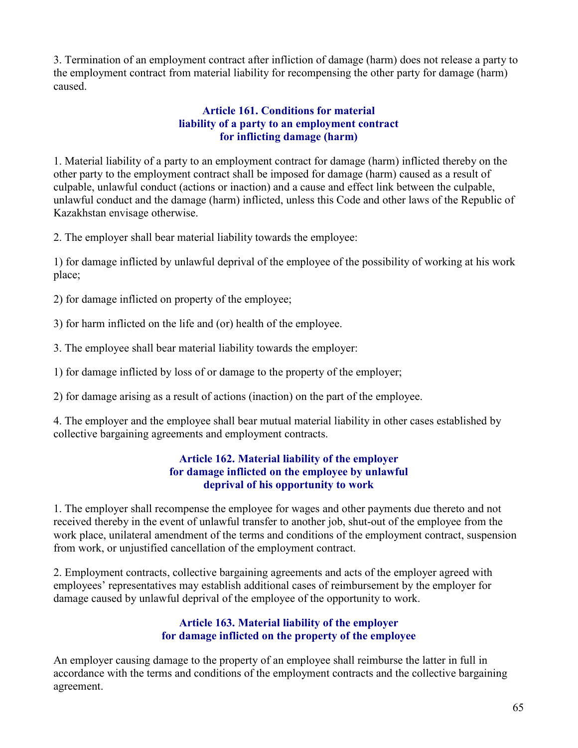3. Termination of an employment contract after infliction of damage (harm) does not release a party to the employment contract from material liability for recompensing the other party for damage (harm) caused.

### Article 161. Conditions for material liability of a party to an employment contract for inflicting damage (harm)

1. Material liability of a party to an employment contract for damage (harm) inflicted thereby on the other party to the employment contract shall be imposed for damage (harm) caused as a result of culpable, unlawful conduct (actions or inaction) and a cause and effect link between the culpable, unlawful conduct and the damage (harm) inflicted, unless this Code and other laws of the Republic of Kazakhstan envisage otherwise.

2. The employer shall bear material liability towards the employee:

1) for damage inflicted by unlawful deprival of the employee of the possibility of working at his work place;

2) for damage inflicted on property of the employee;

3) for harm inflicted on the life and (or) health of the employee.

3. The employee shall bear material liability towards the employer:

1) for damage inflicted by loss of or damage to the property of the employer;

2) for damage arising as a result of actions (inaction) on the part of the employee.

4. The employer and the employee shall bear mutual material liability in other cases established by collective bargaining agreements and employment contracts.

#### Article 162. Material liability of the employer for damage inflicted on the employee by unlawful deprival of his opportunity to work

1. The employer shall recompense the employee for wages and other payments due thereto and not received thereby in the event of unlawful transfer to another job, shut-out of the employee from the work place, unilateral amendment of the terms and conditions of the employment contract, suspension from work, or unjustified cancellation of the employment contract.

2. Employment contracts, collective bargaining agreements and acts of the employer agreed with employees' representatives may establish additional cases of reimbursement by the employer for damage caused by unlawful deprival of the employee of the opportunity to work.

## Article 163. Material liability of the employer for damage inflicted on the property of the employee

An employer causing damage to the property of an employee shall reimburse the latter in full in accordance with the terms and conditions of the employment contracts and the collective bargaining agreement.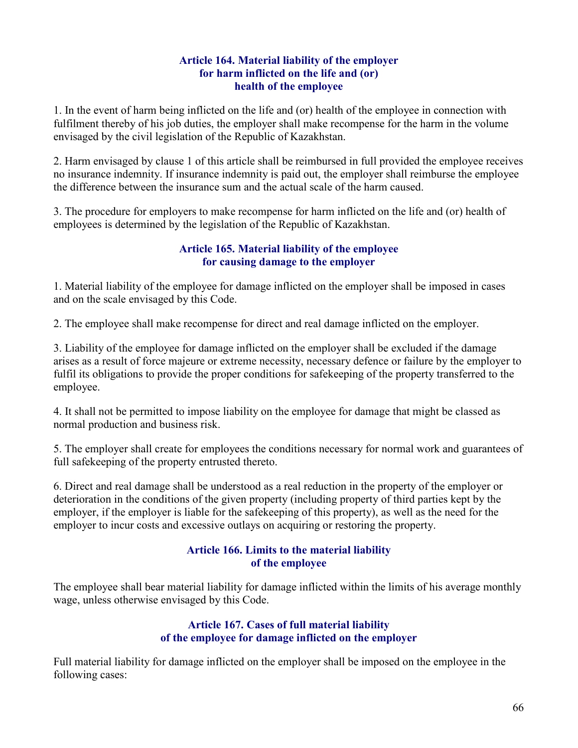### Article 164. Material liability of the employer for harm inflicted on the life and (or) health of the employee

1. In the event of harm being inflicted on the life and (or) health of the employee in connection with fulfilment thereby of his job duties, the employer shall make recompense for the harm in the volume envisaged by the civil legislation of the Republic of Kazakhstan.

2. Harm envisaged by clause 1 of this article shall be reimbursed in full provided the employee receives no insurance indemnity. If insurance indemnity is paid out, the employer shall reimburse the employee the difference between the insurance sum and the actual scale of the harm caused.

3. The procedure for employers to make recompense for harm inflicted on the life and (or) health of employees is determined by the legislation of the Republic of Kazakhstan.

## Article 165. Material liability of the employee for causing damage to the employer

1. Material liability of the employee for damage inflicted on the employer shall be imposed in cases and on the scale envisaged by this Code.

2. The employee shall make recompense for direct and real damage inflicted on the employer.

3. Liability of the employee for damage inflicted on the employer shall be excluded if the damage arises as a result of force majeure or extreme necessity, necessary defence or failure by the employer to fulfil its obligations to provide the proper conditions for safekeeping of the property transferred to the employee.

4. It shall not be permitted to impose liability on the employee for damage that might be classed as normal production and business risk.

5. The employer shall create for employees the conditions necessary for normal work and guarantees of full safekeeping of the property entrusted thereto.

6. Direct and real damage shall be understood as a real reduction in the property of the employer or deterioration in the conditions of the given property (including property of third parties kept by the employer, if the employer is liable for the safekeeping of this property), as well as the need for the employer to incur costs and excessive outlays on acquiring or restoring the property.

## Article 166. Limits to the material liability of the employee

The employee shall bear material liability for damage inflicted within the limits of his average monthly wage, unless otherwise envisaged by this Code.

### Article 167. Cases of full material liability of the employee for damage inflicted on the employer

Full material liability for damage inflicted on the employer shall be imposed on the employee in the following cases: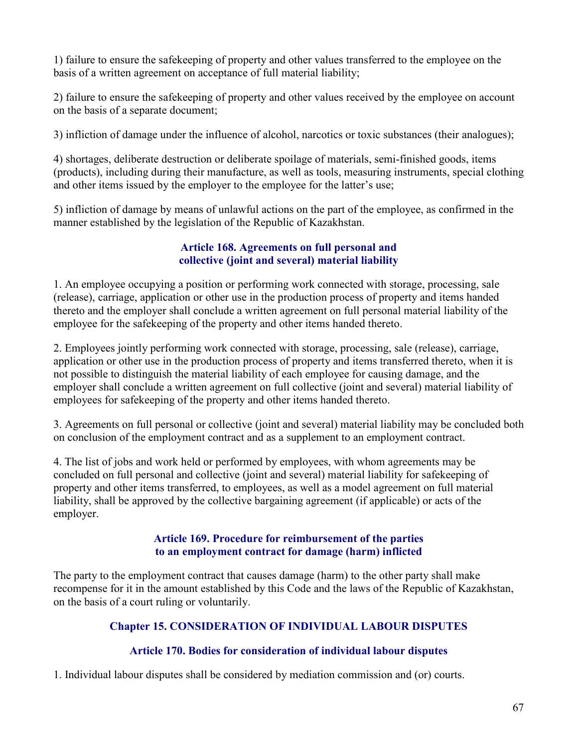1) failure to ensure the safekeeping of property and other values transferred to the employee on the basis of a written agreement on acceptance of full material liability;

2) failure to ensure the safekeeping of property and other values received by the employee on account on the basis of a separate document;

3) infliction of damage under the influence of alcohol, narcotics or toxic substances (their analogues);

4) shortages, deliberate destruction or deliberate spoilage of materials, semi-finished goods, items (products), including during their manufacture, as well as tools, measuring instruments, special clothing and other items issued by the employer to the employee for the latter's use;

5) infliction of damage by means of unlawful actions on the part of the employee, as confirmed in the manner established by the legislation of the Republic of Kazakhstan.

## Article 168. Agreements on full personal and collective (joint and several) material liability

1. An employee occupying a position or performing work connected with storage, processing, sale (release), carriage, application or other use in the production process of property and items handed thereto and the employer shall conclude a written agreement on full personal material liability of the employee for the safekeeping of the property and other items handed thereto.

2. Employees jointly performing work connected with storage, processing, sale (release), carriage, application or other use in the production process of property and items transferred thereto, when it is not possible to distinguish the material liability of each employee for causing damage, and the employer shall conclude a written agreement on full collective (joint and several) material liability of employees for safekeeping of the property and other items handed thereto.

3. Agreements on full personal or collective (joint and several) material liability may be concluded both on conclusion of the employment contract and as a supplement to an employment contract.

4. The list of jobs and work held or performed by employees, with whom agreements may be concluded on full personal and collective (joint and several) material liability for safekeeping of property and other items transferred, to employees, as well as a model agreement on full material liability, shall be approved by the collective bargaining agreement (if applicable) or acts of the employer.

### Article 169. Procedure for reimbursement of the parties to an employment contract for damage (harm) inflicted

The party to the employment contract that causes damage (harm) to the other party shall make recompense for it in the amount established by this Code and the laws of the Republic of Kazakhstan, on the basis of a court ruling or voluntarily.

# Chapter 15. CONSIDERATION OF INDIVIDUAL LABOUR DISPUTES

## Article 170. Bodies for consideration of individual labour disputes

1. Individual labour disputes shall be considered by mediation commission and (or) courts.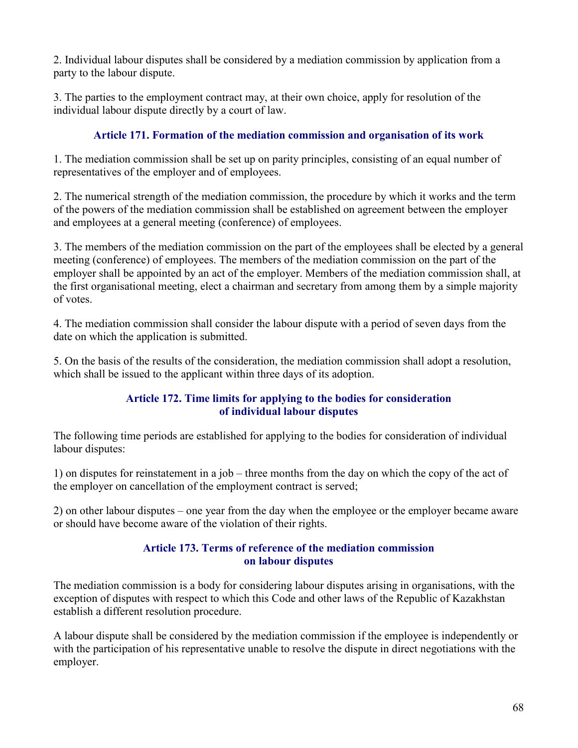2. Individual labour disputes shall be considered by a mediation commission by application from a party to the labour dispute.

3. The parties to the employment contract may, at their own choice, apply for resolution of the individual labour dispute directly by a court of law.

## Article 171. Formation of the mediation commission and organisation of its work

1. The mediation commission shall be set up on parity principles, consisting of an equal number of representatives of the employer and of employees.

2. The numerical strength of the mediation commission, the procedure by which it works and the term of the powers of the mediation commission shall be established on agreement between the employer and employees at a general meeting (conference) of employees.

3. The members of the mediation commission on the part of the employees shall be elected by a general meeting (conference) of employees. The members of the mediation commission on the part of the employer shall be appointed by an act of the employer. Members of the mediation commission shall, at the first organisational meeting, elect a chairman and secretary from among them by a simple majority of votes.

4. The mediation commission shall consider the labour dispute with a period of seven days from the date on which the application is submitted.

5. On the basis of the results of the consideration, the mediation commission shall adopt a resolution, which shall be issued to the applicant within three days of its adoption.

### Article 172. Time limits for applying to the bodies for consideration of individual labour disputes

The following time periods are established for applying to the bodies for consideration of individual labour disputes:

1) on disputes for reinstatement in a job – three months from the day on which the copy of the act of the employer on cancellation of the employment contract is served;

2) on other labour disputes – one year from the day when the employee or the employer became aware or should have become aware of the violation of their rights.

## Article 173. Terms of reference of the mediation commission on labour disputes

The mediation commission is a body for considering labour disputes arising in organisations, with the exception of disputes with respect to which this Code and other laws of the Republic of Kazakhstan establish a different resolution procedure.

A labour dispute shall be considered by the mediation commission if the employee is independently or with the participation of his representative unable to resolve the dispute in direct negotiations with the employer.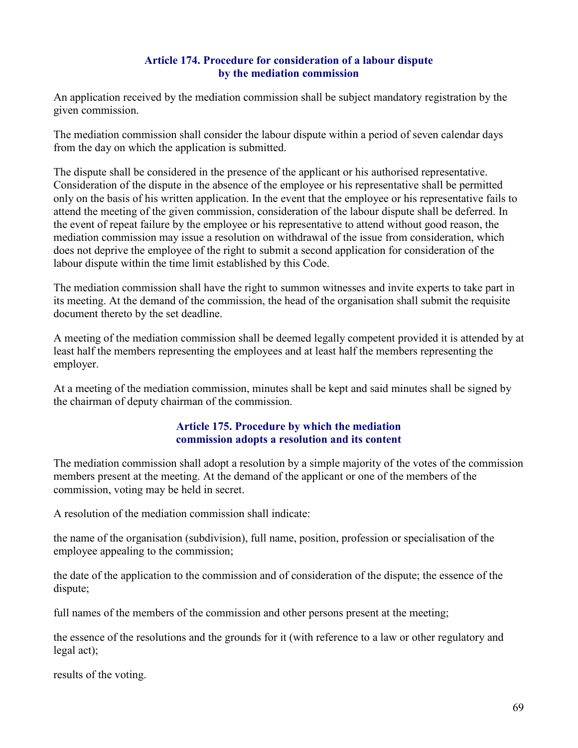### Article 174. Procedure for consideration of a labour dispute by the mediation commission

An application received by the mediation commission shall be subject mandatory registration by the given commission.

The mediation commission shall consider the labour dispute within a period of seven calendar days from the day on which the application is submitted.

The dispute shall be considered in the presence of the applicant or his authorised representative. Consideration of the dispute in the absence of the employee or his representative shall be permitted only on the basis of his written application. In the event that the employee or his representative fails to attend the meeting of the given commission, consideration of the labour dispute shall be deferred. In the event of repeat failure by the employee or his representative to attend without good reason, the mediation commission may issue a resolution on withdrawal of the issue from consideration, which does not deprive the employee of the right to submit a second application for consideration of the labour dispute within the time limit established by this Code.

The mediation commission shall have the right to summon witnesses and invite experts to take part in its meeting. At the demand of the commission, the head of the organisation shall submit the requisite document thereto by the set deadline.

A meeting of the mediation commission shall be deemed legally competent provided it is attended by at least half the members representing the employees and at least half the members representing the employer.

At a meeting of the mediation commission, minutes shall be kept and said minutes shall be signed by the chairman of deputy chairman of the commission.

#### Article 175. Procedure by which the mediation commission adopts a resolution and its content

The mediation commission shall adopt a resolution by a simple majority of the votes of the commission members present at the meeting. At the demand of the applicant or one of the members of the commission, voting may be held in secret.

A resolution of the mediation commission shall indicate:

the name of the organisation (subdivision), full name, position, profession or specialisation of the employee appealing to the commission;

the date of the application to the commission and of consideration of the dispute; the essence of the dispute;

full names of the members of the commission and other persons present at the meeting;

the essence of the resolutions and the grounds for it (with reference to a law or other regulatory and legal act);

results of the voting.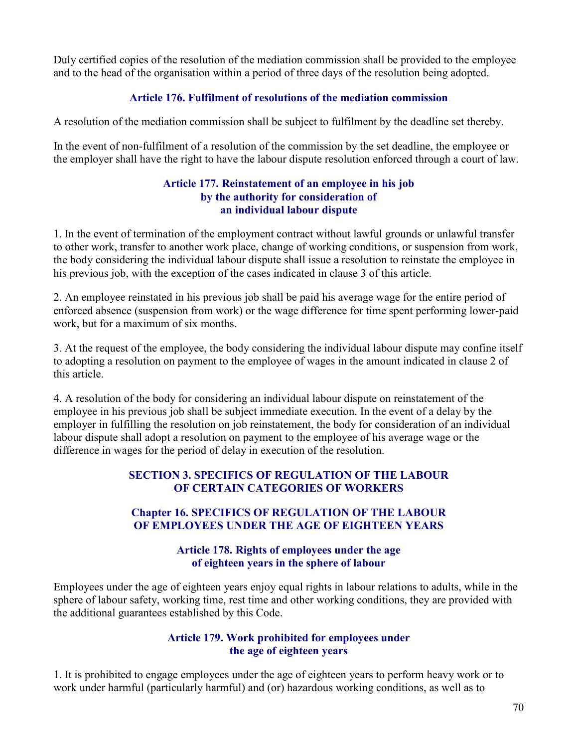Duly certified copies of the resolution of the mediation commission shall be provided to the employee and to the head of the organisation within a period of three days of the resolution being adopted.

## Article 176. Fulfilment of resolutions of the mediation commission

A resolution of the mediation commission shall be subject to fulfilment by the deadline set thereby.

In the event of non-fulfilment of a resolution of the commission by the set deadline, the employee or the employer shall have the right to have the labour dispute resolution enforced through a court of law.

#### Article 177. Reinstatement of an employee in his job by the authority for consideration of an individual labour dispute

1. In the event of termination of the employment contract without lawful grounds or unlawful transfer to other work, transfer to another work place, change of working conditions, or suspension from work, the body considering the individual labour dispute shall issue a resolution to reinstate the employee in his previous job, with the exception of the cases indicated in clause 3 of this article.

2. An employee reinstated in his previous job shall be paid his average wage for the entire period of enforced absence (suspension from work) or the wage difference for time spent performing lower-paid work, but for a maximum of six months.

3. At the request of the employee, the body considering the individual labour dispute may confine itself to adopting a resolution on payment to the employee of wages in the amount indicated in clause 2 of this article.

4. A resolution of the body for considering an individual labour dispute on reinstatement of the employee in his previous job shall be subject immediate execution. In the event of a delay by the employer in fulfilling the resolution on job reinstatement, the body for consideration of an individual labour dispute shall adopt a resolution on payment to the employee of his average wage or the difference in wages for the period of delay in execution of the resolution.

## SECTION 3. SPECIFICS OF REGULATION OF THE LABOUR OF CERTAIN CATEGORIES OF WORKERS

## Chapter 16. SPECIFICS OF REGULATION OF THE LABOUR OF EMPLOYEES UNDER THE AGE OF EIGHTEEN YEARS

## Article 178. Rights of employees under the age of eighteen years in the sphere of labour

Employees under the age of eighteen years enjoy equal rights in labour relations to adults, while in the sphere of labour safety, working time, rest time and other working conditions, they are provided with the additional guarantees established by this Code.

## Article 179. Work prohibited for employees under the age of eighteen years

1. It is prohibited to engage employees under the age of eighteen years to perform heavy work or to work under harmful (particularly harmful) and (or) hazardous working conditions, as well as to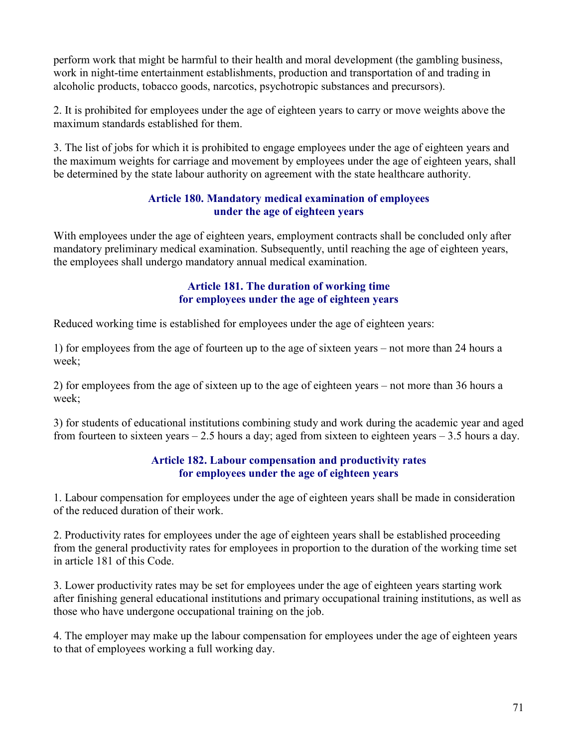perform work that might be harmful to their health and moral development (the gambling business, work in night-time entertainment establishments, production and transportation of and trading in alcoholic products, tobacco goods, narcotics, psychotropic substances and precursors).

2. It is prohibited for employees under the age of eighteen years to carry or move weights above the maximum standards established for them.

3. The list of jobs for which it is prohibited to engage employees under the age of eighteen years and the maximum weights for carriage and movement by employees under the age of eighteen years, shall be determined by the state labour authority on agreement with the state healthcare authority.

## Article 180. Mandatory medical examination of employees under the age of eighteen years

With employees under the age of eighteen years, employment contracts shall be concluded only after mandatory preliminary medical examination. Subsequently, until reaching the age of eighteen years, the employees shall undergo mandatory annual medical examination.

## Article 181. The duration of working time for employees under the age of eighteen years

Reduced working time is established for employees under the age of eighteen years:

1) for employees from the age of fourteen up to the age of sixteen years – not more than 24 hours a week;

2) for employees from the age of sixteen up to the age of eighteen years – not more than 36 hours a week;

3) for students of educational institutions combining study and work during the academic year and aged from fourteen to sixteen years  $-2.5$  hours a day; aged from sixteen to eighteen years  $-3.5$  hours a day.

### Article 182. Labour compensation and productivity rates for employees under the age of eighteen years

1. Labour compensation for employees under the age of eighteen years shall be made in consideration of the reduced duration of their work.

2. Productivity rates for employees under the age of eighteen years shall be established proceeding from the general productivity rates for employees in proportion to the duration of the working time set in article 181 of this Code.

3. Lower productivity rates may be set for employees under the age of eighteen years starting work after finishing general educational institutions and primary occupational training institutions, as well as those who have undergone occupational training on the job.

4. The employer may make up the labour compensation for employees under the age of eighteen years to that of employees working a full working day.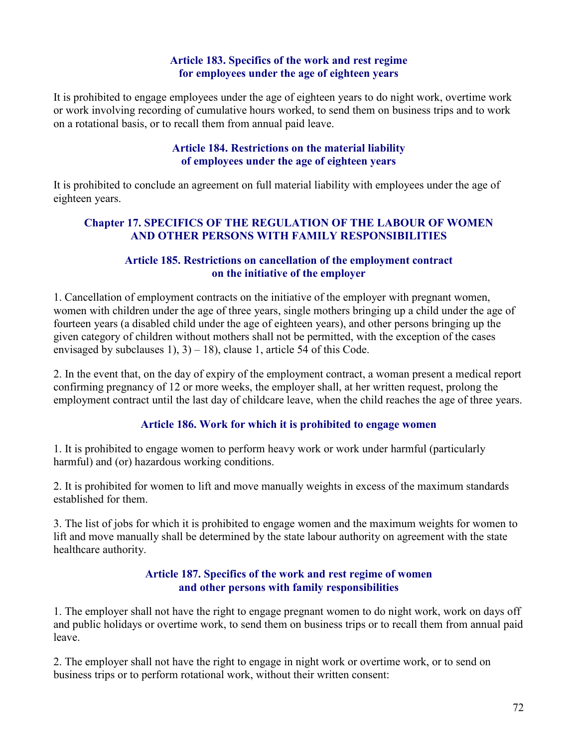## Article 183. Specifics of the work and rest regime for employees under the age of eighteen years

It is prohibited to engage employees under the age of eighteen years to do night work, overtime work or work involving recording of cumulative hours worked, to send them on business trips and to work on a rotational basis, or to recall them from annual paid leave.

### Article 184. Restrictions on the material liability of employees under the age of eighteen years

It is prohibited to conclude an agreement on full material liability with employees under the age of eighteen years.

## Chapter 17. SPECIFICS OF THE REGULATION OF THE LABOUR OF WOMEN AND OTHER PERSONS WITH FAMILY RESPONSIBILITIES

### Article 185. Restrictions on cancellation of the employment contract on the initiative of the employer

1. Cancellation of employment contracts on the initiative of the employer with pregnant women, women with children under the age of three years, single mothers bringing up a child under the age of fourteen years (a disabled child under the age of eighteen years), and other persons bringing up the given category of children without mothers shall not be permitted, with the exception of the cases envisaged by subclauses 1),  $3$  – 18), clause 1, article 54 of this Code.

2. In the event that, on the day of expiry of the employment contract, a woman present a medical report confirming pregnancy of 12 or more weeks, the employer shall, at her written request, prolong the employment contract until the last day of childcare leave, when the child reaches the age of three years.

## Article 186. Work for which it is prohibited to engage women

1. It is prohibited to engage women to perform heavy work or work under harmful (particularly harmful) and (or) hazardous working conditions.

2. It is prohibited for women to lift and move manually weights in excess of the maximum standards established for them.

3. The list of jobs for which it is prohibited to engage women and the maximum weights for women to lift and move manually shall be determined by the state labour authority on agreement with the state healthcare authority.

### Article 187. Specifics of the work and rest regime of women and other persons with family responsibilities

1. The employer shall not have the right to engage pregnant women to do night work, work on days off and public holidays or overtime work, to send them on business trips or to recall them from annual paid leave.

2. The employer shall not have the right to engage in night work or overtime work, or to send on business trips or to perform rotational work, without their written consent: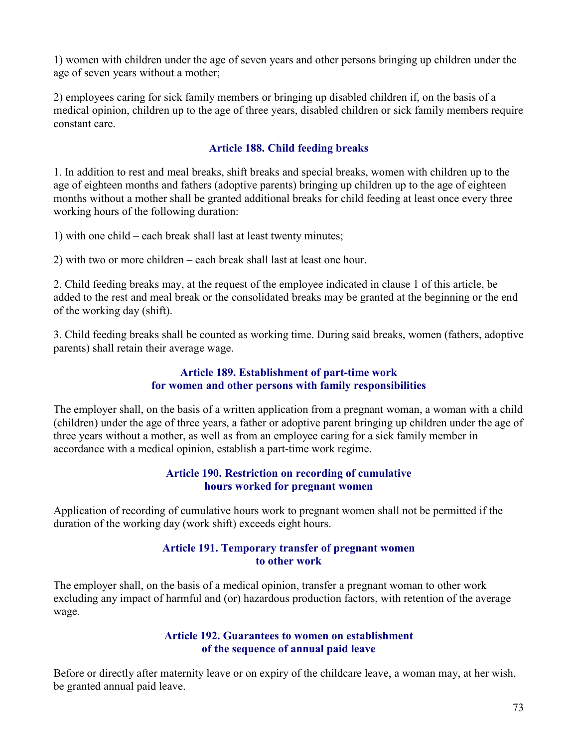1) women with children under the age of seven years and other persons bringing up children under the age of seven years without a mother;

2) employees caring for sick family members or bringing up disabled children if, on the basis of a medical opinion, children up to the age of three years, disabled children or sick family members require constant care.

## Article 188. Child feeding breaks

1. In addition to rest and meal breaks, shift breaks and special breaks, women with children up to the age of eighteen months and fathers (adoptive parents) bringing up children up to the age of eighteen months without a mother shall be granted additional breaks for child feeding at least once every three working hours of the following duration:

1) with one child – each break shall last at least twenty minutes;

2) with two or more children – each break shall last at least one hour.

2. Child feeding breaks may, at the request of the employee indicated in clause 1 of this article, be added to the rest and meal break or the consolidated breaks may be granted at the beginning or the end of the working day (shift).

3. Child feeding breaks shall be counted as working time. During said breaks, women (fathers, adoptive parents) shall retain their average wage.

### Article 189. Establishment of part-time work for women and other persons with family responsibilities

The employer shall, on the basis of a written application from a pregnant woman, a woman with a child (children) under the age of three years, a father or adoptive parent bringing up children under the age of three years without a mother, as well as from an employee caring for a sick family member in accordance with a medical opinion, establish a part-time work regime.

### Article 190. Restriction on recording of cumulative hours worked for pregnant women

Application of recording of cumulative hours work to pregnant women shall not be permitted if the duration of the working day (work shift) exceeds eight hours.

#### Article 191. Temporary transfer of pregnant women to other work

The employer shall, on the basis of a medical opinion, transfer a pregnant woman to other work excluding any impact of harmful and (or) hazardous production factors, with retention of the average wage.

#### Article 192. Guarantees to women on establishment of the sequence of annual paid leave

Before or directly after maternity leave or on expiry of the childcare leave, a woman may, at her wish, be granted annual paid leave.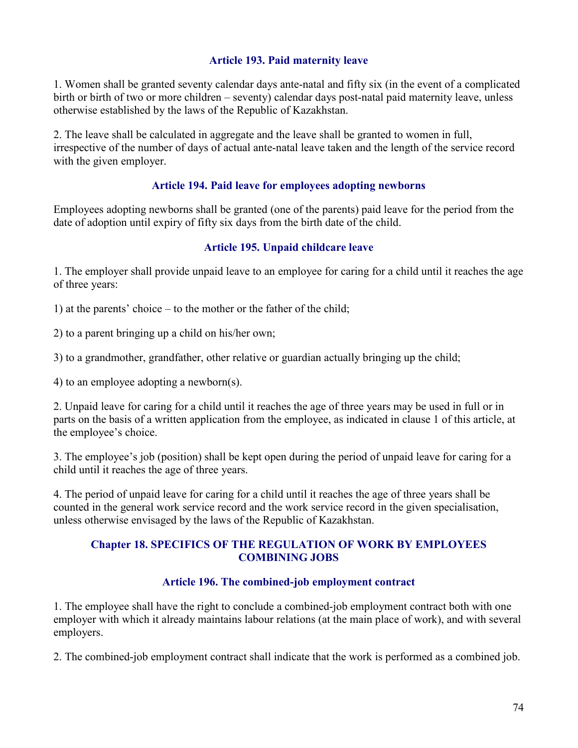### Article 193. Paid maternity leave

1. Women shall be granted seventy calendar days ante-natal and fifty six (in the event of a complicated birth or birth of two or more children – seventy) calendar days post-natal paid maternity leave, unless otherwise established by the laws of the Republic of Kazakhstan.

2. The leave shall be calculated in aggregate and the leave shall be granted to women in full, irrespective of the number of days of actual ante-natal leave taken and the length of the service record with the given employer.

### Article 194. Paid leave for employees adopting newborns

Employees adopting newborns shall be granted (one of the parents) paid leave for the period from the date of adoption until expiry of fifty six days from the birth date of the child.

### Article 195. Unpaid childcare leave

1. The employer shall provide unpaid leave to an employee for caring for a child until it reaches the age of three years:

1) at the parents' choice – to the mother or the father of the child;

2) to a parent bringing up a child on his/her own;

3) to a grandmother, grandfather, other relative or guardian actually bringing up the child;

4) to an employee adopting a newborn(s).

2. Unpaid leave for caring for a child until it reaches the age of three years may be used in full or in parts on the basis of a written application from the employee, as indicated in clause 1 of this article, at the employee's choice.

3. The employee's job (position) shall be kept open during the period of unpaid leave for caring for a child until it reaches the age of three years.

4. The period of unpaid leave for caring for a child until it reaches the age of three years shall be counted in the general work service record and the work service record in the given specialisation, unless otherwise envisaged by the laws of the Republic of Kazakhstan.

#### Chapter 18. SPECIFICS OF THE REGULATION OF WORK BY EMPLOYEES COMBINING JOBS

### Article 196. The combined-job employment contract

1. The employee shall have the right to conclude a combined-job employment contract both with one employer with which it already maintains labour relations (at the main place of work), and with several employers.

2. The combined-job employment contract shall indicate that the work is performed as a combined job.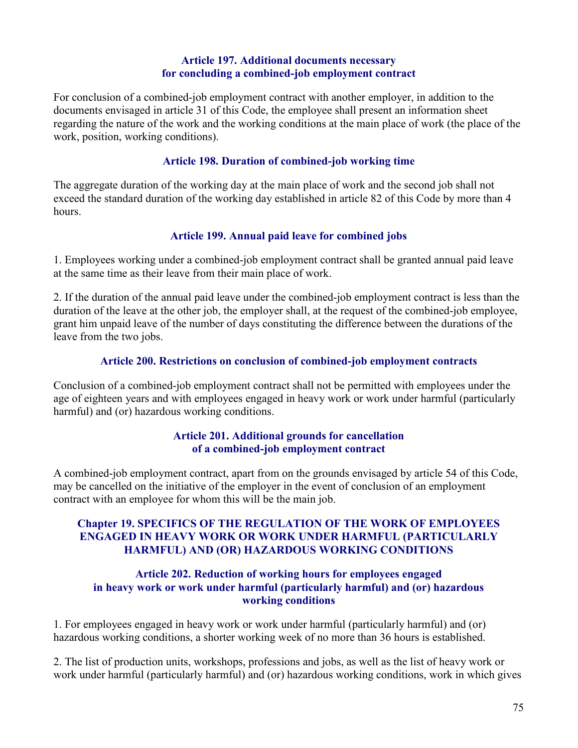### Article 197. Additional documents necessary for concluding a combined-job employment contract

For conclusion of a combined-job employment contract with another employer, in addition to the documents envisaged in article 31 of this Code, the employee shall present an information sheet regarding the nature of the work and the working conditions at the main place of work (the place of the work, position, working conditions).

#### Article 198. Duration of combined-job working time

The aggregate duration of the working day at the main place of work and the second job shall not exceed the standard duration of the working day established in article 82 of this Code by more than 4 hours.

### Article 199. Annual paid leave for combined jobs

1. Employees working under a combined-job employment contract shall be granted annual paid leave at the same time as their leave from their main place of work.

2. If the duration of the annual paid leave under the combined-job employment contract is less than the duration of the leave at the other job, the employer shall, at the request of the combined-job employee, grant him unpaid leave of the number of days constituting the difference between the durations of the leave from the two jobs.

#### Article 200. Restrictions on conclusion of combined-job employment contracts

Conclusion of a combined-job employment contract shall not be permitted with employees under the age of eighteen years and with employees engaged in heavy work or work under harmful (particularly harmful) and (or) hazardous working conditions.

#### Article 201. Additional grounds for cancellation of a combined-job employment contract

A combined-job employment contract, apart from on the grounds envisaged by article 54 of this Code, may be cancelled on the initiative of the employer in the event of conclusion of an employment contract with an employee for whom this will be the main job.

### Chapter 19. SPECIFICS OF THE REGULATION OF THE WORK OF EMPLOYEES ENGAGED IN HEAVY WORK OR WORK UNDER HARMFUL (PARTICULARLY HARMFUL) AND (OR) HAZARDOUS WORKING CONDITIONS

#### Article 202. Reduction of working hours for employees engaged in heavy work or work under harmful (particularly harmful) and (or) hazardous working conditions

1. For employees engaged in heavy work or work under harmful (particularly harmful) and (or) hazardous working conditions, a shorter working week of no more than 36 hours is established.

2. The list of production units, workshops, professions and jobs, as well as the list of heavy work or work under harmful (particularly harmful) and (or) hazardous working conditions, work in which gives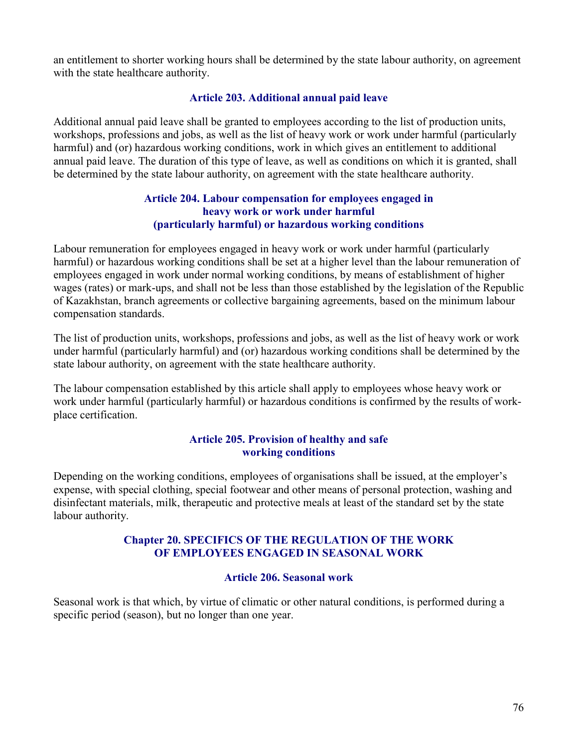an entitlement to shorter working hours shall be determined by the state labour authority, on agreement with the state healthcare authority.

### Article 203. Additional annual paid leave

Additional annual paid leave shall be granted to employees according to the list of production units, workshops, professions and jobs, as well as the list of heavy work or work under harmful (particularly harmful) and (or) hazardous working conditions, work in which gives an entitlement to additional annual paid leave. The duration of this type of leave, as well as conditions on which it is granted, shall be determined by the state labour authority, on agreement with the state healthcare authority.

### Article 204. Labour compensation for employees engaged in heavy work or work under harmful (particularly harmful) or hazardous working conditions

Labour remuneration for employees engaged in heavy work or work under harmful (particularly harmful) or hazardous working conditions shall be set at a higher level than the labour remuneration of employees engaged in work under normal working conditions, by means of establishment of higher wages (rates) or mark-ups, and shall not be less than those established by the legislation of the Republic of Kazakhstan, branch agreements or collective bargaining agreements, based on the minimum labour compensation standards.

The list of production units, workshops, professions and jobs, as well as the list of heavy work or work under harmful (particularly harmful) and (or) hazardous working conditions shall be determined by the state labour authority, on agreement with the state healthcare authority.

The labour compensation established by this article shall apply to employees whose heavy work or work under harmful (particularly harmful) or hazardous conditions is confirmed by the results of workplace certification.

### Article 205. Provision of healthy and safe working conditions

Depending on the working conditions, employees of organisations shall be issued, at the employer's expense, with special clothing, special footwear and other means of personal protection, washing and disinfectant materials, milk, therapeutic and protective meals at least of the standard set by the state labour authority.

## Chapter 20. SPECIFICS OF THE REGULATION OF THE WORK OF EMPLOYEES ENGAGED IN SEASONAL WORK

### Article 206. Seasonal work

Seasonal work is that which, by virtue of climatic or other natural conditions, is performed during a specific period (season), but no longer than one year.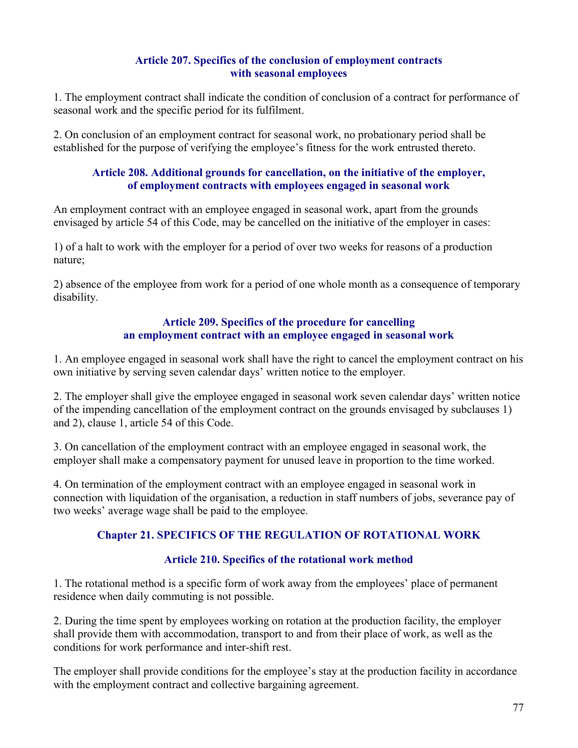## Article 207. Specifics of the conclusion of employment contracts with seasonal employees

1. The employment contract shall indicate the condition of conclusion of a contract for performance of seasonal work and the specific period for its fulfilment.

2. On conclusion of an employment contract for seasonal work, no probationary period shall be established for the purpose of verifying the employee's fitness for the work entrusted thereto.

### Article 208. Additional grounds for cancellation, on the initiative of the employer, of employment contracts with employees engaged in seasonal work

An employment contract with an employee engaged in seasonal work, apart from the grounds envisaged by article 54 of this Code, may be cancelled on the initiative of the employer in cases:

1) of a halt to work with the employer for a period of over two weeks for reasons of a production nature;

2) absence of the employee from work for a period of one whole month as a consequence of temporary disability.

## Article 209. Specifics of the procedure for cancelling an employment contract with an employee engaged in seasonal work

1. An employee engaged in seasonal work shall have the right to cancel the employment contract on his own initiative by serving seven calendar days' written notice to the employer.

2. The employer shall give the employee engaged in seasonal work seven calendar days' written notice of the impending cancellation of the employment contract on the grounds envisaged by subclauses 1) and 2), clause 1, article 54 of this Code.

3. On cancellation of the employment contract with an employee engaged in seasonal work, the employer shall make a compensatory payment for unused leave in proportion to the time worked.

4. On termination of the employment contract with an employee engaged in seasonal work in connection with liquidation of the organisation, a reduction in staff numbers of jobs, severance pay of two weeks' average wage shall be paid to the employee.

# Chapter 21. SPECIFICS OF THE REGULATION OF ROTATIONAL WORK

## Article 210. Specifics of the rotational work method

1. The rotational method is a specific form of work away from the employees' place of permanent residence when daily commuting is not possible.

2. During the time spent by employees working on rotation at the production facility, the employer shall provide them with accommodation, transport to and from their place of work, as well as the conditions for work performance and inter-shift rest.

The employer shall provide conditions for the employee's stay at the production facility in accordance with the employment contract and collective bargaining agreement.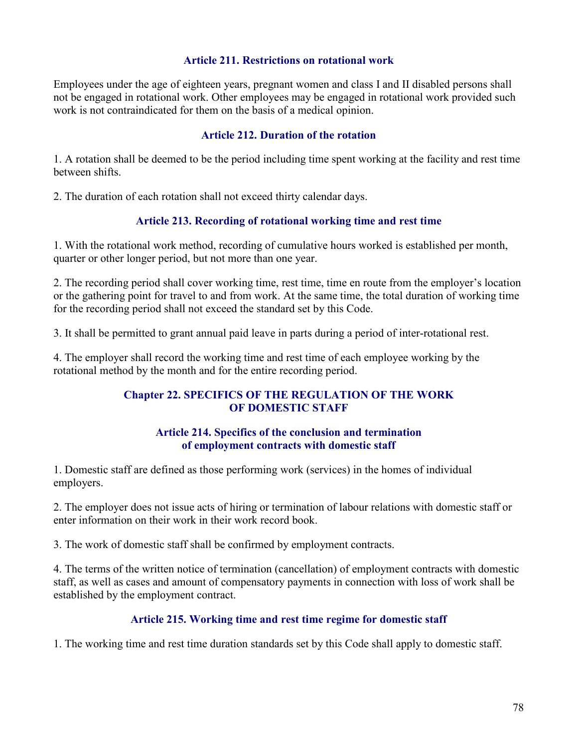### Article 211. Restrictions on rotational work

Employees under the age of eighteen years, pregnant women and class I and II disabled persons shall not be engaged in rotational work. Other employees may be engaged in rotational work provided such work is not contraindicated for them on the basis of a medical opinion.

### Article 212. Duration of the rotation

1. A rotation shall be deemed to be the period including time spent working at the facility and rest time between shifts.

2. The duration of each rotation shall not exceed thirty calendar days.

## Article 213. Recording of rotational working time and rest time

1. With the rotational work method, recording of cumulative hours worked is established per month, quarter or other longer period, but not more than one year.

2. The recording period shall cover working time, rest time, time en route from the employer's location or the gathering point for travel to and from work. At the same time, the total duration of working time for the recording period shall not exceed the standard set by this Code.

3. It shall be permitted to grant annual paid leave in parts during a period of inter-rotational rest.

4. The employer shall record the working time and rest time of each employee working by the rotational method by the month and for the entire recording period.

## Chapter 22. SPECIFICS OF THE REGULATION OF THE WORK OF DOMESTIC STAFF

### Article 214. Specifics of the conclusion and termination of employment contracts with domestic staff

1. Domestic staff are defined as those performing work (services) in the homes of individual employers.

2. The employer does not issue acts of hiring or termination of labour relations with domestic staff or enter information on their work in their work record book.

3. The work of domestic staff shall be confirmed by employment contracts.

4. The terms of the written notice of termination (cancellation) of employment contracts with domestic staff, as well as cases and amount of compensatory payments in connection with loss of work shall be established by the employment contract.

### Article 215. Working time and rest time regime for domestic staff

1. The working time and rest time duration standards set by this Code shall apply to domestic staff.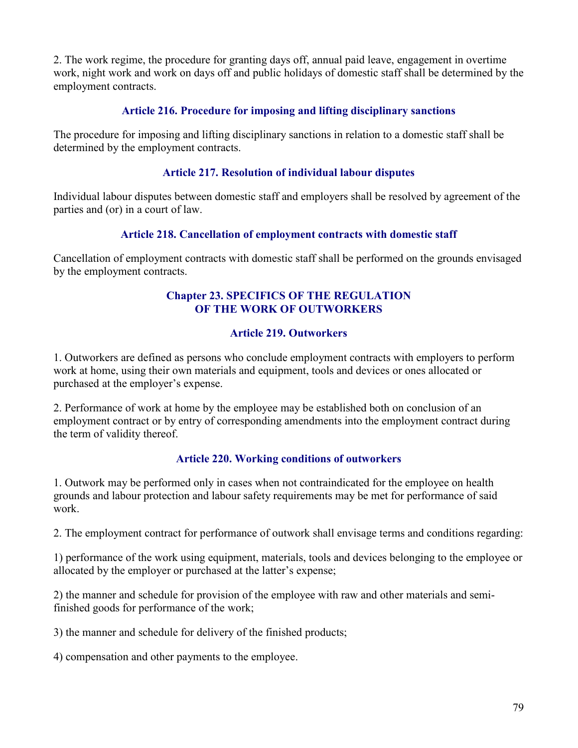2. The work regime, the procedure for granting days off, annual paid leave, engagement in overtime work, night work and work on days off and public holidays of domestic staff shall be determined by the employment contracts.

## Article 216. Procedure for imposing and lifting disciplinary sanctions

The procedure for imposing and lifting disciplinary sanctions in relation to a domestic staff shall be determined by the employment contracts.

## Article 217. Resolution of individual labour disputes

Individual labour disputes between domestic staff and employers shall be resolved by agreement of the parties and (or) in a court of law.

## Article 218. Cancellation of employment contracts with domestic staff

Cancellation of employment contracts with domestic staff shall be performed on the grounds envisaged by the employment contracts.

## Chapter 23. SPECIFICS OF THE REGULATION OF THE WORK OF OUTWORKERS

## Article 219. Outworkers

1. Outworkers are defined as persons who conclude employment contracts with employers to perform work at home, using their own materials and equipment, tools and devices or ones allocated or purchased at the employer's expense.

2. Performance of work at home by the employee may be established both on conclusion of an employment contract or by entry of corresponding amendments into the employment contract during the term of validity thereof.

## Article 220. Working conditions of outworkers

1. Outwork may be performed only in cases when not contraindicated for the employee on health grounds and labour protection and labour safety requirements may be met for performance of said work.

2. The employment contract for performance of outwork shall envisage terms and conditions regarding:

1) performance of the work using equipment, materials, tools and devices belonging to the employee or allocated by the employer or purchased at the latter's expense;

2) the manner and schedule for provision of the employee with raw and other materials and semifinished goods for performance of the work;

3) the manner and schedule for delivery of the finished products;

4) compensation and other payments to the employee.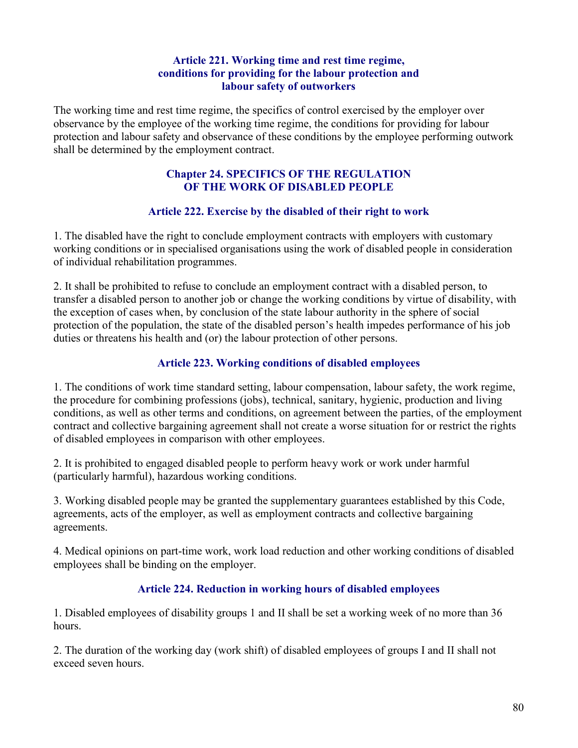### Article 221. Working time and rest time regime, conditions for providing for the labour protection and labour safety of outworkers

The working time and rest time regime, the specifics of control exercised by the employer over observance by the employee of the working time regime, the conditions for providing for labour protection and labour safety and observance of these conditions by the employee performing outwork shall be determined by the employment contract.

### Chapter 24. SPECIFICS OF THE REGULATION OF THE WORK OF DISABLED PEOPLE

## Article 222. Exercise by the disabled of their right to work

1. The disabled have the right to conclude employment contracts with employers with customary working conditions or in specialised organisations using the work of disabled people in consideration of individual rehabilitation programmes.

2. It shall be prohibited to refuse to conclude an employment contract with a disabled person, to transfer a disabled person to another job or change the working conditions by virtue of disability, with the exception of cases when, by conclusion of the state labour authority in the sphere of social protection of the population, the state of the disabled person's health impedes performance of his job duties or threatens his health and (or) the labour protection of other persons.

## Article 223. Working conditions of disabled employees

1. The conditions of work time standard setting, labour compensation, labour safety, the work regime, the procedure for combining professions (jobs), technical, sanitary, hygienic, production and living conditions, as well as other terms and conditions, on agreement between the parties, of the employment contract and collective bargaining agreement shall not create a worse situation for or restrict the rights of disabled employees in comparison with other employees.

2. It is prohibited to engaged disabled people to perform heavy work or work under harmful (particularly harmful), hazardous working conditions.

3. Working disabled people may be granted the supplementary guarantees established by this Code, agreements, acts of the employer, as well as employment contracts and collective bargaining agreements.

4. Medical opinions on part-time work, work load reduction and other working conditions of disabled employees shall be binding on the employer.

## Article 224. Reduction in working hours of disabled employees

1. Disabled employees of disability groups 1 and II shall be set a working week of no more than 36 hours.

2. The duration of the working day (work shift) of disabled employees of groups I and II shall not exceed seven hours.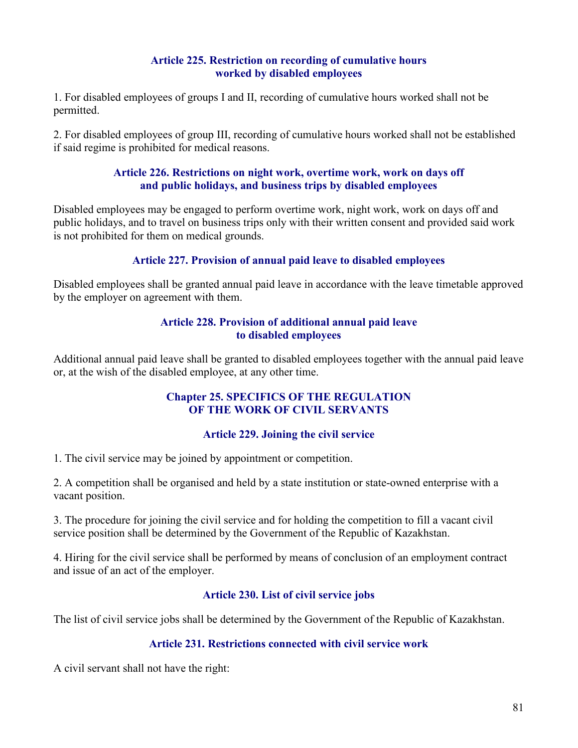## Article 225. Restriction on recording of cumulative hours worked by disabled employees

1. For disabled employees of groups I and II, recording of cumulative hours worked shall not be permitted.

2. For disabled employees of group III, recording of cumulative hours worked shall not be established if said regime is prohibited for medical reasons.

#### Article 226. Restrictions on night work, overtime work, work on days off and public holidays, and business trips by disabled employees

Disabled employees may be engaged to perform overtime work, night work, work on days off and public holidays, and to travel on business trips only with their written consent and provided said work is not prohibited for them on medical grounds.

## Article 227. Provision of annual paid leave to disabled employees

Disabled employees shall be granted annual paid leave in accordance with the leave timetable approved by the employer on agreement with them.

### Article 228. Provision of additional annual paid leave to disabled employees

Additional annual paid leave shall be granted to disabled employees together with the annual paid leave or, at the wish of the disabled employee, at any other time.

### Chapter 25. SPECIFICS OF THE REGULATION OF THE WORK OF CIVIL SERVANTS

### Article 229. Joining the civil service

1. The civil service may be joined by appointment or competition.

2. A competition shall be organised and held by a state institution or state-owned enterprise with a vacant position.

3. The procedure for joining the civil service and for holding the competition to fill a vacant civil service position shall be determined by the Government of the Republic of Kazakhstan.

4. Hiring for the civil service shall be performed by means of conclusion of an employment contract and issue of an act of the employer.

## Article 230. List of civil service jobs

The list of civil service jobs shall be determined by the Government of the Republic of Kazakhstan.

## Article 231. Restrictions connected with civil service work

A civil servant shall not have the right: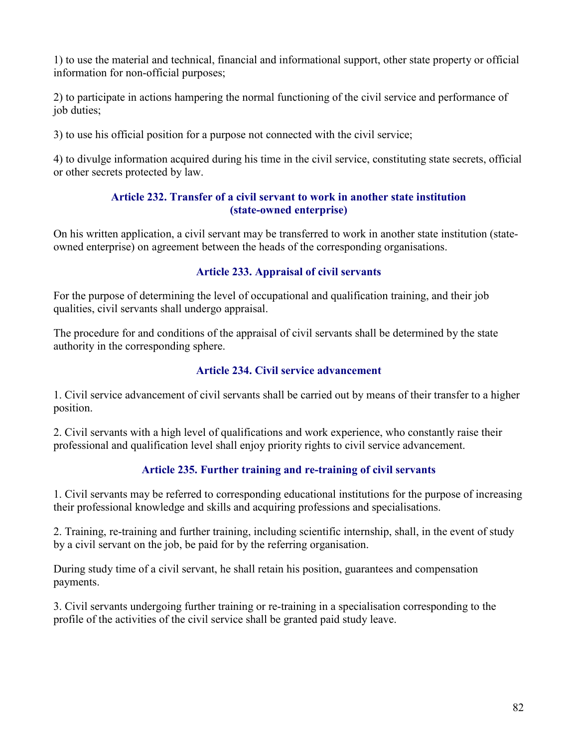1) to use the material and technical, financial and informational support, other state property or official information for non-official purposes;

2) to participate in actions hampering the normal functioning of the civil service and performance of job duties;

3) to use his official position for a purpose not connected with the civil service;

4) to divulge information acquired during his time in the civil service, constituting state secrets, official or other secrets protected by law.

### Article 232. Transfer of a civil servant to work in another state institution (state-owned enterprise)

On his written application, a civil servant may be transferred to work in another state institution (stateowned enterprise) on agreement between the heads of the corresponding organisations.

# Article 233. Appraisal of civil servants

For the purpose of determining the level of occupational and qualification training, and their job qualities, civil servants shall undergo appraisal.

The procedure for and conditions of the appraisal of civil servants shall be determined by the state authority in the corresponding sphere.

## Article 234. Civil service advancement

1. Civil service advancement of civil servants shall be carried out by means of their transfer to a higher position.

2. Civil servants with a high level of qualifications and work experience, who constantly raise their professional and qualification level shall enjoy priority rights to civil service advancement.

## Article 235. Further training and re-training of civil servants

1. Civil servants may be referred to corresponding educational institutions for the purpose of increasing their professional knowledge and skills and acquiring professions and specialisations.

2. Training, re-training and further training, including scientific internship, shall, in the event of study by a civil servant on the job, be paid for by the referring organisation.

During study time of a civil servant, he shall retain his position, guarantees and compensation payments.

3. Civil servants undergoing further training or re-training in a specialisation corresponding to the profile of the activities of the civil service shall be granted paid study leave.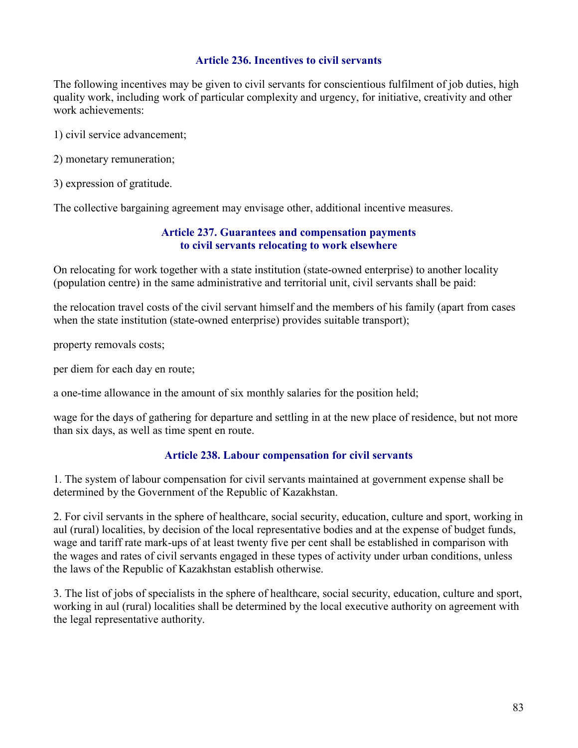### Article 236. Incentives to civil servants

The following incentives may be given to civil servants for conscientious fulfilment of job duties, high quality work, including work of particular complexity and urgency, for initiative, creativity and other work achievements:

1) civil service advancement;

2) monetary remuneration;

3) expression of gratitude.

The collective bargaining agreement may envisage other, additional incentive measures.

### Article 237. Guarantees and compensation payments to civil servants relocating to work elsewhere

On relocating for work together with a state institution (state-owned enterprise) to another locality (population centre) in the same administrative and territorial unit, civil servants shall be paid:

the relocation travel costs of the civil servant himself and the members of his family (apart from cases when the state institution (state-owned enterprise) provides suitable transport);

property removals costs;

per diem for each day en route;

a one-time allowance in the amount of six monthly salaries for the position held;

wage for the days of gathering for departure and settling in at the new place of residence, but not more than six days, as well as time spent en route.

#### Article 238. Labour compensation for civil servants

1. The system of labour compensation for civil servants maintained at government expense shall be determined by the Government of the Republic of Kazakhstan.

2. For civil servants in the sphere of healthcare, social security, education, culture and sport, working in aul (rural) localities, by decision of the local representative bodies and at the expense of budget funds, wage and tariff rate mark-ups of at least twenty five per cent shall be established in comparison with the wages and rates of civil servants engaged in these types of activity under urban conditions, unless the laws of the Republic of Kazakhstan establish otherwise.

3. The list of jobs of specialists in the sphere of healthcare, social security, education, culture and sport, working in aul (rural) localities shall be determined by the local executive authority on agreement with the legal representative authority.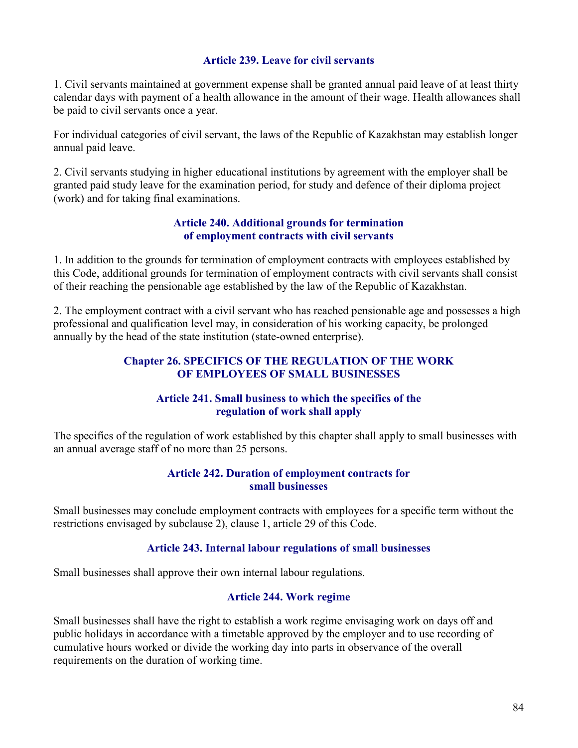### Article 239. Leave for civil servants

1. Civil servants maintained at government expense shall be granted annual paid leave of at least thirty calendar days with payment of a health allowance in the amount of their wage. Health allowances shall be paid to civil servants once a year.

For individual categories of civil servant, the laws of the Republic of Kazakhstan may establish longer annual paid leave.

2. Civil servants studying in higher educational institutions by agreement with the employer shall be granted paid study leave for the examination period, for study and defence of their diploma project (work) and for taking final examinations.

#### Article 240. Additional grounds for termination of employment contracts with civil servants

1. In addition to the grounds for termination of employment contracts with employees established by this Code, additional grounds for termination of employment contracts with civil servants shall consist of their reaching the pensionable age established by the law of the Republic of Kazakhstan.

2. The employment contract with a civil servant who has reached pensionable age and possesses a high professional and qualification level may, in consideration of his working capacity, be prolonged annually by the head of the state institution (state-owned enterprise).

### Chapter 26. SPECIFICS OF THE REGULATION OF THE WORK OF EMPLOYEES OF SMALL BUSINESSES

### Article 241. Small business to which the specifics of the regulation of work shall apply

The specifics of the regulation of work established by this chapter shall apply to small businesses with an annual average staff of no more than 25 persons.

#### Article 242. Duration of employment contracts for small businesses

Small businesses may conclude employment contracts with employees for a specific term without the restrictions envisaged by subclause 2), clause 1, article 29 of this Code.

### Article 243. Internal labour regulations of small businesses

Small businesses shall approve their own internal labour regulations.

### Article 244. Work regime

Small businesses shall have the right to establish a work regime envisaging work on days off and public holidays in accordance with a timetable approved by the employer and to use recording of cumulative hours worked or divide the working day into parts in observance of the overall requirements on the duration of working time.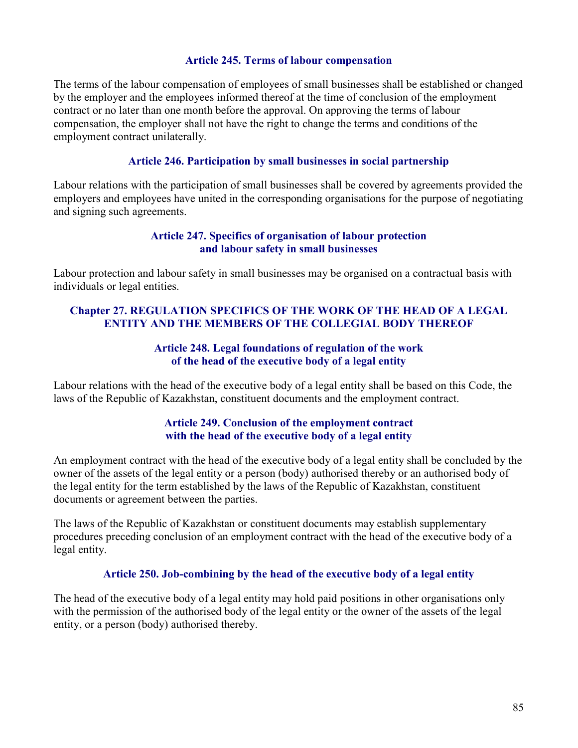#### Article 245. Terms of labour compensation

The terms of the labour compensation of employees of small businesses shall be established or changed by the employer and the employees informed thereof at the time of conclusion of the employment contract or no later than one month before the approval. On approving the terms of labour compensation, the employer shall not have the right to change the terms and conditions of the employment contract unilaterally.

#### Article 246. Participation by small businesses in social partnership

Labour relations with the participation of small businesses shall be covered by agreements provided the employers and employees have united in the corresponding organisations for the purpose of negotiating and signing such agreements.

#### Article 247. Specifics of organisation of labour protection and labour safety in small businesses

Labour protection and labour safety in small businesses may be organised on a contractual basis with individuals or legal entities.

### Chapter 27. REGULATION SPECIFICS OF THE WORK OF THE HEAD OF A LEGAL ENTITY AND THE MEMBERS OF THE COLLEGIAL BODY THEREOF

#### Article 248. Legal foundations of regulation of the work of the head of the executive body of a legal entity

Labour relations with the head of the executive body of a legal entity shall be based on this Code, the laws of the Republic of Kazakhstan, constituent documents and the employment contract.

### Article 249. Conclusion of the employment contract with the head of the executive body of a legal entity

An employment contract with the head of the executive body of a legal entity shall be concluded by the owner of the assets of the legal entity or a person (body) authorised thereby or an authorised body of the legal entity for the term established by the laws of the Republic of Kazakhstan, constituent documents or agreement between the parties.

The laws of the Republic of Kazakhstan or constituent documents may establish supplementary procedures preceding conclusion of an employment contract with the head of the executive body of a legal entity.

#### Article 250. Job-combining by the head of the executive body of a legal entity

The head of the executive body of a legal entity may hold paid positions in other organisations only with the permission of the authorised body of the legal entity or the owner of the assets of the legal entity, or a person (body) authorised thereby.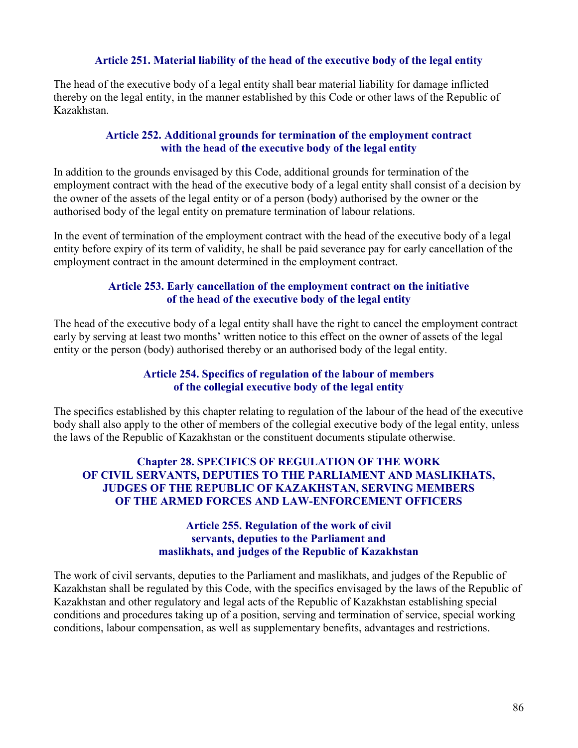#### Article 251. Material liability of the head of the executive body of the legal entity

The head of the executive body of a legal entity shall bear material liability for damage inflicted thereby on the legal entity, in the manner established by this Code or other laws of the Republic of Kazakhstan.

### Article 252. Additional grounds for termination of the employment contract with the head of the executive body of the legal entity

In addition to the grounds envisaged by this Code, additional grounds for termination of the employment contract with the head of the executive body of a legal entity shall consist of a decision by the owner of the assets of the legal entity or of a person (body) authorised by the owner or the authorised body of the legal entity on premature termination of labour relations.

In the event of termination of the employment contract with the head of the executive body of a legal entity before expiry of its term of validity, he shall be paid severance pay for early cancellation of the employment contract in the amount determined in the employment contract.

### Article 253. Early cancellation of the employment contract on the initiative of the head of the executive body of the legal entity

The head of the executive body of a legal entity shall have the right to cancel the employment contract early by serving at least two months' written notice to this effect on the owner of assets of the legal entity or the person (body) authorised thereby or an authorised body of the legal entity.

### Article 254. Specifics of regulation of the labour of members of the collegial executive body of the legal entity

The specifics established by this chapter relating to regulation of the labour of the head of the executive body shall also apply to the other of members of the collegial executive body of the legal entity, unless the laws of the Republic of Kazakhstan or the constituent documents stipulate otherwise.

### Chapter 28. SPECIFICS OF REGULATION OF THE WORK OF CIVIL SERVANTS, DEPUTIES TO THE PARLIAMENT AND MASLIKHATS, JUDGES OF THE REPUBLIC OF KAZAKHSTAN, SERVING MEMBERS OF THE ARMED FORCES AND LAW-ENFORCEMENT OFFICERS

#### Article 255. Regulation of the work of civil servants, deputies to the Parliament and maslikhats, and judges of the Republic of Kazakhstan

The work of civil servants, deputies to the Parliament and maslikhats, and judges of the Republic of Kazakhstan shall be regulated by this Code, with the specifics envisaged by the laws of the Republic of Kazakhstan and other regulatory and legal acts of the Republic of Kazakhstan establishing special conditions and procedures taking up of a position, serving and termination of service, special working conditions, labour compensation, as well as supplementary benefits, advantages and restrictions.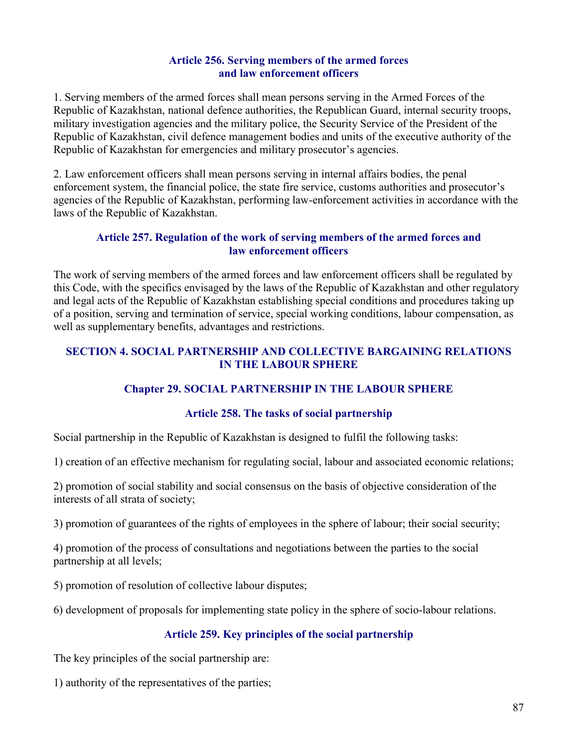### Article 256. Serving members of the armed forces and law enforcement officers

1. Serving members of the armed forces shall mean persons serving in the Armed Forces of the Republic of Kazakhstan, national defence authorities, the Republican Guard, internal security troops, military investigation agencies and the military police, the Security Service of the President of the Republic of Kazakhstan, civil defence management bodies and units of the executive authority of the Republic of Kazakhstan for emergencies and military prosecutor's agencies.

2. Law enforcement officers shall mean persons serving in internal affairs bodies, the penal enforcement system, the financial police, the state fire service, customs authorities and prosecutor's agencies of the Republic of Kazakhstan, performing law-enforcement activities in accordance with the laws of the Republic of Kazakhstan.

### Article 257. Regulation of the work of serving members of the armed forces and law enforcement officers

The work of serving members of the armed forces and law enforcement officers shall be regulated by this Code, with the specifics envisaged by the laws of the Republic of Kazakhstan and other regulatory and legal acts of the Republic of Kazakhstan establishing special conditions and procedures taking up of a position, serving and termination of service, special working conditions, labour compensation, as well as supplementary benefits, advantages and restrictions.

## SECTION 4. SOCIAL PARTNERSHIP AND COLLECTIVE BARGAINING RELATIONS IN THE LABOUR SPHERE

# Chapter 29. SOCIAL PARTNERSHIP IN THE LABOUR SPHERE

## Article 258. The tasks of social partnership

Social partnership in the Republic of Kazakhstan is designed to fulfil the following tasks:

1) creation of an effective mechanism for regulating social, labour and associated economic relations;

2) promotion of social stability and social consensus on the basis of objective consideration of the interests of all strata of society;

3) promotion of guarantees of the rights of employees in the sphere of labour; their social security;

4) promotion of the process of consultations and negotiations between the parties to the social partnership at all levels;

5) promotion of resolution of collective labour disputes;

6) development of proposals for implementing state policy in the sphere of socio-labour relations.

## Article 259. Key principles of the social partnership

The key principles of the social partnership are:

1) authority of the representatives of the parties;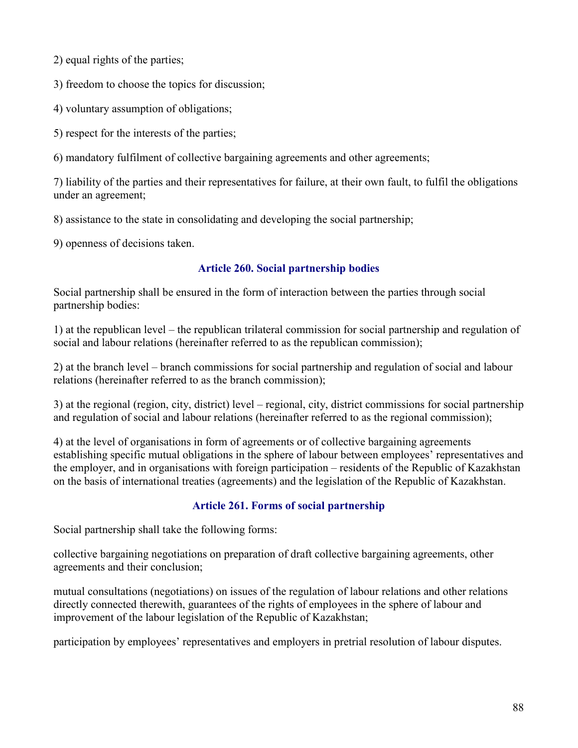2) equal rights of the parties;

3) freedom to choose the topics for discussion;

4) voluntary assumption of obligations;

5) respect for the interests of the parties;

6) mandatory fulfilment of collective bargaining agreements and other agreements;

7) liability of the parties and their representatives for failure, at their own fault, to fulfil the obligations under an agreement;

8) assistance to the state in consolidating and developing the social partnership;

9) openness of decisions taken.

## Article 260. Social partnership bodies

Social partnership shall be ensured in the form of interaction between the parties through social partnership bodies:

1) at the republican level – the republican trilateral commission for social partnership and regulation of social and labour relations (hereinafter referred to as the republican commission);

2) at the branch level – branch commissions for social partnership and regulation of social and labour relations (hereinafter referred to as the branch commission);

3) at the regional (region, city, district) level – regional, city, district commissions for social partnership and regulation of social and labour relations (hereinafter referred to as the regional commission);

4) at the level of organisations in form of agreements or of collective bargaining agreements establishing specific mutual obligations in the sphere of labour between employees' representatives and the employer, and in organisations with foreign participation – residents of the Republic of Kazakhstan on the basis of international treaties (agreements) and the legislation of the Republic of Kazakhstan.

## Article 261. Forms of social partnership

Social partnership shall take the following forms:

collective bargaining negotiations on preparation of draft collective bargaining agreements, other agreements and their conclusion;

mutual consultations (negotiations) on issues of the regulation of labour relations and other relations directly connected therewith, guarantees of the rights of employees in the sphere of labour and improvement of the labour legislation of the Republic of Kazakhstan;

participation by employees' representatives and employers in pretrial resolution of labour disputes.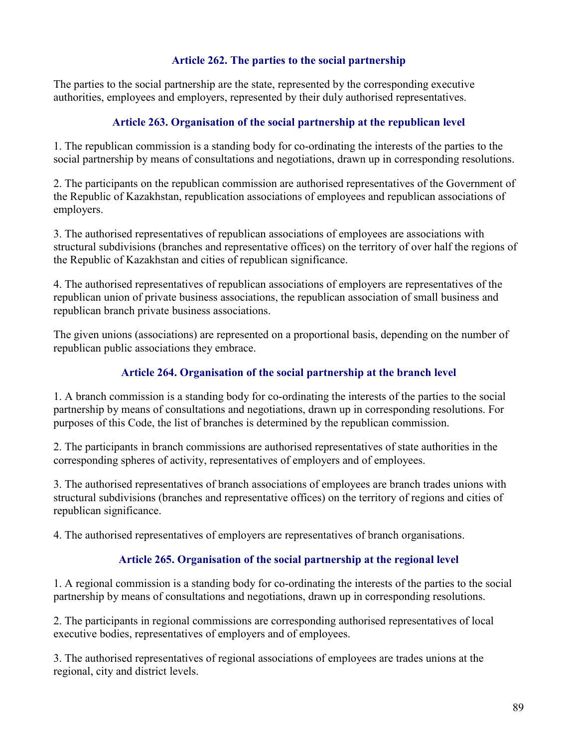## Article 262. The parties to the social partnership

The parties to the social partnership are the state, represented by the corresponding executive authorities, employees and employers, represented by their duly authorised representatives.

## Article 263. Organisation of the social partnership at the republican level

1. The republican commission is a standing body for co-ordinating the interests of the parties to the social partnership by means of consultations and negotiations, drawn up in corresponding resolutions.

2. The participants on the republican commission are authorised representatives of the Government of the Republic of Kazakhstan, republication associations of employees and republican associations of employers.

3. The authorised representatives of republican associations of employees are associations with structural subdivisions (branches and representative offices) on the territory of over half the regions of the Republic of Kazakhstan and cities of republican significance.

4. The authorised representatives of republican associations of employers are representatives of the republican union of private business associations, the republican association of small business and republican branch private business associations.

The given unions (associations) are represented on a proportional basis, depending on the number of republican public associations they embrace.

### Article 264. Organisation of the social partnership at the branch level

1. A branch commission is a standing body for co-ordinating the interests of the parties to the social partnership by means of consultations and negotiations, drawn up in corresponding resolutions. For purposes of this Code, the list of branches is determined by the republican commission.

2. The participants in branch commissions are authorised representatives of state authorities in the corresponding spheres of activity, representatives of employers and of employees.

3. The authorised representatives of branch associations of employees are branch trades unions with structural subdivisions (branches and representative offices) on the territory of regions and cities of republican significance.

4. The authorised representatives of employers are representatives of branch organisations.

### Article 265. Organisation of the social partnership at the regional level

1. A regional commission is a standing body for co-ordinating the interests of the parties to the social partnership by means of consultations and negotiations, drawn up in corresponding resolutions.

2. The participants in regional commissions are corresponding authorised representatives of local executive bodies, representatives of employers and of employees.

3. The authorised representatives of regional associations of employees are trades unions at the regional, city and district levels.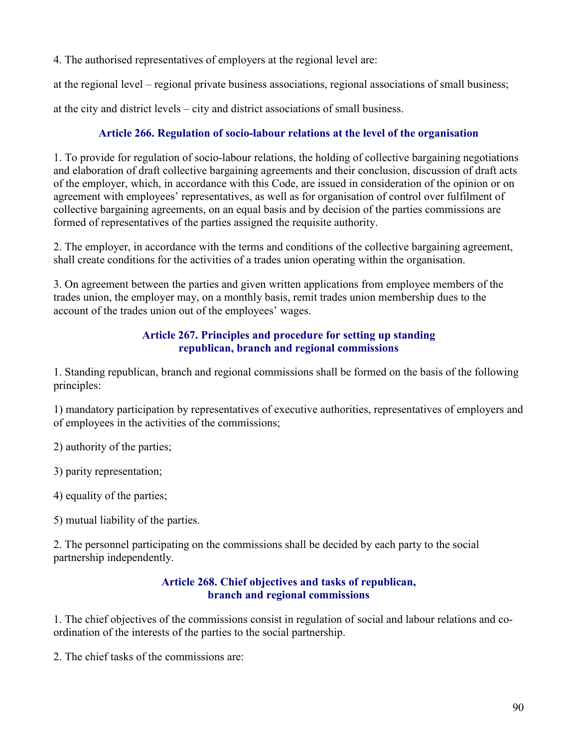4. The authorised representatives of employers at the regional level are:

at the regional level – regional private business associations, regional associations of small business;

at the city and district levels – city and district associations of small business.

## Article 266. Regulation of socio-labour relations at the level of the organisation

1. To provide for regulation of socio-labour relations, the holding of collective bargaining negotiations and elaboration of draft collective bargaining agreements and their conclusion, discussion of draft acts of the employer, which, in accordance with this Code, are issued in consideration of the opinion or on agreement with employees' representatives, as well as for organisation of control over fulfilment of collective bargaining agreements, on an equal basis and by decision of the parties commissions are formed of representatives of the parties assigned the requisite authority.

2. The employer, in accordance with the terms and conditions of the collective bargaining agreement, shall create conditions for the activities of a trades union operating within the organisation.

3. On agreement between the parties and given written applications from employee members of the trades union, the employer may, on a monthly basis, remit trades union membership dues to the account of the trades union out of the employees' wages.

## Article 267. Principles and procedure for setting up standing republican, branch and regional commissions

1. Standing republican, branch and regional commissions shall be formed on the basis of the following principles:

1) mandatory participation by representatives of executive authorities, representatives of employers and of employees in the activities of the commissions;

2) authority of the parties;

3) parity representation;

4) equality of the parties;

5) mutual liability of the parties.

2. The personnel participating on the commissions shall be decided by each party to the social partnership independently.

### Article 268. Chief objectives and tasks of republican, branch and regional commissions

1. The chief objectives of the commissions consist in regulation of social and labour relations and coordination of the interests of the parties to the social partnership.

2. The chief tasks of the commissions are: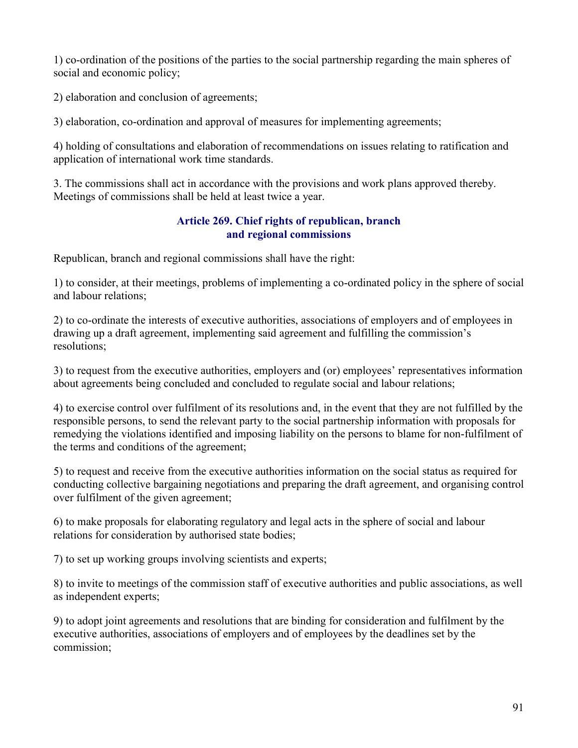1) co-ordination of the positions of the parties to the social partnership regarding the main spheres of social and economic policy;

2) elaboration and conclusion of agreements;

3) elaboration, co-ordination and approval of measures for implementing agreements;

4) holding of consultations and elaboration of recommendations on issues relating to ratification and application of international work time standards.

3. The commissions shall act in accordance with the provisions and work plans approved thereby. Meetings of commissions shall be held at least twice a year.

## Article 269. Chief rights of republican, branch and regional commissions

Republican, branch and regional commissions shall have the right:

1) to consider, at their meetings, problems of implementing a co-ordinated policy in the sphere of social and labour relations;

2) to co-ordinate the interests of executive authorities, associations of employers and of employees in drawing up a draft agreement, implementing said agreement and fulfilling the commission's resolutions;

3) to request from the executive authorities, employers and (or) employees' representatives information about agreements being concluded and concluded to regulate social and labour relations;

4) to exercise control over fulfilment of its resolutions and, in the event that they are not fulfilled by the responsible persons, to send the relevant party to the social partnership information with proposals for remedying the violations identified and imposing liability on the persons to blame for non-fulfilment of the terms and conditions of the agreement;

5) to request and receive from the executive authorities information on the social status as required for conducting collective bargaining negotiations and preparing the draft agreement, and organising control over fulfilment of the given agreement;

6) to make proposals for elaborating regulatory and legal acts in the sphere of social and labour relations for consideration by authorised state bodies;

7) to set up working groups involving scientists and experts;

8) to invite to meetings of the commission staff of executive authorities and public associations, as well as independent experts;

9) to adopt joint agreements and resolutions that are binding for consideration and fulfilment by the executive authorities, associations of employers and of employees by the deadlines set by the commission;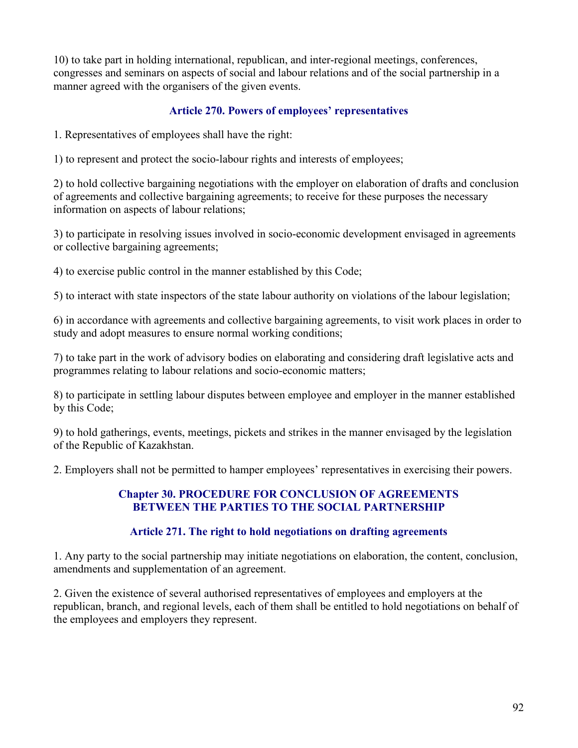10) to take part in holding international, republican, and inter-regional meetings, conferences, congresses and seminars on aspects of social and labour relations and of the social partnership in a manner agreed with the organisers of the given events.

## Article 270. Powers of employees' representatives

1. Representatives of employees shall have the right:

1) to represent and protect the socio-labour rights and interests of employees;

2) to hold collective bargaining negotiations with the employer on elaboration of drafts and conclusion of agreements and collective bargaining agreements; to receive for these purposes the necessary information on aspects of labour relations;

3) to participate in resolving issues involved in socio-economic development envisaged in agreements or collective bargaining agreements;

4) to exercise public control in the manner established by this Code;

5) to interact with state inspectors of the state labour authority on violations of the labour legislation;

6) in accordance with agreements and collective bargaining agreements, to visit work places in order to study and adopt measures to ensure normal working conditions;

7) to take part in the work of advisory bodies on elaborating and considering draft legislative acts and programmes relating to labour relations and socio-economic matters;

8) to participate in settling labour disputes between employee and employer in the manner established by this Code;

9) to hold gatherings, events, meetings, pickets and strikes in the manner envisaged by the legislation of the Republic of Kazakhstan.

2. Employers shall not be permitted to hamper employees' representatives in exercising their powers.

## Chapter 30. PROCEDURE FOR CONCLUSION OF AGREEMENTS BETWEEN THE PARTIES TO THE SOCIAL PARTNERSHIP

### Article 271. The right to hold negotiations on drafting agreements

1. Any party to the social partnership may initiate negotiations on elaboration, the content, conclusion, amendments and supplementation of an agreement.

2. Given the existence of several authorised representatives of employees and employers at the republican, branch, and regional levels, each of them shall be entitled to hold negotiations on behalf of the employees and employers they represent.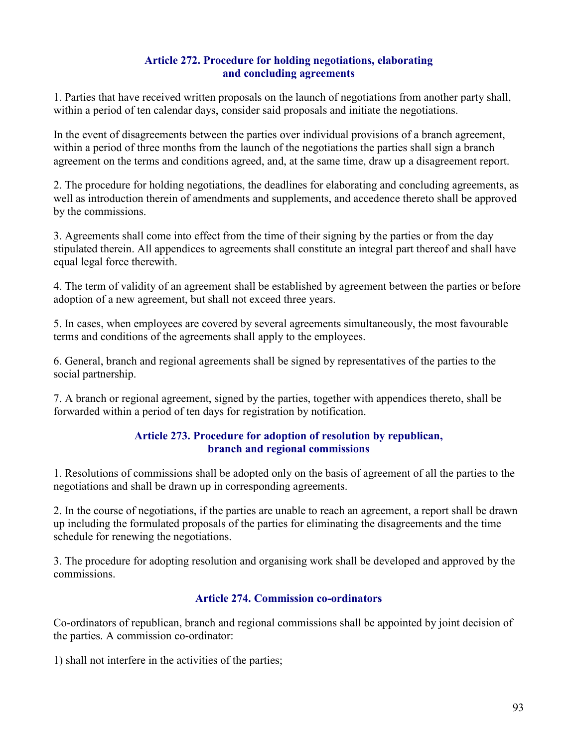## Article 272. Procedure for holding negotiations, elaborating and concluding agreements

1. Parties that have received written proposals on the launch of negotiations from another party shall, within a period of ten calendar days, consider said proposals and initiate the negotiations.

In the event of disagreements between the parties over individual provisions of a branch agreement, within a period of three months from the launch of the negotiations the parties shall sign a branch agreement on the terms and conditions agreed, and, at the same time, draw up a disagreement report.

2. The procedure for holding negotiations, the deadlines for elaborating and concluding agreements, as well as introduction therein of amendments and supplements, and accedence thereto shall be approved by the commissions.

3. Agreements shall come into effect from the time of their signing by the parties or from the day stipulated therein. All appendices to agreements shall constitute an integral part thereof and shall have equal legal force therewith.

4. The term of validity of an agreement shall be established by agreement between the parties or before adoption of a new agreement, but shall not exceed three years.

5. In cases, when employees are covered by several agreements simultaneously, the most favourable terms and conditions of the agreements shall apply to the employees.

6. General, branch and regional agreements shall be signed by representatives of the parties to the social partnership.

7. A branch or regional agreement, signed by the parties, together with appendices thereto, shall be forwarded within a period of ten days for registration by notification.

### Article 273. Procedure for adoption of resolution by republican, branch and regional commissions

1. Resolutions of commissions shall be adopted only on the basis of agreement of all the parties to the negotiations and shall be drawn up in corresponding agreements.

2. In the course of negotiations, if the parties are unable to reach an agreement, a report shall be drawn up including the formulated proposals of the parties for eliminating the disagreements and the time schedule for renewing the negotiations.

3. The procedure for adopting resolution and organising work shall be developed and approved by the commissions.

## Article 274. Commission co-ordinators

Co-ordinators of republican, branch and regional commissions shall be appointed by joint decision of the parties. A commission co-ordinator:

1) shall not interfere in the activities of the parties;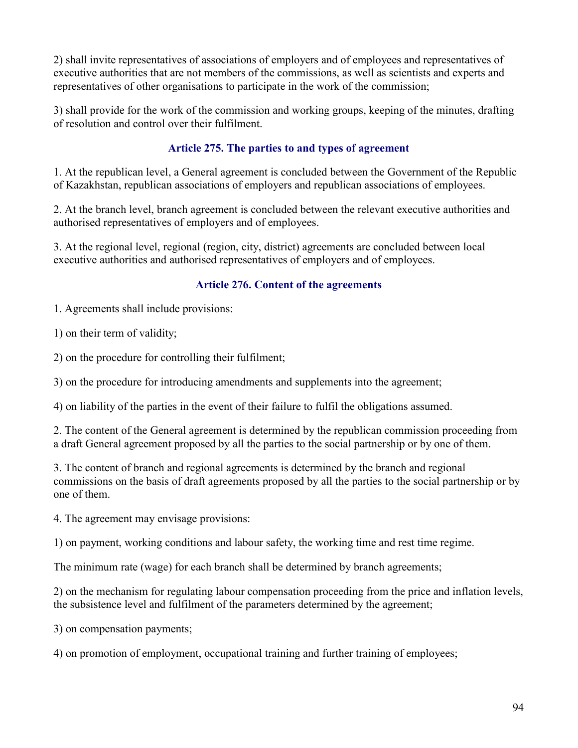2) shall invite representatives of associations of employers and of employees and representatives of executive authorities that are not members of the commissions, as well as scientists and experts and representatives of other organisations to participate in the work of the commission;

3) shall provide for the work of the commission and working groups, keeping of the minutes, drafting of resolution and control over their fulfilment.

## Article 275. The parties to and types of agreement

1. At the republican level, a General agreement is concluded between the Government of the Republic of Kazakhstan, republican associations of employers and republican associations of employees.

2. At the branch level, branch agreement is concluded between the relevant executive authorities and authorised representatives of employers and of employees.

3. At the regional level, regional (region, city, district) agreements are concluded between local executive authorities and authorised representatives of employers and of employees.

## Article 276. Content of the agreements

1. Agreements shall include provisions:

1) on their term of validity;

2) on the procedure for controlling their fulfilment;

3) on the procedure for introducing amendments and supplements into the agreement;

4) on liability of the parties in the event of their failure to fulfil the obligations assumed.

2. The content of the General agreement is determined by the republican commission proceeding from a draft General agreement proposed by all the parties to the social partnership or by one of them.

3. The content of branch and regional agreements is determined by the branch and regional commissions on the basis of draft agreements proposed by all the parties to the social partnership or by one of them.

4. The agreement may envisage provisions:

1) on payment, working conditions and labour safety, the working time and rest time regime.

The minimum rate (wage) for each branch shall be determined by branch agreements;

2) on the mechanism for regulating labour compensation proceeding from the price and inflation levels, the subsistence level and fulfilment of the parameters determined by the agreement;

3) on compensation payments;

4) on promotion of employment, occupational training and further training of employees;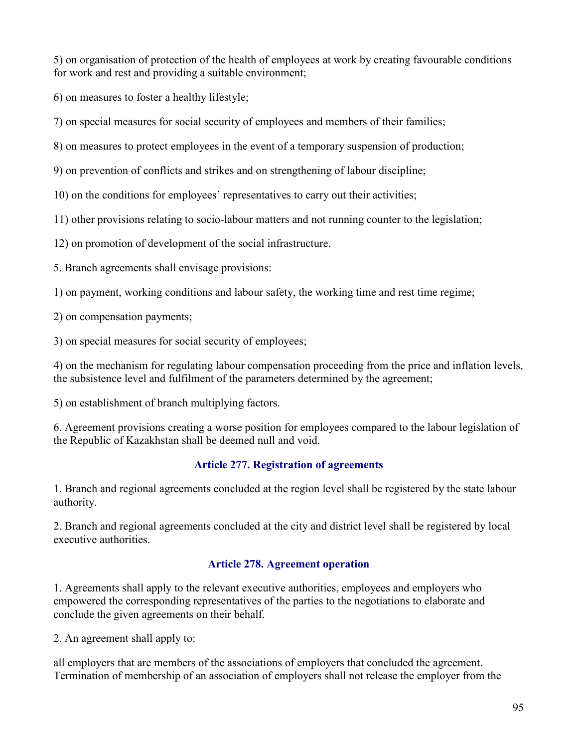5) on organisation of protection of the health of employees at work by creating favourable conditions for work and rest and providing a suitable environment;

6) on measures to foster a healthy lifestyle;

7) on special measures for social security of employees and members of their families;

8) on measures to protect employees in the event of a temporary suspension of production;

9) on prevention of conflicts and strikes and on strengthening of labour discipline;

10) on the conditions for employees' representatives to carry out their activities;

11) other provisions relating to socio-labour matters and not running counter to the legislation;

12) on promotion of development of the social infrastructure.

5. Branch agreements shall envisage provisions:

1) on payment, working conditions and labour safety, the working time and rest time regime;

2) on compensation payments;

3) on special measures for social security of employees;

4) on the mechanism for regulating labour compensation proceeding from the price and inflation levels, the subsistence level and fulfilment of the parameters determined by the agreement;

5) on establishment of branch multiplying factors.

6. Agreement provisions creating a worse position for employees compared to the labour legislation of the Republic of Kazakhstan shall be deemed null and void.

## Article 277. Registration of agreements

1. Branch and regional agreements concluded at the region level shall be registered by the state labour authority.

2. Branch and regional agreements concluded at the city and district level shall be registered by local executive authorities.

## Article 278. Agreement operation

1. Agreements shall apply to the relevant executive authorities, employees and employers who empowered the corresponding representatives of the parties to the negotiations to elaborate and conclude the given agreements on their behalf.

2. An agreement shall apply to:

all employers that are members of the associations of employers that concluded the agreement. Termination of membership of an association of employers shall not release the employer from the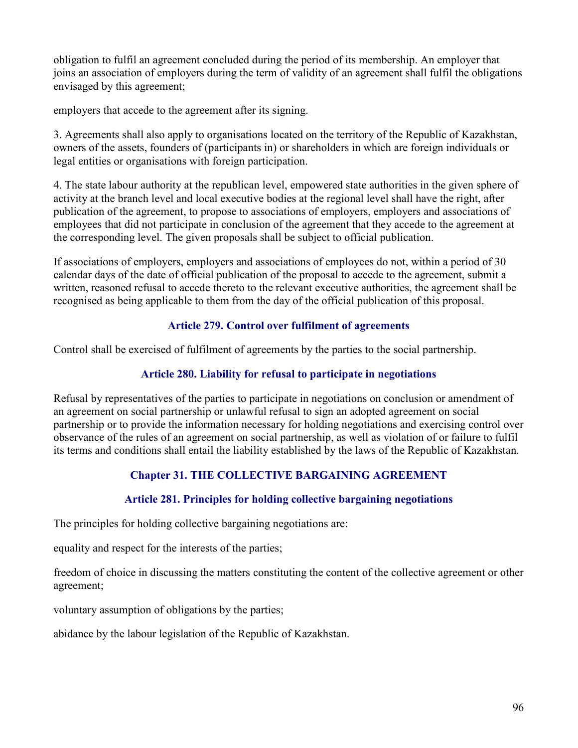obligation to fulfil an agreement concluded during the period of its membership. An employer that joins an association of employers during the term of validity of an agreement shall fulfil the obligations envisaged by this agreement;

employers that accede to the agreement after its signing.

3. Agreements shall also apply to organisations located on the territory of the Republic of Kazakhstan, owners of the assets, founders of (participants in) or shareholders in which are foreign individuals or legal entities or organisations with foreign participation.

4. The state labour authority at the republican level, empowered state authorities in the given sphere of activity at the branch level and local executive bodies at the regional level shall have the right, after publication of the agreement, to propose to associations of employers, employers and associations of employees that did not participate in conclusion of the agreement that they accede to the agreement at the corresponding level. The given proposals shall be subject to official publication.

If associations of employers, employers and associations of employees do not, within a period of 30 calendar days of the date of official publication of the proposal to accede to the agreement, submit a written, reasoned refusal to accede thereto to the relevant executive authorities, the agreement shall be recognised as being applicable to them from the day of the official publication of this proposal.

## Article 279. Control over fulfilment of agreements

Control shall be exercised of fulfilment of agreements by the parties to the social partnership.

## Article 280. Liability for refusal to participate in negotiations

Refusal by representatives of the parties to participate in negotiations on conclusion or amendment of an agreement on social partnership or unlawful refusal to sign an adopted agreement on social partnership or to provide the information necessary for holding negotiations and exercising control over observance of the rules of an agreement on social partnership, as well as violation of or failure to fulfil its terms and conditions shall entail the liability established by the laws of the Republic of Kazakhstan.

# Chapter 31. THE COLLECTIVE BARGAINING AGREEMENT

### Article 281. Principles for holding collective bargaining negotiations

The principles for holding collective bargaining negotiations are:

equality and respect for the interests of the parties;

freedom of choice in discussing the matters constituting the content of the collective agreement or other agreement;

voluntary assumption of obligations by the parties;

abidance by the labour legislation of the Republic of Kazakhstan.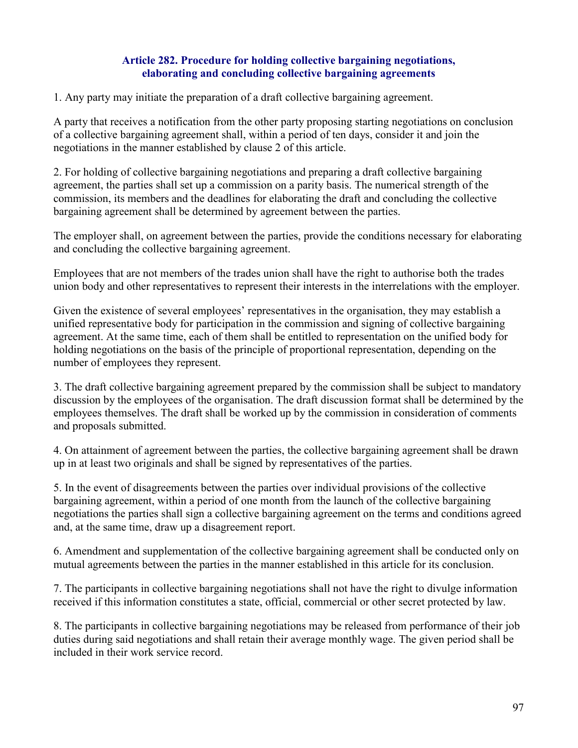### Article 282. Procedure for holding collective bargaining negotiations, elaborating and concluding collective bargaining agreements

1. Any party may initiate the preparation of a draft collective bargaining agreement.

A party that receives a notification from the other party proposing starting negotiations on conclusion of a collective bargaining agreement shall, within a period of ten days, consider it and join the negotiations in the manner established by clause 2 of this article.

2. For holding of collective bargaining negotiations and preparing a draft collective bargaining agreement, the parties shall set up a commission on a parity basis. The numerical strength of the commission, its members and the deadlines for elaborating the draft and concluding the collective bargaining agreement shall be determined by agreement between the parties.

The employer shall, on agreement between the parties, provide the conditions necessary for elaborating and concluding the collective bargaining agreement.

Employees that are not members of the trades union shall have the right to authorise both the trades union body and other representatives to represent their interests in the interrelations with the employer.

Given the existence of several employees' representatives in the organisation, they may establish a unified representative body for participation in the commission and signing of collective bargaining agreement. At the same time, each of them shall be entitled to representation on the unified body for holding negotiations on the basis of the principle of proportional representation, depending on the number of employees they represent.

3. The draft collective bargaining agreement prepared by the commission shall be subject to mandatory discussion by the employees of the organisation. The draft discussion format shall be determined by the employees themselves. The draft shall be worked up by the commission in consideration of comments and proposals submitted.

4. On attainment of agreement between the parties, the collective bargaining agreement shall be drawn up in at least two originals and shall be signed by representatives of the parties.

5. In the event of disagreements between the parties over individual provisions of the collective bargaining agreement, within a period of one month from the launch of the collective bargaining negotiations the parties shall sign a collective bargaining agreement on the terms and conditions agreed and, at the same time, draw up a disagreement report.

6. Amendment and supplementation of the collective bargaining agreement shall be conducted only on mutual agreements between the parties in the manner established in this article for its conclusion.

7. The participants in collective bargaining negotiations shall not have the right to divulge information received if this information constitutes a state, official, commercial or other secret protected by law.

8. The participants in collective bargaining negotiations may be released from performance of their job duties during said negotiations and shall retain their average monthly wage. The given period shall be included in their work service record.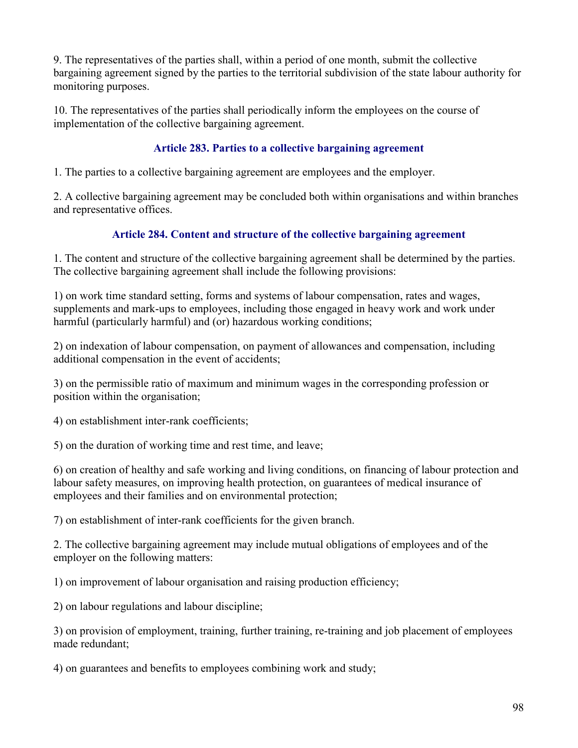9. The representatives of the parties shall, within a period of one month, submit the collective bargaining agreement signed by the parties to the territorial subdivision of the state labour authority for monitoring purposes.

10. The representatives of the parties shall periodically inform the employees on the course of implementation of the collective bargaining agreement.

## Article 283. Parties to a collective bargaining agreement

1. The parties to a collective bargaining agreement are employees and the employer.

2. A collective bargaining agreement may be concluded both within organisations and within branches and representative offices.

# Article 284. Content and structure of the collective bargaining agreement

1. The content and structure of the collective bargaining agreement shall be determined by the parties. The collective bargaining agreement shall include the following provisions:

1) on work time standard setting, forms and systems of labour compensation, rates and wages, supplements and mark-ups to employees, including those engaged in heavy work and work under harmful (particularly harmful) and (or) hazardous working conditions;

2) on indexation of labour compensation, on payment of allowances and compensation, including additional compensation in the event of accidents;

3) on the permissible ratio of maximum and minimum wages in the corresponding profession or position within the organisation;

4) on establishment inter-rank coefficients;

5) on the duration of working time and rest time, and leave;

6) on creation of healthy and safe working and living conditions, on financing of labour protection and labour safety measures, on improving health protection, on guarantees of medical insurance of employees and their families and on environmental protection;

7) on establishment of inter-rank coefficients for the given branch.

2. The collective bargaining agreement may include mutual obligations of employees and of the employer on the following matters:

1) on improvement of labour organisation and raising production efficiency;

2) on labour regulations and labour discipline;

3) on provision of employment, training, further training, re-training and job placement of employees made redundant;

4) on guarantees and benefits to employees combining work and study;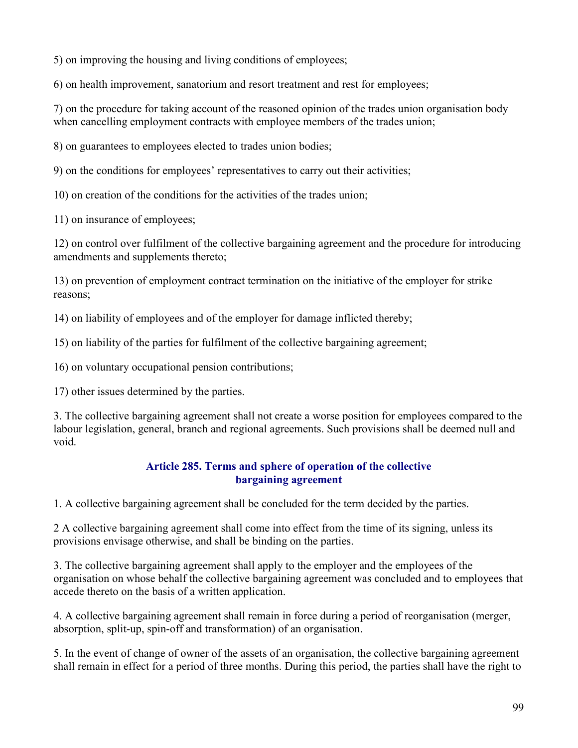5) on improving the housing and living conditions of employees;

6) on health improvement, sanatorium and resort treatment and rest for employees;

7) on the procedure for taking account of the reasoned opinion of the trades union organisation body when cancelling employment contracts with employee members of the trades union;

8) on guarantees to employees elected to trades union bodies;

9) on the conditions for employees' representatives to carry out their activities;

10) on creation of the conditions for the activities of the trades union;

11) on insurance of employees;

12) on control over fulfilment of the collective bargaining agreement and the procedure for introducing amendments and supplements thereto;

13) on prevention of employment contract termination on the initiative of the employer for strike reasons;

14) on liability of employees and of the employer for damage inflicted thereby;

15) on liability of the parties for fulfilment of the collective bargaining agreement;

16) on voluntary occupational pension contributions;

17) other issues determined by the parties.

3. The collective bargaining agreement shall not create a worse position for employees compared to the labour legislation, general, branch and regional agreements. Such provisions shall be deemed null and void.

## Article 285. Terms and sphere of operation of the collective bargaining agreement

1. A collective bargaining agreement shall be concluded for the term decided by the parties.

2 A collective bargaining agreement shall come into effect from the time of its signing, unless its provisions envisage otherwise, and shall be binding on the parties.

3. The collective bargaining agreement shall apply to the employer and the employees of the organisation on whose behalf the collective bargaining agreement was concluded and to employees that accede thereto on the basis of a written application.

4. A collective bargaining agreement shall remain in force during a period of reorganisation (merger, absorption, split-up, spin-off and transformation) of an organisation.

5. In the event of change of owner of the assets of an organisation, the collective bargaining agreement shall remain in effect for a period of three months. During this period, the parties shall have the right to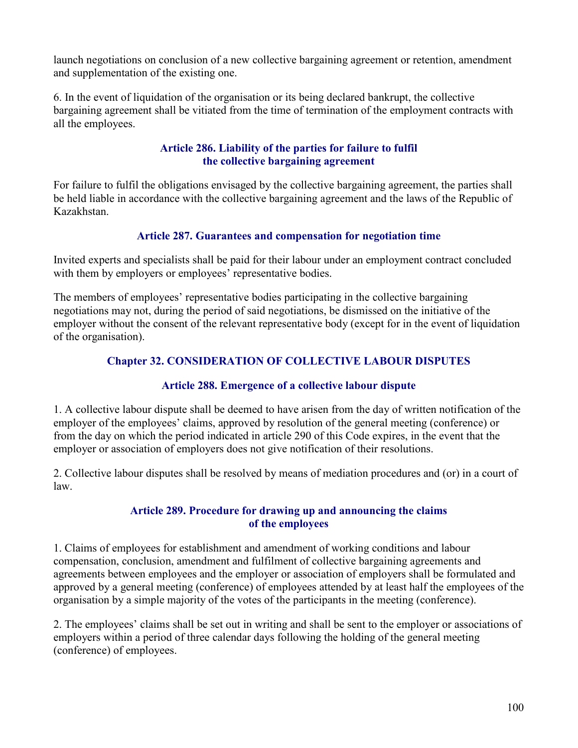launch negotiations on conclusion of a new collective bargaining agreement or retention, amendment and supplementation of the existing one.

6. In the event of liquidation of the organisation or its being declared bankrupt, the collective bargaining agreement shall be vitiated from the time of termination of the employment contracts with all the employees.

## Article 286. Liability of the parties for failure to fulfil the collective bargaining agreement

For failure to fulfil the obligations envisaged by the collective bargaining agreement, the parties shall be held liable in accordance with the collective bargaining agreement and the laws of the Republic of Kazakhstan.

## Article 287. Guarantees and compensation for negotiation time

Invited experts and specialists shall be paid for their labour under an employment contract concluded with them by employers or employees' representative bodies.

The members of employees' representative bodies participating in the collective bargaining negotiations may not, during the period of said negotiations, be dismissed on the initiative of the employer without the consent of the relevant representative body (except for in the event of liquidation of the organisation).

# Chapter 32. CONSIDERATION OF COLLECTIVE LABOUR DISPUTES

## Article 288. Emergence of a collective labour dispute

1. A collective labour dispute shall be deemed to have arisen from the day of written notification of the employer of the employees' claims, approved by resolution of the general meeting (conference) or from the day on which the period indicated in article 290 of this Code expires, in the event that the employer or association of employers does not give notification of their resolutions.

2. Collective labour disputes shall be resolved by means of mediation procedures and (or) in a court of law.

## Article 289. Procedure for drawing up and announcing the claims of the employees

1. Claims of employees for establishment and amendment of working conditions and labour compensation, conclusion, amendment and fulfilment of collective bargaining agreements and agreements between employees and the employer or association of employers shall be formulated and approved by a general meeting (conference) of employees attended by at least half the employees of the organisation by a simple majority of the votes of the participants in the meeting (conference).

2. The employees' claims shall be set out in writing and shall be sent to the employer or associations of employers within a period of three calendar days following the holding of the general meeting (conference) of employees.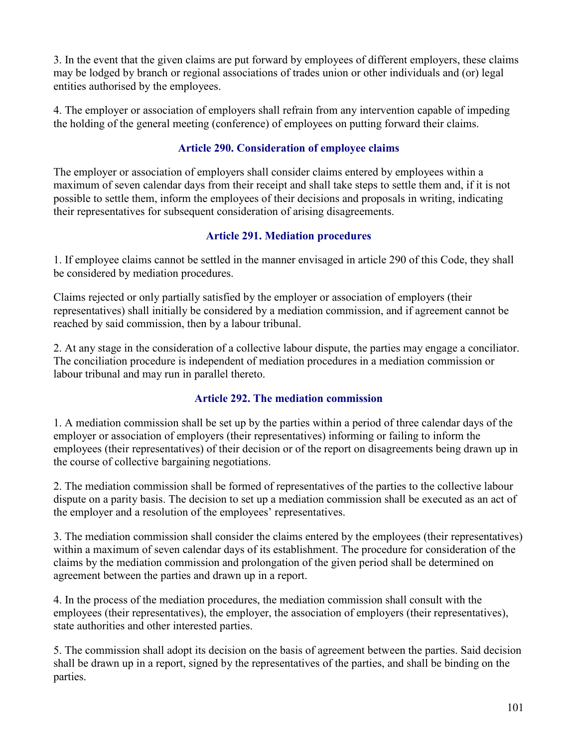3. In the event that the given claims are put forward by employees of different employers, these claims may be lodged by branch or regional associations of trades union or other individuals and (or) legal entities authorised by the employees.

4. The employer or association of employers shall refrain from any intervention capable of impeding the holding of the general meeting (conference) of employees on putting forward their claims.

# Article 290. Consideration of employee claims

The employer or association of employers shall consider claims entered by employees within a maximum of seven calendar days from their receipt and shall take steps to settle them and, if it is not possible to settle them, inform the employees of their decisions and proposals in writing, indicating their representatives for subsequent consideration of arising disagreements.

## Article 291. Mediation procedures

1. If employee claims cannot be settled in the manner envisaged in article 290 of this Code, they shall be considered by mediation procedures.

Claims rejected or only partially satisfied by the employer or association of employers (their representatives) shall initially be considered by a mediation commission, and if agreement cannot be reached by said commission, then by a labour tribunal.

2. At any stage in the consideration of a collective labour dispute, the parties may engage a conciliator. The conciliation procedure is independent of mediation procedures in a mediation commission or labour tribunal and may run in parallel thereto.

## Article 292. The mediation commission

1. A mediation commission shall be set up by the parties within a period of three calendar days of the employer or association of employers (their representatives) informing or failing to inform the employees (their representatives) of their decision or of the report on disagreements being drawn up in the course of collective bargaining negotiations.

2. The mediation commission shall be formed of representatives of the parties to the collective labour dispute on a parity basis. The decision to set up a mediation commission shall be executed as an act of the employer and a resolution of the employees' representatives.

3. The mediation commission shall consider the claims entered by the employees (their representatives) within a maximum of seven calendar days of its establishment. The procedure for consideration of the claims by the mediation commission and prolongation of the given period shall be determined on agreement between the parties and drawn up in a report.

4. In the process of the mediation procedures, the mediation commission shall consult with the employees (their representatives), the employer, the association of employers (their representatives), state authorities and other interested parties.

5. The commission shall adopt its decision on the basis of agreement between the parties. Said decision shall be drawn up in a report, signed by the representatives of the parties, and shall be binding on the parties.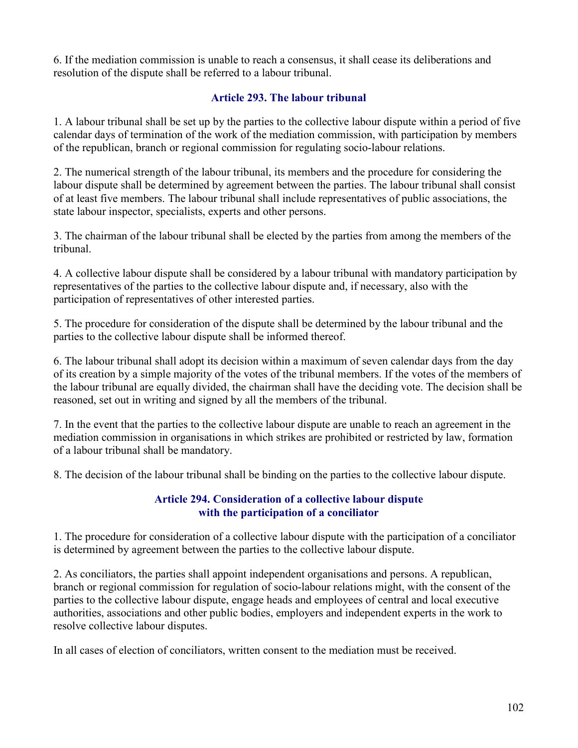6. If the mediation commission is unable to reach a consensus, it shall cease its deliberations and resolution of the dispute shall be referred to a labour tribunal.

## Article 293. The labour tribunal

1. A labour tribunal shall be set up by the parties to the collective labour dispute within a period of five calendar days of termination of the work of the mediation commission, with participation by members of the republican, branch or regional commission for regulating socio-labour relations.

2. The numerical strength of the labour tribunal, its members and the procedure for considering the labour dispute shall be determined by agreement between the parties. The labour tribunal shall consist of at least five members. The labour tribunal shall include representatives of public associations, the state labour inspector, specialists, experts and other persons.

3. The chairman of the labour tribunal shall be elected by the parties from among the members of the tribunal.

4. A collective labour dispute shall be considered by a labour tribunal with mandatory participation by representatives of the parties to the collective labour dispute and, if necessary, also with the participation of representatives of other interested parties.

5. The procedure for consideration of the dispute shall be determined by the labour tribunal and the parties to the collective labour dispute shall be informed thereof.

6. The labour tribunal shall adopt its decision within a maximum of seven calendar days from the day of its creation by a simple majority of the votes of the tribunal members. If the votes of the members of the labour tribunal are equally divided, the chairman shall have the deciding vote. The decision shall be reasoned, set out in writing and signed by all the members of the tribunal.

7. In the event that the parties to the collective labour dispute are unable to reach an agreement in the mediation commission in organisations in which strikes are prohibited or restricted by law, formation of a labour tribunal shall be mandatory.

8. The decision of the labour tribunal shall be binding on the parties to the collective labour dispute.

## Article 294. Consideration of a collective labour dispute with the participation of a conciliator

1. The procedure for consideration of a collective labour dispute with the participation of a conciliator is determined by agreement between the parties to the collective labour dispute.

2. As conciliators, the parties shall appoint independent organisations and persons. A republican, branch or regional commission for regulation of socio-labour relations might, with the consent of the parties to the collective labour dispute, engage heads and employees of central and local executive authorities, associations and other public bodies, employers and independent experts in the work to resolve collective labour disputes.

In all cases of election of conciliators, written consent to the mediation must be received.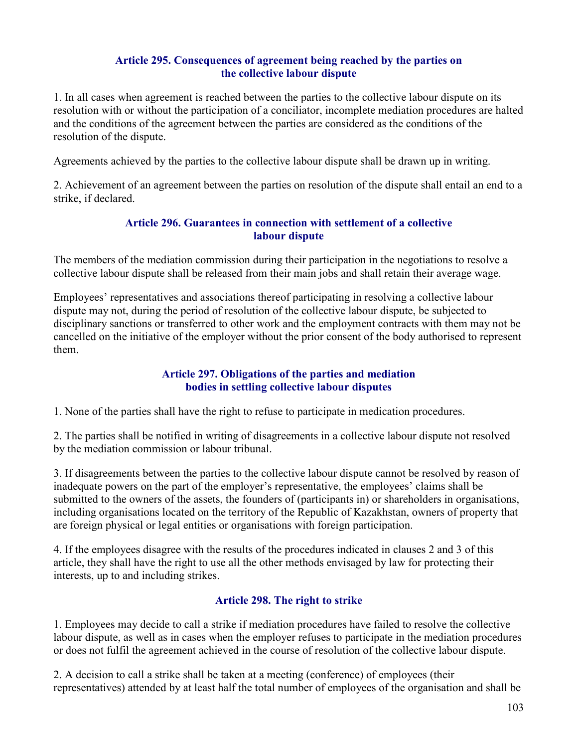### Article 295. Consequences of agreement being reached by the parties on the collective labour dispute

1. In all cases when agreement is reached between the parties to the collective labour dispute on its resolution with or without the participation of a conciliator, incomplete mediation procedures are halted and the conditions of the agreement between the parties are considered as the conditions of the resolution of the dispute.

Agreements achieved by the parties to the collective labour dispute shall be drawn up in writing.

2. Achievement of an agreement between the parties on resolution of the dispute shall entail an end to a strike, if declared.

### Article 296. Guarantees in connection with settlement of a collective labour dispute

The members of the mediation commission during their participation in the negotiations to resolve a collective labour dispute shall be released from their main jobs and shall retain their average wage.

Employees' representatives and associations thereof participating in resolving a collective labour dispute may not, during the period of resolution of the collective labour dispute, be subjected to disciplinary sanctions or transferred to other work and the employment contracts with them may not be cancelled on the initiative of the employer without the prior consent of the body authorised to represent them.

## Article 297. Obligations of the parties and mediation bodies in settling collective labour disputes

1. None of the parties shall have the right to refuse to participate in medication procedures.

2. The parties shall be notified in writing of disagreements in a collective labour dispute not resolved by the mediation commission or labour tribunal.

3. If disagreements between the parties to the collective labour dispute cannot be resolved by reason of inadequate powers on the part of the employer's representative, the employees' claims shall be submitted to the owners of the assets, the founders of (participants in) or shareholders in organisations, including organisations located on the territory of the Republic of Kazakhstan, owners of property that are foreign physical or legal entities or organisations with foreign participation.

4. If the employees disagree with the results of the procedures indicated in clauses 2 and 3 of this article, they shall have the right to use all the other methods envisaged by law for protecting their interests, up to and including strikes.

## Article 298. The right to strike

1. Employees may decide to call a strike if mediation procedures have failed to resolve the collective labour dispute, as well as in cases when the employer refuses to participate in the mediation procedures or does not fulfil the agreement achieved in the course of resolution of the collective labour dispute.

2. A decision to call a strike shall be taken at a meeting (conference) of employees (their representatives) attended by at least half the total number of employees of the organisation and shall be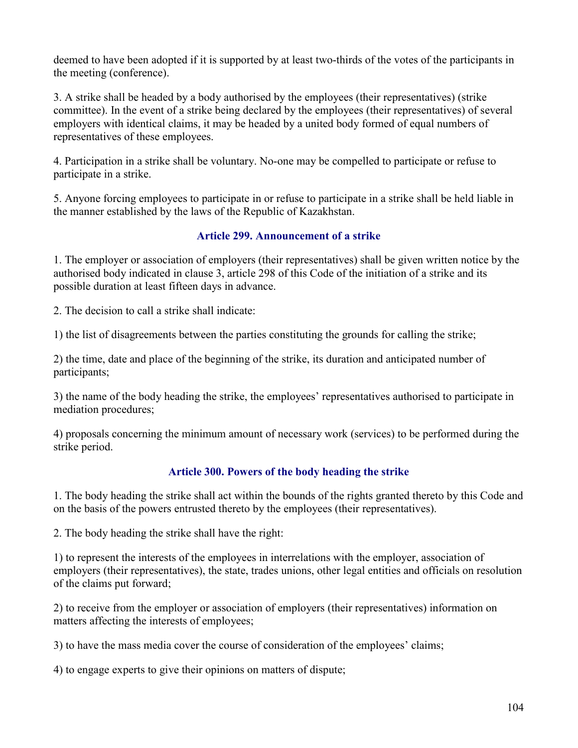deemed to have been adopted if it is supported by at least two-thirds of the votes of the participants in the meeting (conference).

3. A strike shall be headed by a body authorised by the employees (their representatives) (strike committee). In the event of a strike being declared by the employees (their representatives) of several employers with identical claims, it may be headed by a united body formed of equal numbers of representatives of these employees.

4. Participation in a strike shall be voluntary. No-one may be compelled to participate or refuse to participate in a strike.

5. Anyone forcing employees to participate in or refuse to participate in a strike shall be held liable in the manner established by the laws of the Republic of Kazakhstan.

## Article 299. Announcement of a strike

1. The employer or association of employers (their representatives) shall be given written notice by the authorised body indicated in clause 3, article 298 of this Code of the initiation of a strike and its possible duration at least fifteen days in advance.

2. The decision to call a strike shall indicate:

1) the list of disagreements between the parties constituting the grounds for calling the strike;

2) the time, date and place of the beginning of the strike, its duration and anticipated number of participants;

3) the name of the body heading the strike, the employees' representatives authorised to participate in mediation procedures;

4) proposals concerning the minimum amount of necessary work (services) to be performed during the strike period.

# Article 300. Powers of the body heading the strike

1. The body heading the strike shall act within the bounds of the rights granted thereto by this Code and on the basis of the powers entrusted thereto by the employees (their representatives).

2. The body heading the strike shall have the right:

1) to represent the interests of the employees in interrelations with the employer, association of employers (their representatives), the state, trades unions, other legal entities and officials on resolution of the claims put forward;

2) to receive from the employer or association of employers (their representatives) information on matters affecting the interests of employees;

3) to have the mass media cover the course of consideration of the employees' claims;

4) to engage experts to give their opinions on matters of dispute;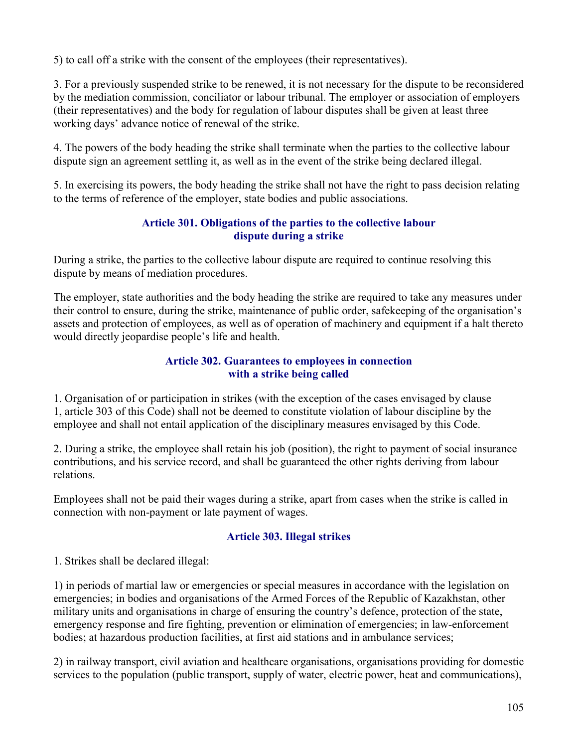5) to call off a strike with the consent of the employees (their representatives).

3. For a previously suspended strike to be renewed, it is not necessary for the dispute to be reconsidered by the mediation commission, conciliator or labour tribunal. The employer or association of employers (their representatives) and the body for regulation of labour disputes shall be given at least three working days' advance notice of renewal of the strike.

4. The powers of the body heading the strike shall terminate when the parties to the collective labour dispute sign an agreement settling it, as well as in the event of the strike being declared illegal.

5. In exercising its powers, the body heading the strike shall not have the right to pass decision relating to the terms of reference of the employer, state bodies and public associations.

## Article 301. Obligations of the parties to the collective labour dispute during a strike

During a strike, the parties to the collective labour dispute are required to continue resolving this dispute by means of mediation procedures.

The employer, state authorities and the body heading the strike are required to take any measures under their control to ensure, during the strike, maintenance of public order, safekeeping of the organisation's assets and protection of employees, as well as of operation of machinery and equipment if a halt thereto would directly jeopardise people's life and health.

### Article 302. Guarantees to employees in connection with a strike being called

1. Organisation of or participation in strikes (with the exception of the cases envisaged by clause 1, article 303 of this Code) shall not be deemed to constitute violation of labour discipline by the employee and shall not entail application of the disciplinary measures envisaged by this Code.

2. During a strike, the employee shall retain his job (position), the right to payment of social insurance contributions, and his service record, and shall be guaranteed the other rights deriving from labour relations.

Employees shall not be paid their wages during a strike, apart from cases when the strike is called in connection with non-payment or late payment of wages.

## Article 303. Illegal strikes

1. Strikes shall be declared illegal:

1) in periods of martial law or emergencies or special measures in accordance with the legislation on emergencies; in bodies and organisations of the Armed Forces of the Republic of Kazakhstan, other military units and organisations in charge of ensuring the country's defence, protection of the state, emergency response and fire fighting, prevention or elimination of emergencies; in law-enforcement bodies; at hazardous production facilities, at first aid stations and in ambulance services;

2) in railway transport, civil aviation and healthcare organisations, organisations providing for domestic services to the population (public transport, supply of water, electric power, heat and communications),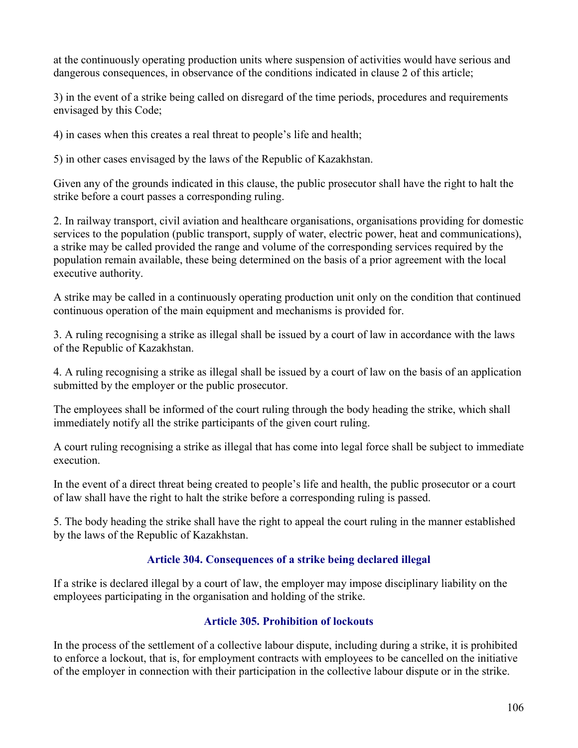at the continuously operating production units where suspension of activities would have serious and dangerous consequences, in observance of the conditions indicated in clause 2 of this article;

3) in the event of a strike being called on disregard of the time periods, procedures and requirements envisaged by this Code;

4) in cases when this creates a real threat to people's life and health;

5) in other cases envisaged by the laws of the Republic of Kazakhstan.

Given any of the grounds indicated in this clause, the public prosecutor shall have the right to halt the strike before a court passes a corresponding ruling.

2. In railway transport, civil aviation and healthcare organisations, organisations providing for domestic services to the population (public transport, supply of water, electric power, heat and communications), a strike may be called provided the range and volume of the corresponding services required by the population remain available, these being determined on the basis of a prior agreement with the local executive authority.

A strike may be called in a continuously operating production unit only on the condition that continued continuous operation of the main equipment and mechanisms is provided for.

3. A ruling recognising a strike as illegal shall be issued by a court of law in accordance with the laws of the Republic of Kazakhstan.

4. A ruling recognising a strike as illegal shall be issued by a court of law on the basis of an application submitted by the employer or the public prosecutor.

The employees shall be informed of the court ruling through the body heading the strike, which shall immediately notify all the strike participants of the given court ruling.

A court ruling recognising a strike as illegal that has come into legal force shall be subject to immediate execution.

In the event of a direct threat being created to people's life and health, the public prosecutor or a court of law shall have the right to halt the strike before a corresponding ruling is passed.

5. The body heading the strike shall have the right to appeal the court ruling in the manner established by the laws of the Republic of Kazakhstan.

## Article 304. Consequences of a strike being declared illegal

If a strike is declared illegal by a court of law, the employer may impose disciplinary liability on the employees participating in the organisation and holding of the strike.

## Article 305. Prohibition of lockouts

In the process of the settlement of a collective labour dispute, including during a strike, it is prohibited to enforce a lockout, that is, for employment contracts with employees to be cancelled on the initiative of the employer in connection with their participation in the collective labour dispute or in the strike.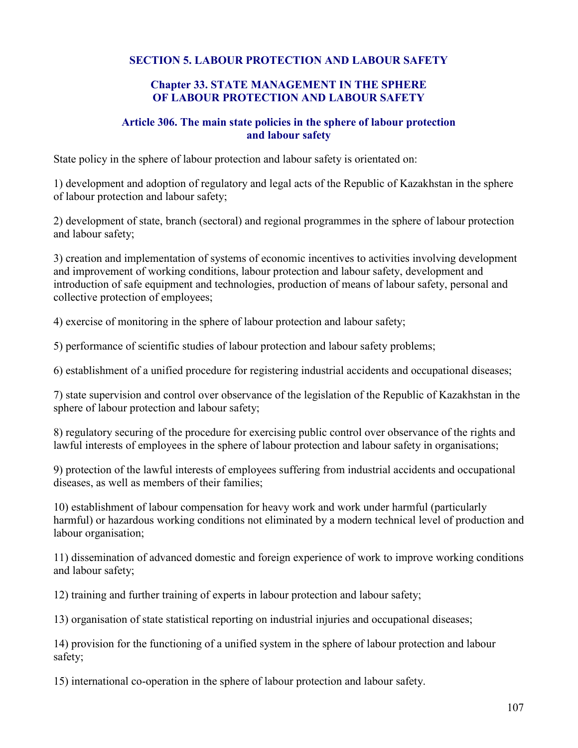## SECTION 5. LABOUR PROTECTION AND LABOUR SAFETY

#### Chapter 33. STATE MANAGEMENT IN THE SPHERE OF LABOUR PROTECTION AND LABOUR SAFETY

### Article 306. The main state policies in the sphere of labour protection and labour safety

State policy in the sphere of labour protection and labour safety is orientated on:

1) development and adoption of regulatory and legal acts of the Republic of Kazakhstan in the sphere of labour protection and labour safety;

2) development of state, branch (sectoral) and regional programmes in the sphere of labour protection and labour safety;

3) creation and implementation of systems of economic incentives to activities involving development and improvement of working conditions, labour protection and labour safety, development and introduction of safe equipment and technologies, production of means of labour safety, personal and collective protection of employees;

4) exercise of monitoring in the sphere of labour protection and labour safety;

5) performance of scientific studies of labour protection and labour safety problems;

6) establishment of a unified procedure for registering industrial accidents and occupational diseases;

7) state supervision and control over observance of the legislation of the Republic of Kazakhstan in the sphere of labour protection and labour safety;

8) regulatory securing of the procedure for exercising public control over observance of the rights and lawful interests of employees in the sphere of labour protection and labour safety in organisations;

9) protection of the lawful interests of employees suffering from industrial accidents and occupational diseases, as well as members of their families;

10) establishment of labour compensation for heavy work and work under harmful (particularly harmful) or hazardous working conditions not eliminated by a modern technical level of production and labour organisation;

11) dissemination of advanced domestic and foreign experience of work to improve working conditions and labour safety;

12) training and further training of experts in labour protection and labour safety;

13) organisation of state statistical reporting on industrial injuries and occupational diseases;

14) provision for the functioning of a unified system in the sphere of labour protection and labour safety;

15) international co-operation in the sphere of labour protection and labour safety.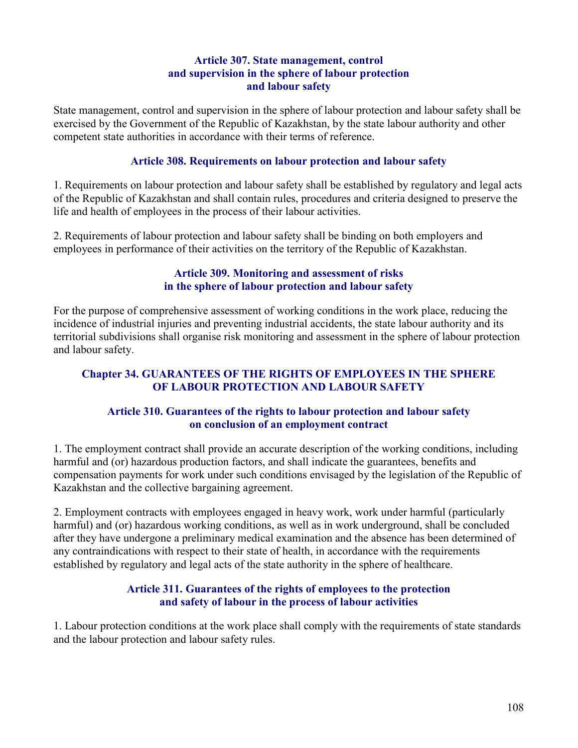### Article 307. State management, control and supervision in the sphere of labour protection and labour safety

State management, control and supervision in the sphere of labour protection and labour safety shall be exercised by the Government of the Republic of Kazakhstan, by the state labour authority and other competent state authorities in accordance with their terms of reference.

### Article 308. Requirements on labour protection and labour safety

1. Requirements on labour protection and labour safety shall be established by regulatory and legal acts of the Republic of Kazakhstan and shall contain rules, procedures and criteria designed to preserve the life and health of employees in the process of their labour activities.

2. Requirements of labour protection and labour safety shall be binding on both employers and employees in performance of their activities on the territory of the Republic of Kazakhstan.

### Article 309. Monitoring and assessment of risks in the sphere of labour protection and labour safety

For the purpose of comprehensive assessment of working conditions in the work place, reducing the incidence of industrial injuries and preventing industrial accidents, the state labour authority and its territorial subdivisions shall organise risk monitoring and assessment in the sphere of labour protection and labour safety.

## Chapter 34. GUARANTEES OF THE RIGHTS OF EMPLOYEES IN THE SPHERE OF LABOUR PROTECTION AND LABOUR SAFETY

## Article 310. Guarantees of the rights to labour protection and labour safety on conclusion of an employment contract

1. The employment contract shall provide an accurate description of the working conditions, including harmful and (or) hazardous production factors, and shall indicate the guarantees, benefits and compensation payments for work under such conditions envisaged by the legislation of the Republic of Kazakhstan and the collective bargaining agreement.

2. Employment contracts with employees engaged in heavy work, work under harmful (particularly harmful) and (or) hazardous working conditions, as well as in work underground, shall be concluded after they have undergone a preliminary medical examination and the absence has been determined of any contraindications with respect to their state of health, in accordance with the requirements established by regulatory and legal acts of the state authority in the sphere of healthcare.

### Article 311. Guarantees of the rights of employees to the protection and safety of labour in the process of labour activities

1. Labour protection conditions at the work place shall comply with the requirements of state standards and the labour protection and labour safety rules.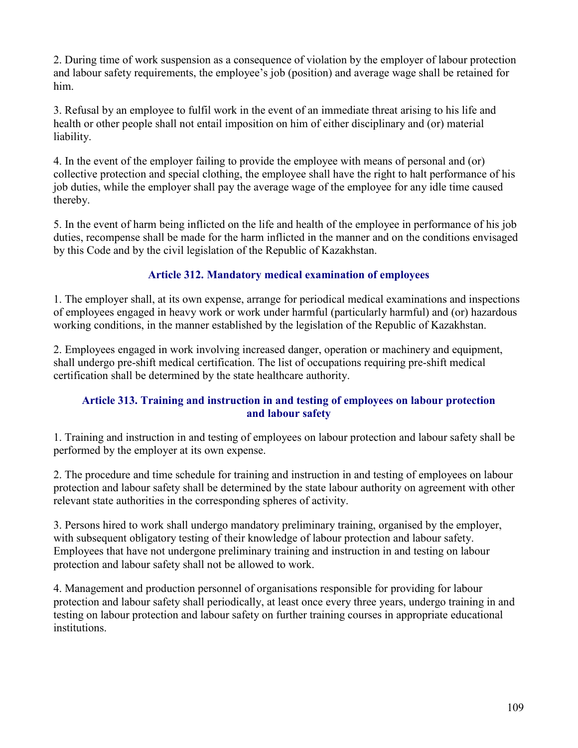2. During time of work suspension as a consequence of violation by the employer of labour protection and labour safety requirements, the employee's job (position) and average wage shall be retained for him.

3. Refusal by an employee to fulfil work in the event of an immediate threat arising to his life and health or other people shall not entail imposition on him of either disciplinary and (or) material liability.

4. In the event of the employer failing to provide the employee with means of personal and (or) collective protection and special clothing, the employee shall have the right to halt performance of his job duties, while the employer shall pay the average wage of the employee for any idle time caused thereby.

5. In the event of harm being inflicted on the life and health of the employee in performance of his job duties, recompense shall be made for the harm inflicted in the manner and on the conditions envisaged by this Code and by the civil legislation of the Republic of Kazakhstan.

# Article 312. Mandatory medical examination of employees

1. The employer shall, at its own expense, arrange for periodical medical examinations and inspections of employees engaged in heavy work or work under harmful (particularly harmful) and (or) hazardous working conditions, in the manner established by the legislation of the Republic of Kazakhstan.

2. Employees engaged in work involving increased danger, operation or machinery and equipment, shall undergo pre-shift medical certification. The list of occupations requiring pre-shift medical certification shall be determined by the state healthcare authority.

## Article 313. Training and instruction in and testing of employees on labour protection and labour safety

1. Training and instruction in and testing of employees on labour protection and labour safety shall be performed by the employer at its own expense.

2. The procedure and time schedule for training and instruction in and testing of employees on labour protection and labour safety shall be determined by the state labour authority on agreement with other relevant state authorities in the corresponding spheres of activity.

3. Persons hired to work shall undergo mandatory preliminary training, organised by the employer, with subsequent obligatory testing of their knowledge of labour protection and labour safety. Employees that have not undergone preliminary training and instruction in and testing on labour protection and labour safety shall not be allowed to work.

4. Management and production personnel of organisations responsible for providing for labour protection and labour safety shall periodically, at least once every three years, undergo training in and testing on labour protection and labour safety on further training courses in appropriate educational institutions.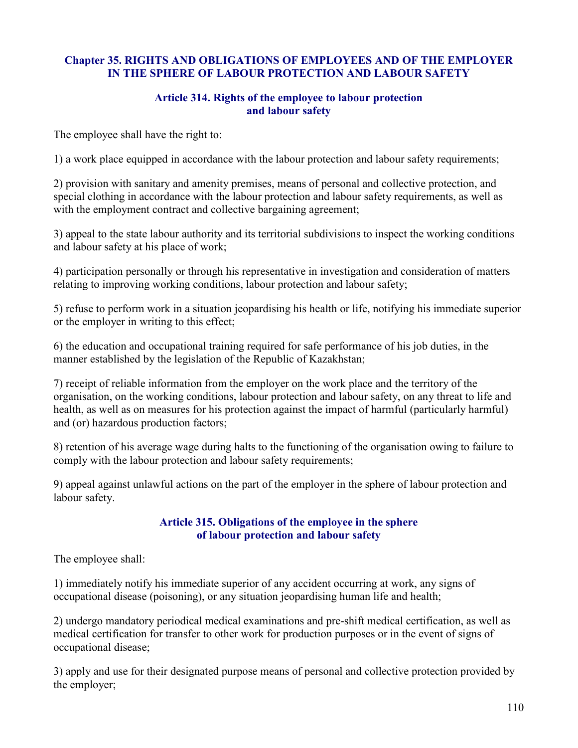## Chapter 35. RIGHTS AND OBLIGATIONS OF EMPLOYEES AND OF THE EMPLOYER IN THE SPHERE OF LABOUR PROTECTION AND LABOUR SAFETY

#### Article 314. Rights of the employee to labour protection and labour safety

The employee shall have the right to:

1) a work place equipped in accordance with the labour protection and labour safety requirements;

2) provision with sanitary and amenity premises, means of personal and collective protection, and special clothing in accordance with the labour protection and labour safety requirements, as well as with the employment contract and collective bargaining agreement;

3) appeal to the state labour authority and its territorial subdivisions to inspect the working conditions and labour safety at his place of work;

4) participation personally or through his representative in investigation and consideration of matters relating to improving working conditions, labour protection and labour safety;

5) refuse to perform work in a situation jeopardising his health or life, notifying his immediate superior or the employer in writing to this effect;

6) the education and occupational training required for safe performance of his job duties, in the manner established by the legislation of the Republic of Kazakhstan;

7) receipt of reliable information from the employer on the work place and the territory of the organisation, on the working conditions, labour protection and labour safety, on any threat to life and health, as well as on measures for his protection against the impact of harmful (particularly harmful) and (or) hazardous production factors;

8) retention of his average wage during halts to the functioning of the organisation owing to failure to comply with the labour protection and labour safety requirements;

9) appeal against unlawful actions on the part of the employer in the sphere of labour protection and labour safety.

### Article 315. Obligations of the employee in the sphere of labour protection and labour safety

The employee shall:

1) immediately notify his immediate superior of any accident occurring at work, any signs of occupational disease (poisoning), or any situation jeopardising human life and health;

2) undergo mandatory periodical medical examinations and pre-shift medical certification, as well as medical certification for transfer to other work for production purposes or in the event of signs of occupational disease;

3) apply and use for their designated purpose means of personal and collective protection provided by the employer;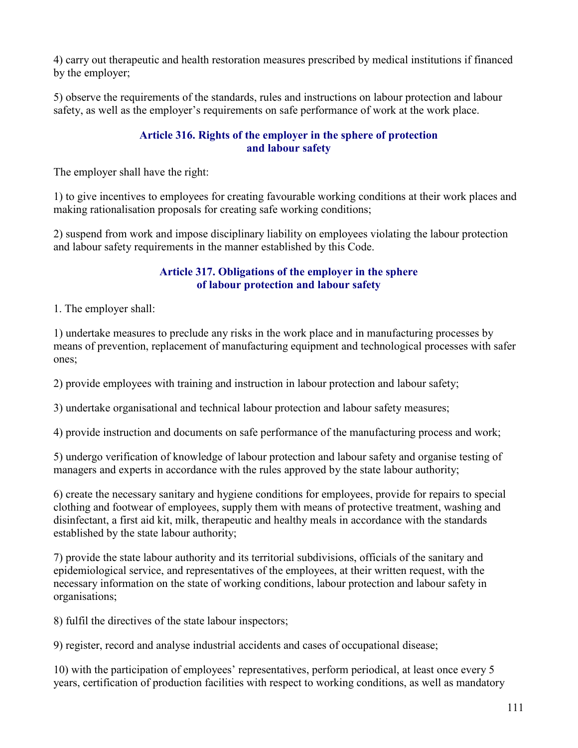4) carry out therapeutic and health restoration measures prescribed by medical institutions if financed by the employer;

5) observe the requirements of the standards, rules and instructions on labour protection and labour safety, as well as the employer's requirements on safe performance of work at the work place.

## Article 316. Rights of the employer in the sphere of protection and labour safety

The employer shall have the right:

1) to give incentives to employees for creating favourable working conditions at their work places and making rationalisation proposals for creating safe working conditions;

2) suspend from work and impose disciplinary liability on employees violating the labour protection and labour safety requirements in the manner established by this Code.

## Article 317. Obligations of the employer in the sphere of labour protection and labour safety

1. The employer shall:

1) undertake measures to preclude any risks in the work place and in manufacturing processes by means of prevention, replacement of manufacturing equipment and technological processes with safer ones;

2) provide employees with training and instruction in labour protection and labour safety;

3) undertake organisational and technical labour protection and labour safety measures;

4) provide instruction and documents on safe performance of the manufacturing process and work;

5) undergo verification of knowledge of labour protection and labour safety and organise testing of managers and experts in accordance with the rules approved by the state labour authority;

6) create the necessary sanitary and hygiene conditions for employees, provide for repairs to special clothing and footwear of employees, supply them with means of protective treatment, washing and disinfectant, a first aid kit, milk, therapeutic and healthy meals in accordance with the standards established by the state labour authority;

7) provide the state labour authority and its territorial subdivisions, officials of the sanitary and epidemiological service, and representatives of the employees, at their written request, with the necessary information on the state of working conditions, labour protection and labour safety in organisations;

8) fulfil the directives of the state labour inspectors;

9) register, record and analyse industrial accidents and cases of occupational disease;

10) with the participation of employees' representatives, perform periodical, at least once every 5 years, certification of production facilities with respect to working conditions, as well as mandatory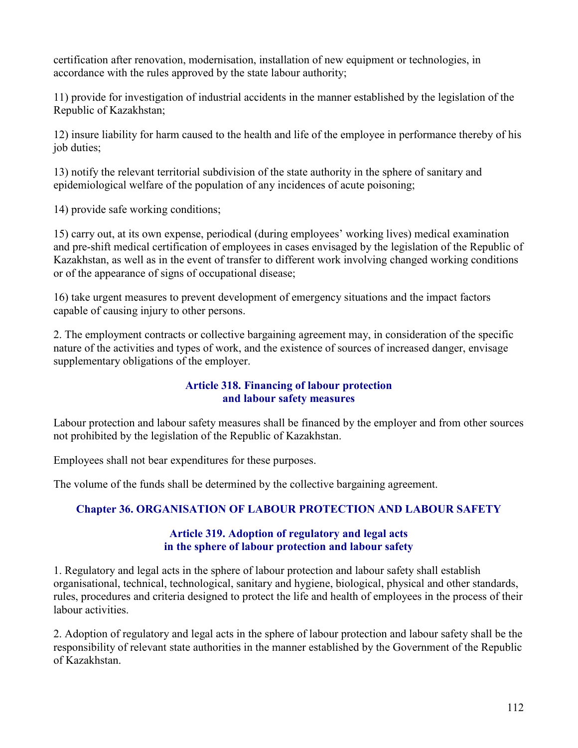certification after renovation, modernisation, installation of new equipment or technologies, in accordance with the rules approved by the state labour authority;

11) provide for investigation of industrial accidents in the manner established by the legislation of the Republic of Kazakhstan;

12) insure liability for harm caused to the health and life of the employee in performance thereby of his job duties;

13) notify the relevant territorial subdivision of the state authority in the sphere of sanitary and epidemiological welfare of the population of any incidences of acute poisoning;

14) provide safe working conditions;

15) carry out, at its own expense, periodical (during employees' working lives) medical examination and pre-shift medical certification of employees in cases envisaged by the legislation of the Republic of Kazakhstan, as well as in the event of transfer to different work involving changed working conditions or of the appearance of signs of occupational disease;

16) take urgent measures to prevent development of emergency situations and the impact factors capable of causing injury to other persons.

2. The employment contracts or collective bargaining agreement may, in consideration of the specific nature of the activities and types of work, and the existence of sources of increased danger, envisage supplementary obligations of the employer.

## Article 318. Financing of labour protection and labour safety measures

Labour protection and labour safety measures shall be financed by the employer and from other sources not prohibited by the legislation of the Republic of Kazakhstan.

Employees shall not bear expenditures for these purposes.

The volume of the funds shall be determined by the collective bargaining agreement.

# Chapter 36. ORGANISATION OF LABOUR PROTECTION AND LABOUR SAFETY

### Article 319. Adoption of regulatory and legal acts in the sphere of labour protection and labour safety

1. Regulatory and legal acts in the sphere of labour protection and labour safety shall establish organisational, technical, technological, sanitary and hygiene, biological, physical and other standards, rules, procedures and criteria designed to protect the life and health of employees in the process of their labour activities.

2. Adoption of regulatory and legal acts in the sphere of labour protection and labour safety shall be the responsibility of relevant state authorities in the manner established by the Government of the Republic of Kazakhstan.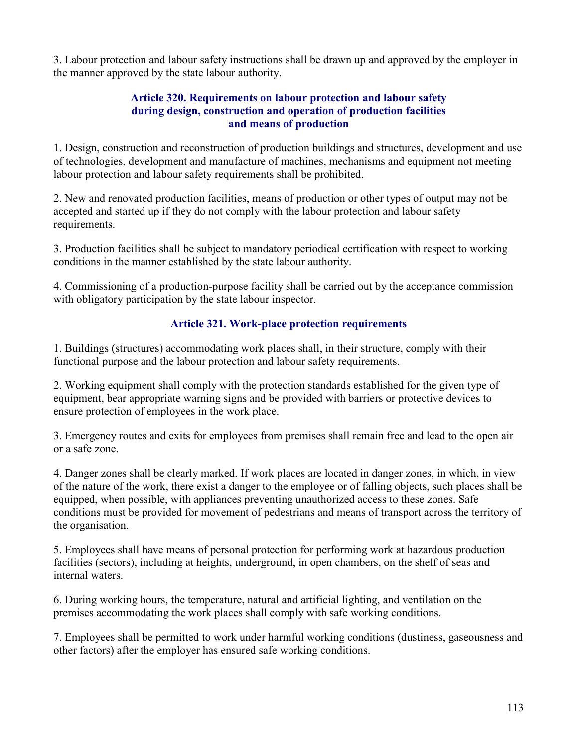3. Labour protection and labour safety instructions shall be drawn up and approved by the employer in the manner approved by the state labour authority.

#### Article 320. Requirements on labour protection and labour safety during design, construction and operation of production facilities and means of production

1. Design, construction and reconstruction of production buildings and structures, development and use of technologies, development and manufacture of machines, mechanisms and equipment not meeting labour protection and labour safety requirements shall be prohibited.

2. New and renovated production facilities, means of production or other types of output may not be accepted and started up if they do not comply with the labour protection and labour safety requirements.

3. Production facilities shall be subject to mandatory periodical certification with respect to working conditions in the manner established by the state labour authority.

4. Commissioning of a production-purpose facility shall be carried out by the acceptance commission with obligatory participation by the state labour inspector.

# Article 321. Work-place protection requirements

1. Buildings (structures) accommodating work places shall, in their structure, comply with their functional purpose and the labour protection and labour safety requirements.

2. Working equipment shall comply with the protection standards established for the given type of equipment, bear appropriate warning signs and be provided with barriers or protective devices to ensure protection of employees in the work place.

3. Emergency routes and exits for employees from premises shall remain free and lead to the open air or a safe zone.

4. Danger zones shall be clearly marked. If work places are located in danger zones, in which, in view of the nature of the work, there exist a danger to the employee or of falling objects, such places shall be equipped, when possible, with appliances preventing unauthorized access to these zones. Safe conditions must be provided for movement of pedestrians and means of transport across the territory of the organisation.

5. Employees shall have means of personal protection for performing work at hazardous production facilities (sectors), including at heights, underground, in open chambers, on the shelf of seas and internal waters.

6. During working hours, the temperature, natural and artificial lighting, and ventilation on the premises accommodating the work places shall comply with safe working conditions.

7. Employees shall be permitted to work under harmful working conditions (dustiness, gaseousness and other factors) after the employer has ensured safe working conditions.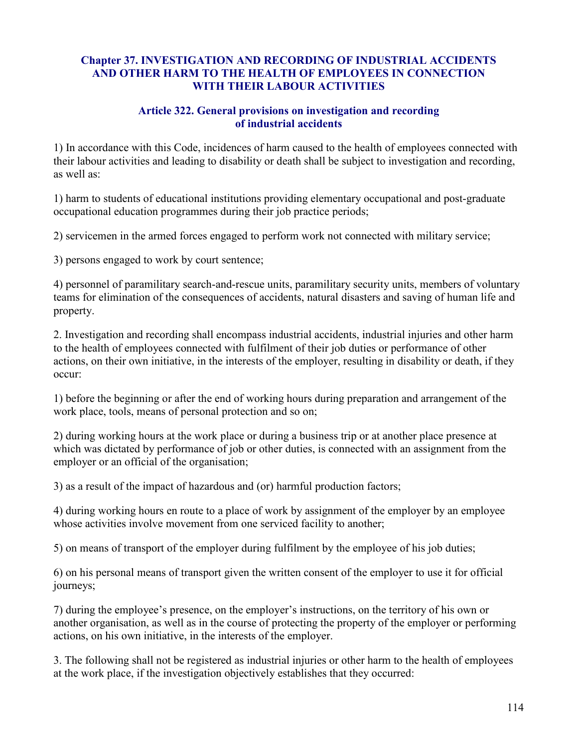### Chapter 37. INVESTIGATION AND RECORDING OF INDUSTRIAL ACCIDENTS AND OTHER HARM TO THE HEALTH OF EMPLOYEES IN CONNECTION WITH THEIR LABOUR ACTIVITIES

### Article 322. General provisions on investigation and recording of industrial accidents

1) In accordance with this Code, incidences of harm caused to the health of employees connected with their labour activities and leading to disability or death shall be subject to investigation and recording, as well as:

1) harm to students of educational institutions providing elementary occupational and post-graduate occupational education programmes during their job practice periods;

2) servicemen in the armed forces engaged to perform work not connected with military service;

3) persons engaged to work by court sentence;

4) personnel of paramilitary search-and-rescue units, paramilitary security units, members of voluntary teams for elimination of the consequences of accidents, natural disasters and saving of human life and property.

2. Investigation and recording shall encompass industrial accidents, industrial injuries and other harm to the health of employees connected with fulfilment of their job duties or performance of other actions, on their own initiative, in the interests of the employer, resulting in disability or death, if they occur:

1) before the beginning or after the end of working hours during preparation and arrangement of the work place, tools, means of personal protection and so on;

2) during working hours at the work place or during a business trip or at another place presence at which was dictated by performance of job or other duties, is connected with an assignment from the employer or an official of the organisation;

3) as a result of the impact of hazardous and (or) harmful production factors;

4) during working hours en route to a place of work by assignment of the employer by an employee whose activities involve movement from one serviced facility to another;

5) on means of transport of the employer during fulfilment by the employee of his job duties;

6) on his personal means of transport given the written consent of the employer to use it for official journeys;

7) during the employee's presence, on the employer's instructions, on the territory of his own or another organisation, as well as in the course of protecting the property of the employer or performing actions, on his own initiative, in the interests of the employer.

3. The following shall not be registered as industrial injuries or other harm to the health of employees at the work place, if the investigation objectively establishes that they occurred: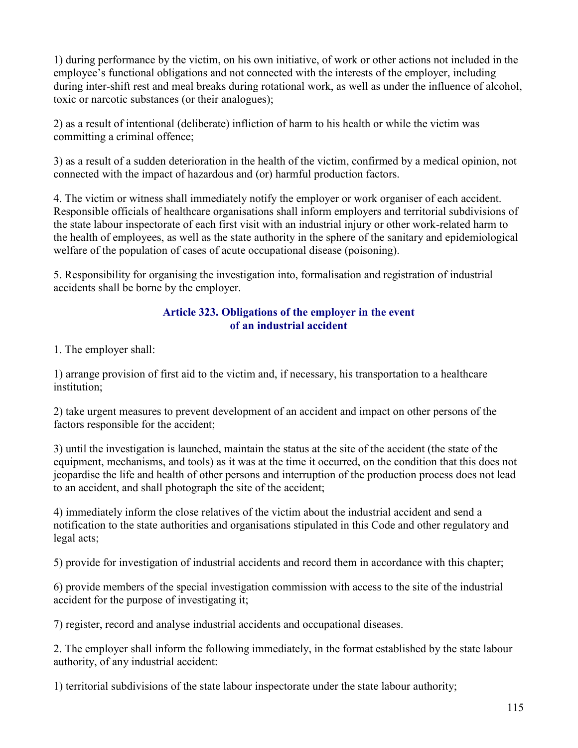1) during performance by the victim, on his own initiative, of work or other actions not included in the employee's functional obligations and not connected with the interests of the employer, including during inter-shift rest and meal breaks during rotational work, as well as under the influence of alcohol, toxic or narcotic substances (or their analogues);

2) as a result of intentional (deliberate) infliction of harm to his health or while the victim was committing a criminal offence;

3) as a result of a sudden deterioration in the health of the victim, confirmed by a medical opinion, not connected with the impact of hazardous and (or) harmful production factors.

4. The victim or witness shall immediately notify the employer or work organiser of each accident. Responsible officials of healthcare organisations shall inform employers and territorial subdivisions of the state labour inspectorate of each first visit with an industrial injury or other work-related harm to the health of employees, as well as the state authority in the sphere of the sanitary and epidemiological welfare of the population of cases of acute occupational disease (poisoning).

5. Responsibility for organising the investigation into, formalisation and registration of industrial accidents shall be borne by the employer.

### Article 323. Obligations of the employer in the event of an industrial accident

1. The employer shall:

1) arrange provision of first aid to the victim and, if necessary, his transportation to a healthcare institution;

2) take urgent measures to prevent development of an accident and impact on other persons of the factors responsible for the accident;

3) until the investigation is launched, maintain the status at the site of the accident (the state of the equipment, mechanisms, and tools) as it was at the time it occurred, on the condition that this does not jeopardise the life and health of other persons and interruption of the production process does not lead to an accident, and shall photograph the site of the accident;

4) immediately inform the close relatives of the victim about the industrial accident and send a notification to the state authorities and organisations stipulated in this Code and other regulatory and legal acts;

5) provide for investigation of industrial accidents and record them in accordance with this chapter;

6) provide members of the special investigation commission with access to the site of the industrial accident for the purpose of investigating it;

7) register, record and analyse industrial accidents and occupational diseases.

2. The employer shall inform the following immediately, in the format established by the state labour authority, of any industrial accident:

1) territorial subdivisions of the state labour inspectorate under the state labour authority;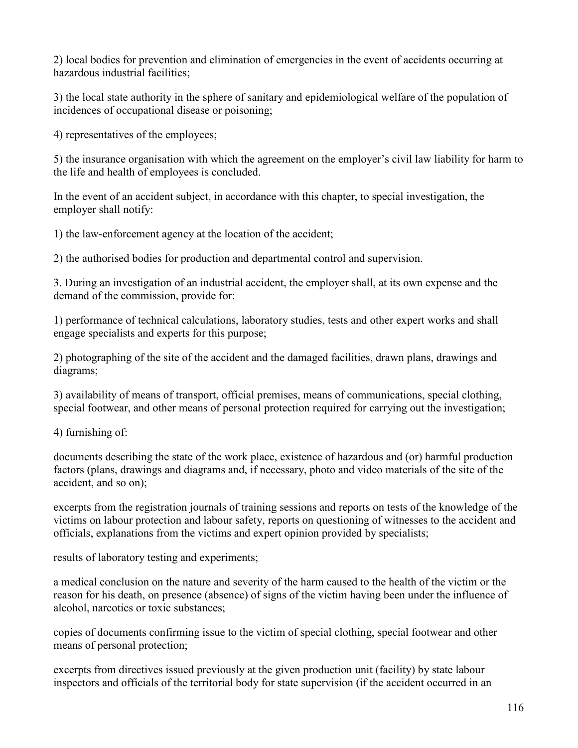2) local bodies for prevention and elimination of emergencies in the event of accidents occurring at hazardous industrial facilities;

3) the local state authority in the sphere of sanitary and epidemiological welfare of the population of incidences of occupational disease or poisoning;

4) representatives of the employees;

5) the insurance organisation with which the agreement on the employer's civil law liability for harm to the life and health of employees is concluded.

In the event of an accident subject, in accordance with this chapter, to special investigation, the employer shall notify:

1) the law-enforcement agency at the location of the accident;

2) the authorised bodies for production and departmental control and supervision.

3. During an investigation of an industrial accident, the employer shall, at its own expense and the demand of the commission, provide for:

1) performance of technical calculations, laboratory studies, tests and other expert works and shall engage specialists and experts for this purpose;

2) photographing of the site of the accident and the damaged facilities, drawn plans, drawings and diagrams;

3) availability of means of transport, official premises, means of communications, special clothing, special footwear, and other means of personal protection required for carrying out the investigation;

4) furnishing of:

documents describing the state of the work place, existence of hazardous and (or) harmful production factors (plans, drawings and diagrams and, if necessary, photo and video materials of the site of the accident, and so on);

excerpts from the registration journals of training sessions and reports on tests of the knowledge of the victims on labour protection and labour safety, reports on questioning of witnesses to the accident and officials, explanations from the victims and expert opinion provided by specialists;

results of laboratory testing and experiments;

a medical conclusion on the nature and severity of the harm caused to the health of the victim or the reason for his death, on presence (absence) of signs of the victim having been under the influence of alcohol, narcotics or toxic substances;

copies of documents confirming issue to the victim of special clothing, special footwear and other means of personal protection;

excerpts from directives issued previously at the given production unit (facility) by state labour inspectors and officials of the territorial body for state supervision (if the accident occurred in an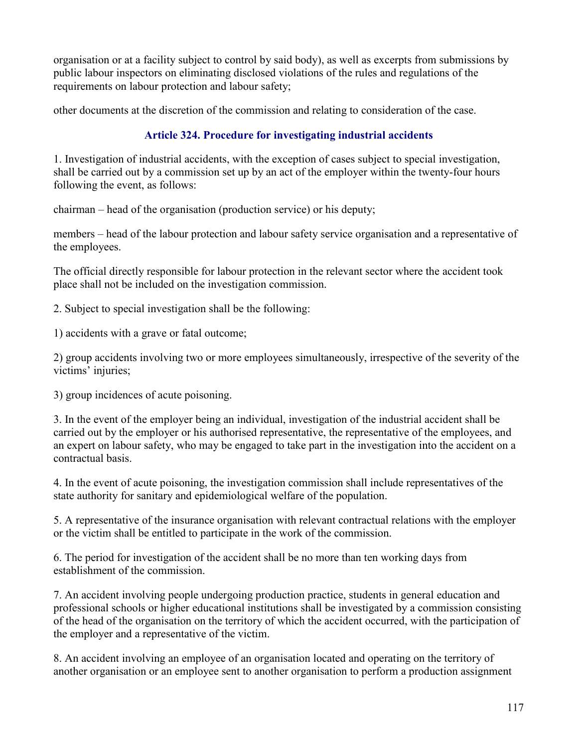organisation or at a facility subject to control by said body), as well as excerpts from submissions by public labour inspectors on eliminating disclosed violations of the rules and regulations of the requirements on labour protection and labour safety;

other documents at the discretion of the commission and relating to consideration of the case.

# Article 324. Procedure for investigating industrial accidents

1. Investigation of industrial accidents, with the exception of cases subject to special investigation, shall be carried out by a commission set up by an act of the employer within the twenty-four hours following the event, as follows:

chairman – head of the organisation (production service) or his deputy;

members – head of the labour protection and labour safety service organisation and a representative of the employees.

The official directly responsible for labour protection in the relevant sector where the accident took place shall not be included on the investigation commission.

2. Subject to special investigation shall be the following:

1) accidents with a grave or fatal outcome;

2) group accidents involving two or more employees simultaneously, irrespective of the severity of the victims' injuries;

3) group incidences of acute poisoning.

3. In the event of the employer being an individual, investigation of the industrial accident shall be carried out by the employer or his authorised representative, the representative of the employees, and an expert on labour safety, who may be engaged to take part in the investigation into the accident on a contractual basis.

4. In the event of acute poisoning, the investigation commission shall include representatives of the state authority for sanitary and epidemiological welfare of the population.

5. A representative of the insurance organisation with relevant contractual relations with the employer or the victim shall be entitled to participate in the work of the commission.

6. The period for investigation of the accident shall be no more than ten working days from establishment of the commission.

7. An accident involving people undergoing production practice, students in general education and professional schools or higher educational institutions shall be investigated by a commission consisting of the head of the organisation on the territory of which the accident occurred, with the participation of the employer and a representative of the victim.

8. An accident involving an employee of an organisation located and operating on the territory of another organisation or an employee sent to another organisation to perform a production assignment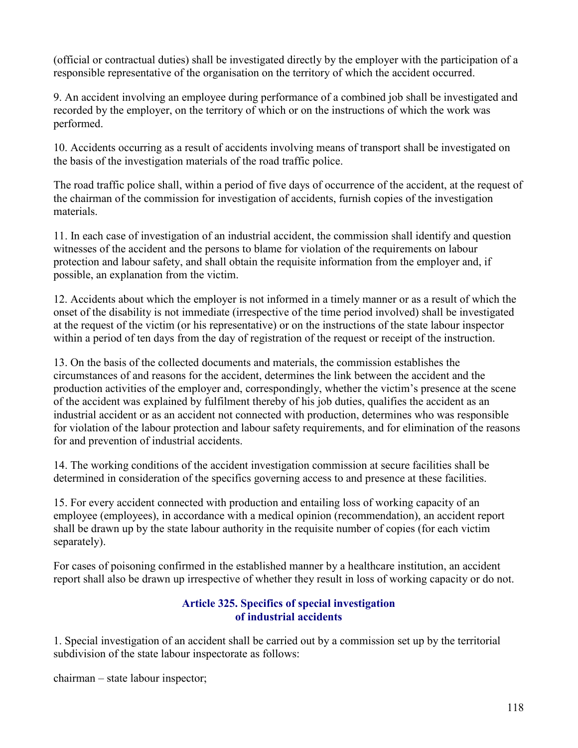(official or contractual duties) shall be investigated directly by the employer with the participation of a responsible representative of the organisation on the territory of which the accident occurred.

9. An accident involving an employee during performance of a combined job shall be investigated and recorded by the employer, on the territory of which or on the instructions of which the work was performed.

10. Accidents occurring as a result of accidents involving means of transport shall be investigated on the basis of the investigation materials of the road traffic police.

The road traffic police shall, within a period of five days of occurrence of the accident, at the request of the chairman of the commission for investigation of accidents, furnish copies of the investigation materials.

11. In each case of investigation of an industrial accident, the commission shall identify and question witnesses of the accident and the persons to blame for violation of the requirements on labour protection and labour safety, and shall obtain the requisite information from the employer and, if possible, an explanation from the victim.

12. Accidents about which the employer is not informed in a timely manner or as a result of which the onset of the disability is not immediate (irrespective of the time period involved) shall be investigated at the request of the victim (or his representative) or on the instructions of the state labour inspector within a period of ten days from the day of registration of the request or receipt of the instruction.

13. On the basis of the collected documents and materials, the commission establishes the circumstances of and reasons for the accident, determines the link between the accident and the production activities of the employer and, correspondingly, whether the victim's presence at the scene of the accident was explained by fulfilment thereby of his job duties, qualifies the accident as an industrial accident or as an accident not connected with production, determines who was responsible for violation of the labour protection and labour safety requirements, and for elimination of the reasons for and prevention of industrial accidents.

14. The working conditions of the accident investigation commission at secure facilities shall be determined in consideration of the specifics governing access to and presence at these facilities.

15. For every accident connected with production and entailing loss of working capacity of an employee (employees), in accordance with a medical opinion (recommendation), an accident report shall be drawn up by the state labour authority in the requisite number of copies (for each victim separately).

For cases of poisoning confirmed in the established manner by a healthcare institution, an accident report shall also be drawn up irrespective of whether they result in loss of working capacity or do not.

# Article 325. Specifics of special investigation of industrial accidents

1. Special investigation of an accident shall be carried out by a commission set up by the territorial subdivision of the state labour inspectorate as follows:

chairman – state labour inspector;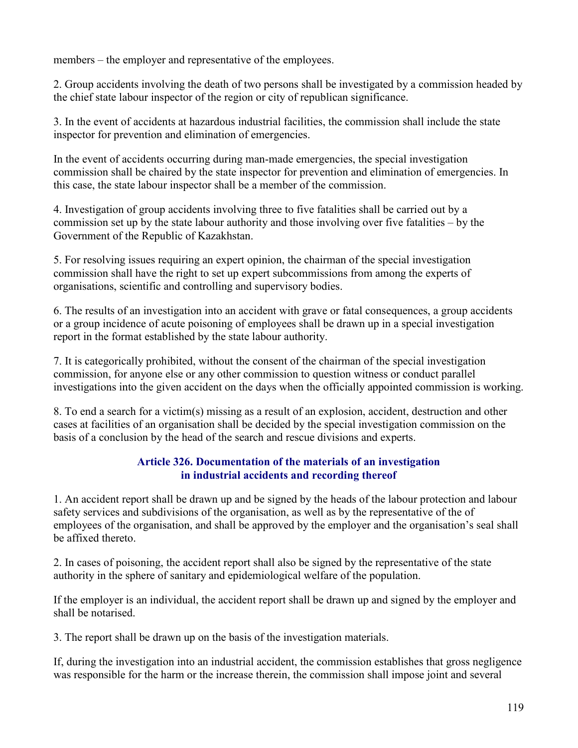members – the employer and representative of the employees.

2. Group accidents involving the death of two persons shall be investigated by a commission headed by the chief state labour inspector of the region or city of republican significance.

3. In the event of accidents at hazardous industrial facilities, the commission shall include the state inspector for prevention and elimination of emergencies.

In the event of accidents occurring during man-made emergencies, the special investigation commission shall be chaired by the state inspector for prevention and elimination of emergencies. In this case, the state labour inspector shall be a member of the commission.

4. Investigation of group accidents involving three to five fatalities shall be carried out by a commission set up by the state labour authority and those involving over five fatalities – by the Government of the Republic of Kazakhstan.

5. For resolving issues requiring an expert opinion, the chairman of the special investigation commission shall have the right to set up expert subcommissions from among the experts of organisations, scientific and controlling and supervisory bodies.

6. The results of an investigation into an accident with grave or fatal consequences, a group accidents or a group incidence of acute poisoning of employees shall be drawn up in a special investigation report in the format established by the state labour authority.

7. It is categorically prohibited, without the consent of the chairman of the special investigation commission, for anyone else or any other commission to question witness or conduct parallel investigations into the given accident on the days when the officially appointed commission is working.

8. To end a search for a victim(s) missing as a result of an explosion, accident, destruction and other cases at facilities of an organisation shall be decided by the special investigation commission on the basis of a conclusion by the head of the search and rescue divisions and experts.

## Article 326. Documentation of the materials of an investigation in industrial accidents and recording thereof

1. An accident report shall be drawn up and be signed by the heads of the labour protection and labour safety services and subdivisions of the organisation, as well as by the representative of the of employees of the organisation, and shall be approved by the employer and the organisation's seal shall be affixed thereto.

2. In cases of poisoning, the accident report shall also be signed by the representative of the state authority in the sphere of sanitary and epidemiological welfare of the population.

If the employer is an individual, the accident report shall be drawn up and signed by the employer and shall be notarised.

3. The report shall be drawn up on the basis of the investigation materials.

If, during the investigation into an industrial accident, the commission establishes that gross negligence was responsible for the harm or the increase therein, the commission shall impose joint and several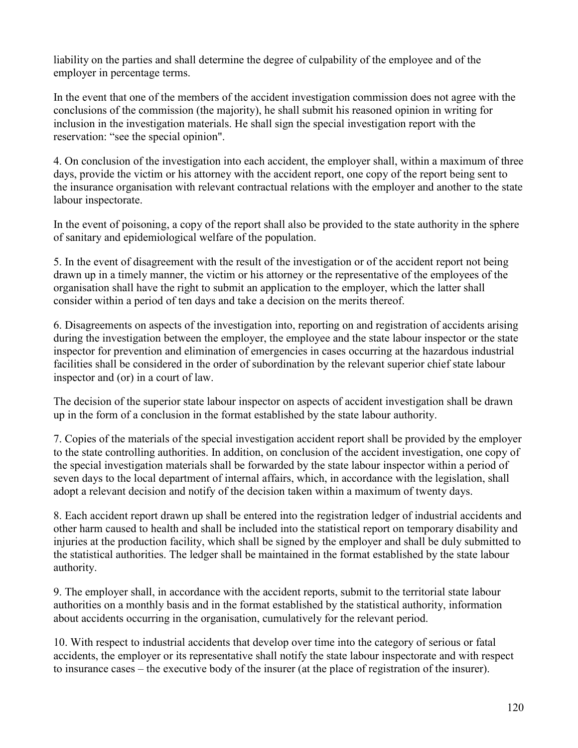liability on the parties and shall determine the degree of culpability of the employee and of the employer in percentage terms.

In the event that one of the members of the accident investigation commission does not agree with the conclusions of the commission (the majority), he shall submit his reasoned opinion in writing for inclusion in the investigation materials. He shall sign the special investigation report with the reservation: "see the special opinion".

4. On conclusion of the investigation into each accident, the employer shall, within a maximum of three days, provide the victim or his attorney with the accident report, one copy of the report being sent to the insurance organisation with relevant contractual relations with the employer and another to the state labour inspectorate.

In the event of poisoning, a copy of the report shall also be provided to the state authority in the sphere of sanitary and epidemiological welfare of the population.

5. In the event of disagreement with the result of the investigation or of the accident report not being drawn up in a timely manner, the victim or his attorney or the representative of the employees of the organisation shall have the right to submit an application to the employer, which the latter shall consider within a period of ten days and take a decision on the merits thereof.

6. Disagreements on aspects of the investigation into, reporting on and registration of accidents arising during the investigation between the employer, the employee and the state labour inspector or the state inspector for prevention and elimination of emergencies in cases occurring at the hazardous industrial facilities shall be considered in the order of subordination by the relevant superior chief state labour inspector and (or) in a court of law.

The decision of the superior state labour inspector on aspects of accident investigation shall be drawn up in the form of a conclusion in the format established by the state labour authority.

7. Copies of the materials of the special investigation accident report shall be provided by the employer to the state controlling authorities. In addition, on conclusion of the accident investigation, one copy of the special investigation materials shall be forwarded by the state labour inspector within a period of seven days to the local department of internal affairs, which, in accordance with the legislation, shall adopt a relevant decision and notify of the decision taken within a maximum of twenty days.

8. Each accident report drawn up shall be entered into the registration ledger of industrial accidents and other harm caused to health and shall be included into the statistical report on temporary disability and injuries at the production facility, which shall be signed by the employer and shall be duly submitted to the statistical authorities. The ledger shall be maintained in the format established by the state labour authority.

9. The employer shall, in accordance with the accident reports, submit to the territorial state labour authorities on a monthly basis and in the format established by the statistical authority, information about accidents occurring in the organisation, cumulatively for the relevant period.

10. With respect to industrial accidents that develop over time into the category of serious or fatal accidents, the employer or its representative shall notify the state labour inspectorate and with respect to insurance cases – the executive body of the insurer (at the place of registration of the insurer).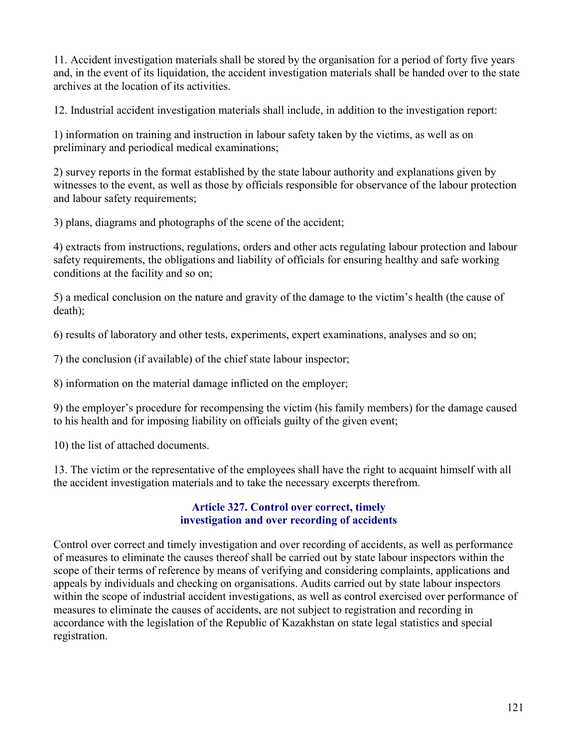11. Accident investigation materials shall be stored by the organisation for a period of forty five years and, in the event of its liquidation, the accident investigation materials shall be handed over to the state archives at the location of its activities.

12. Industrial accident investigation materials shall include, in addition to the investigation report:

1) information on training and instruction in labour safety taken by the victims, as well as on preliminary and periodical medical examinations;

2) survey reports in the format established by the state labour authority and explanations given by witnesses to the event, as well as those by officials responsible for observance of the labour protection and labour safety requirements;

3) plans, diagrams and photographs of the scene of the accident;

4) extracts from instructions, regulations, orders and other acts regulating labour protection and labour safety requirements, the obligations and liability of officials for ensuring healthy and safe working conditions at the facility and so on;

5) a medical conclusion on the nature and gravity of the damage to the victim's health (the cause of death);

6) results of laboratory and other tests, experiments, expert examinations, analyses and so on;

7) the conclusion (if available) of the chief state labour inspector;

8) information on the material damage inflicted on the employer;

9) the employer's procedure for recompensing the victim (his family members) for the damage caused to his health and for imposing liability on officials guilty of the given event;

10) the list of attached documents.

13. The victim or the representative of the employees shall have the right to acquaint himself with all the accident investigation materials and to take the necessary excerpts therefrom.

## Article 327. Control over correct, timely investigation and over recording of accidents

Control over correct and timely investigation and over recording of accidents, as well as performance of measures to eliminate the causes thereof shall be carried out by state labour inspectors within the scope of their terms of reference by means of verifying and considering complaints, applications and appeals by individuals and checking on organisations. Audits carried out by state labour inspectors within the scope of industrial accident investigations, as well as control exercised over performance of measures to eliminate the causes of accidents, are not subject to registration and recording in accordance with the legislation of the Republic of Kazakhstan on state legal statistics and special registration.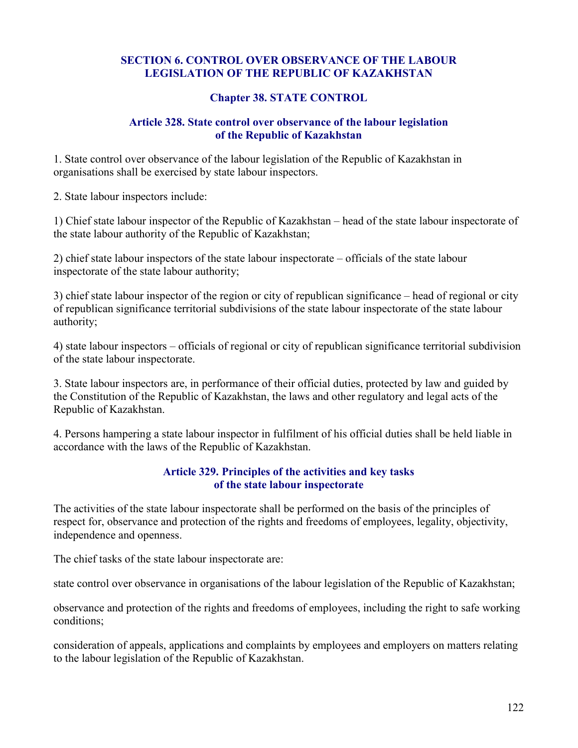### SECTION 6. CONTROL OVER OBSERVANCE OF THE LABOUR LEGISLATION OF THE REPUBLIC OF KAZAKHSTAN

#### Chapter 38. STATE CONTROL

#### Article 328. State control over observance of the labour legislation of the Republic of Kazakhstan

1. State control over observance of the labour legislation of the Republic of Kazakhstan in organisations shall be exercised by state labour inspectors.

2. State labour inspectors include:

1) Chief state labour inspector of the Republic of Kazakhstan – head of the state labour inspectorate of the state labour authority of the Republic of Kazakhstan;

2) chief state labour inspectors of the state labour inspectorate – officials of the state labour inspectorate of the state labour authority;

3) chief state labour inspector of the region or city of republican significance – head of regional or city of republican significance territorial subdivisions of the state labour inspectorate of the state labour authority;

4) state labour inspectors – officials of regional or city of republican significance territorial subdivision of the state labour inspectorate.

3. State labour inspectors are, in performance of their official duties, protected by law and guided by the Constitution of the Republic of Kazakhstan, the laws and other regulatory and legal acts of the Republic of Kazakhstan.

4. Persons hampering a state labour inspector in fulfilment of his official duties shall be held liable in accordance with the laws of the Republic of Kazakhstan.

#### Article 329. Principles of the activities and key tasks of the state labour inspectorate

The activities of the state labour inspectorate shall be performed on the basis of the principles of respect for, observance and protection of the rights and freedoms of employees, legality, objectivity, independence and openness.

The chief tasks of the state labour inspectorate are:

state control over observance in organisations of the labour legislation of the Republic of Kazakhstan;

observance and protection of the rights and freedoms of employees, including the right to safe working conditions;

consideration of appeals, applications and complaints by employees and employers on matters relating to the labour legislation of the Republic of Kazakhstan.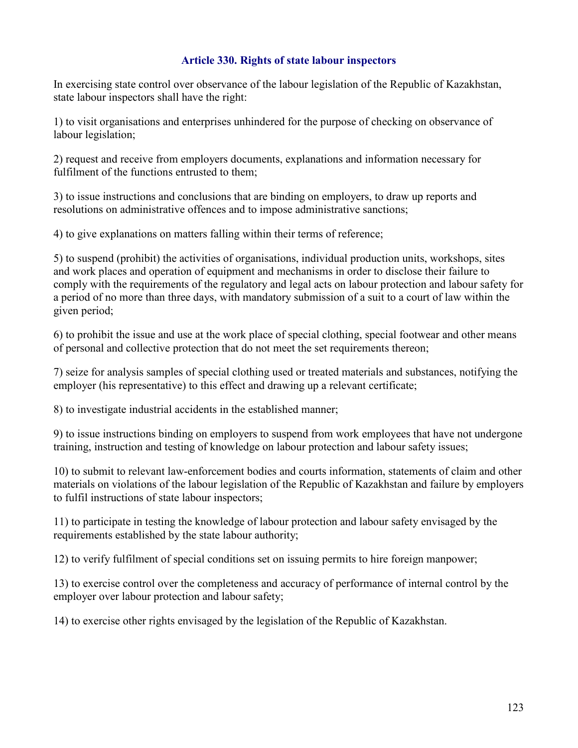#### Article 330. Rights of state labour inspectors

In exercising state control over observance of the labour legislation of the Republic of Kazakhstan, state labour inspectors shall have the right:

1) to visit organisations and enterprises unhindered for the purpose of checking on observance of labour legislation;

2) request and receive from employers documents, explanations and information necessary for fulfilment of the functions entrusted to them;

3) to issue instructions and conclusions that are binding on employers, to draw up reports and resolutions on administrative offences and to impose administrative sanctions;

4) to give explanations on matters falling within their terms of reference;

5) to suspend (prohibit) the activities of organisations, individual production units, workshops, sites and work places and operation of equipment and mechanisms in order to disclose their failure to comply with the requirements of the regulatory and legal acts on labour protection and labour safety for a period of no more than three days, with mandatory submission of a suit to a court of law within the given period;

6) to prohibit the issue and use at the work place of special clothing, special footwear and other means of personal and collective protection that do not meet the set requirements thereon;

7) seize for analysis samples of special clothing used or treated materials and substances, notifying the employer (his representative) to this effect and drawing up a relevant certificate;

8) to investigate industrial accidents in the established manner;

9) to issue instructions binding on employers to suspend from work employees that have not undergone training, instruction and testing of knowledge on labour protection and labour safety issues;

10) to submit to relevant law-enforcement bodies and courts information, statements of claim and other materials on violations of the labour legislation of the Republic of Kazakhstan and failure by employers to fulfil instructions of state labour inspectors;

11) to participate in testing the knowledge of labour protection and labour safety envisaged by the requirements established by the state labour authority;

12) to verify fulfilment of special conditions set on issuing permits to hire foreign manpower;

13) to exercise control over the completeness and accuracy of performance of internal control by the employer over labour protection and labour safety;

14) to exercise other rights envisaged by the legislation of the Republic of Kazakhstan.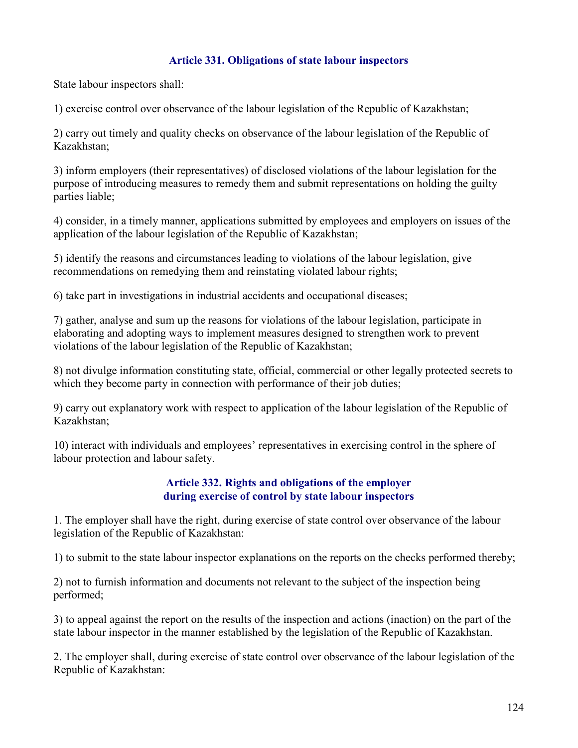## Article 331. Obligations of state labour inspectors

State labour inspectors shall:

1) exercise control over observance of the labour legislation of the Republic of Kazakhstan;

2) carry out timely and quality checks on observance of the labour legislation of the Republic of Kazakhstan;

3) inform employers (their representatives) of disclosed violations of the labour legislation for the purpose of introducing measures to remedy them and submit representations on holding the guilty parties liable;

4) consider, in a timely manner, applications submitted by employees and employers on issues of the application of the labour legislation of the Republic of Kazakhstan;

5) identify the reasons and circumstances leading to violations of the labour legislation, give recommendations on remedying them and reinstating violated labour rights;

6) take part in investigations in industrial accidents and occupational diseases;

7) gather, analyse and sum up the reasons for violations of the labour legislation, participate in elaborating and adopting ways to implement measures designed to strengthen work to prevent violations of the labour legislation of the Republic of Kazakhstan;

8) not divulge information constituting state, official, commercial or other legally protected secrets to which they become party in connection with performance of their job duties;

9) carry out explanatory work with respect to application of the labour legislation of the Republic of Kazakhstan;

10) interact with individuals and employees' representatives in exercising control in the sphere of labour protection and labour safety.

### Article 332. Rights and obligations of the employer during exercise of control by state labour inspectors

1. The employer shall have the right, during exercise of state control over observance of the labour legislation of the Republic of Kazakhstan:

1) to submit to the state labour inspector explanations on the reports on the checks performed thereby;

2) not to furnish information and documents not relevant to the subject of the inspection being performed;

3) to appeal against the report on the results of the inspection and actions (inaction) on the part of the state labour inspector in the manner established by the legislation of the Republic of Kazakhstan.

2. The employer shall, during exercise of state control over observance of the labour legislation of the Republic of Kazakhstan: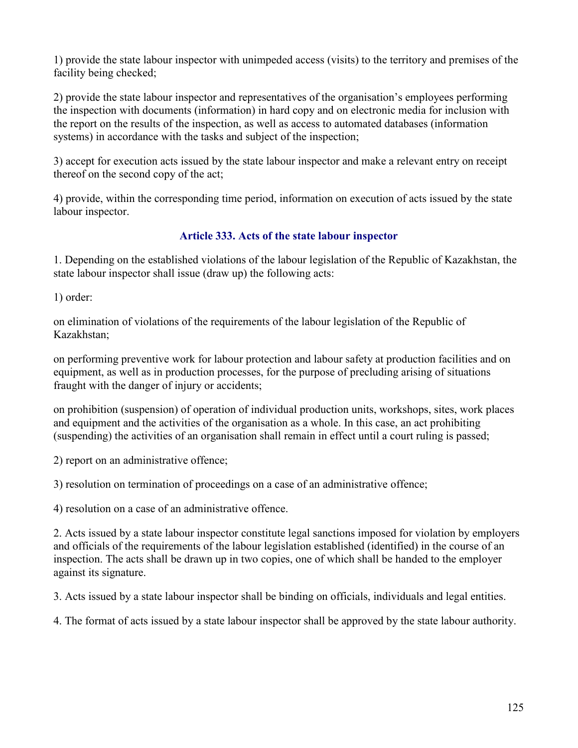1) provide the state labour inspector with unimpeded access (visits) to the territory and premises of the facility being checked;

2) provide the state labour inspector and representatives of the organisation's employees performing the inspection with documents (information) in hard copy and on electronic media for inclusion with the report on the results of the inspection, as well as access to automated databases (information systems) in accordance with the tasks and subject of the inspection;

3) accept for execution acts issued by the state labour inspector and make a relevant entry on receipt thereof on the second copy of the act;

4) provide, within the corresponding time period, information on execution of acts issued by the state labour inspector.

# Article 333. Acts of the state labour inspector

1. Depending on the established violations of the labour legislation of the Republic of Kazakhstan, the state labour inspector shall issue (draw up) the following acts:

1) order:

on elimination of violations of the requirements of the labour legislation of the Republic of Kazakhstan;

on performing preventive work for labour protection and labour safety at production facilities and on equipment, as well as in production processes, for the purpose of precluding arising of situations fraught with the danger of injury or accidents;

on prohibition (suspension) of operation of individual production units, workshops, sites, work places and equipment and the activities of the organisation as a whole. In this case, an act prohibiting (suspending) the activities of an organisation shall remain in effect until a court ruling is passed;

2) report on an administrative offence;

3) resolution on termination of proceedings on a case of an administrative offence;

4) resolution on a case of an administrative offence.

2. Acts issued by a state labour inspector constitute legal sanctions imposed for violation by employers and officials of the requirements of the labour legislation established (identified) in the course of an inspection. The acts shall be drawn up in two copies, one of which shall be handed to the employer against its signature.

3. Acts issued by a state labour inspector shall be binding on officials, individuals and legal entities.

4. The format of acts issued by a state labour inspector shall be approved by the state labour authority.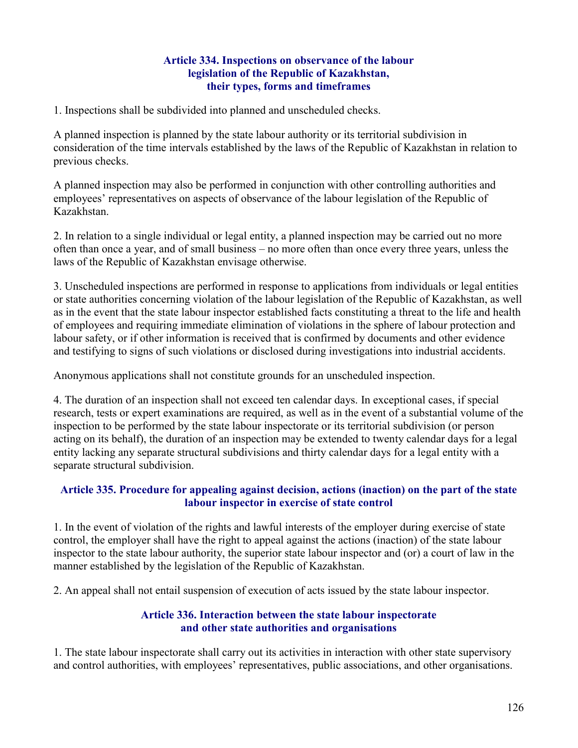#### Article 334. Inspections on observance of the labour legislation of the Republic of Kazakhstan, their types, forms and timeframes

1. Inspections shall be subdivided into planned and unscheduled checks.

A planned inspection is planned by the state labour authority or its territorial subdivision in consideration of the time intervals established by the laws of the Republic of Kazakhstan in relation to previous checks.

A planned inspection may also be performed in conjunction with other controlling authorities and employees' representatives on aspects of observance of the labour legislation of the Republic of Kazakhstan.

2. In relation to a single individual or legal entity, a planned inspection may be carried out no more often than once a year, and of small business – no more often than once every three years, unless the laws of the Republic of Kazakhstan envisage otherwise.

3. Unscheduled inspections are performed in response to applications from individuals or legal entities or state authorities concerning violation of the labour legislation of the Republic of Kazakhstan, as well as in the event that the state labour inspector established facts constituting a threat to the life and health of employees and requiring immediate elimination of violations in the sphere of labour protection and labour safety, or if other information is received that is confirmed by documents and other evidence and testifying to signs of such violations or disclosed during investigations into industrial accidents.

Anonymous applications shall not constitute grounds for an unscheduled inspection.

4. The duration of an inspection shall not exceed ten calendar days. In exceptional cases, if special research, tests or expert examinations are required, as well as in the event of a substantial volume of the inspection to be performed by the state labour inspectorate or its territorial subdivision (or person acting on its behalf), the duration of an inspection may be extended to twenty calendar days for a legal entity lacking any separate structural subdivisions and thirty calendar days for a legal entity with a separate structural subdivision.

#### Article 335. Procedure for appealing against decision, actions (inaction) on the part of the state labour inspector in exercise of state control

1. In the event of violation of the rights and lawful interests of the employer during exercise of state control, the employer shall have the right to appeal against the actions (inaction) of the state labour inspector to the state labour authority, the superior state labour inspector and (or) a court of law in the manner established by the legislation of the Republic of Kazakhstan.

2. An appeal shall not entail suspension of execution of acts issued by the state labour inspector.

### Article 336. Interaction between the state labour inspectorate and other state authorities and organisations

1. The state labour inspectorate shall carry out its activities in interaction with other state supervisory and control authorities, with employees' representatives, public associations, and other organisations.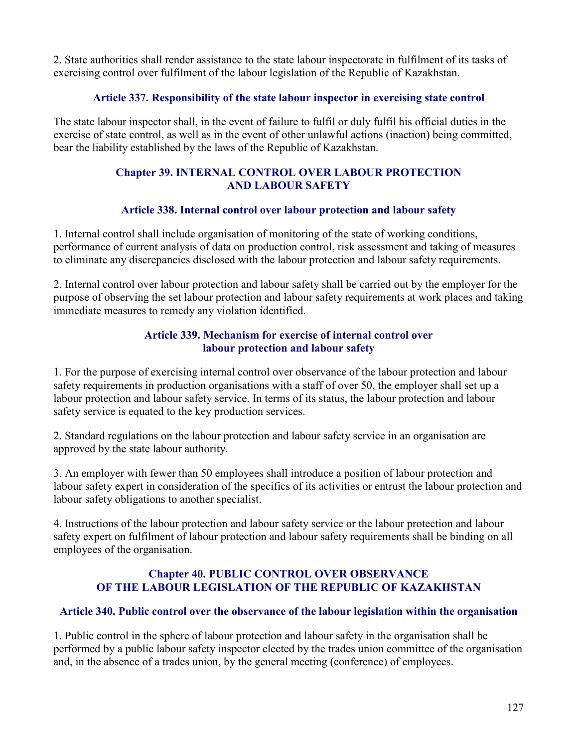2. State authorities shall render assistance to the state labour inspectorate in fulfilment of its tasks of exercising control over fulfilment of the labour legislation of the Republic of Kazakhstan.

## Article 337. Responsibility of the state labour inspector in exercising state control

The state labour inspector shall, in the event of failure to fulfil or duly fulfil his official duties in the exercise of state control, as well as in the event of other unlawful actions (inaction) being committed, bear the liability established by the laws of the Republic of Kazakhstan.

## Chapter 39. INTERNAL CONTROL OVER LABOUR PROTECTION AND LABOUR SAFETY

# Article 338. Internal control over labour protection and labour safety

1. Internal control shall include organisation of monitoring of the state of working conditions, performance of current analysis of data on production control, risk assessment and taking of measures to eliminate any discrepancies disclosed with the labour protection and labour safety requirements.

2. Internal control over labour protection and labour safety shall be carried out by the employer for the purpose of observing the set labour protection and labour safety requirements at work places and taking immediate measures to remedy any violation identified.

## Article 339. Mechanism for exercise of internal control over labour protection and labour safety

1. For the purpose of exercising internal control over observance of the labour protection and labour safety requirements in production organisations with a staff of over 50, the employer shall set up a labour protection and labour safety service. In terms of its status, the labour protection and labour safety service is equated to the key production services.

2. Standard regulations on the labour protection and labour safety service in an organisation are approved by the state labour authority.

3. An employer with fewer than 50 employees shall introduce a position of labour protection and labour safety expert in consideration of the specifics of its activities or entrust the labour protection and labour safety obligations to another specialist.

4. Instructions of the labour protection and labour safety service or the labour protection and labour safety expert on fulfilment of labour protection and labour safety requirements shall be binding on all employees of the organisation.

## Chapter 40. PUBLIC CONTROL OVER OBSERVANCE OF THE LABOUR LEGISLATION OF THE REPUBLIC OF KAZAKHSTAN

# Article 340. Public control over the observance of the labour legislation within the organisation

1. Public control in the sphere of labour protection and labour safety in the organisation shall be performed by a public labour safety inspector elected by the trades union committee of the organisation and, in the absence of a trades union, by the general meeting (conference) of employees.